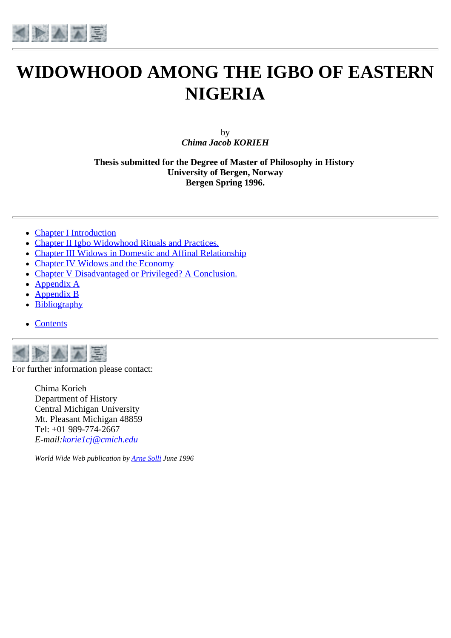

# **WIDOWHOOD AMONG THE IGBO OF EASTERN NIGERIA**

by *Chima Jacob KORIEH*

**Thesis submitted for the Degree of Master of Philosophy in History University of Bergen, Norway Bergen Spring 1996.**

- [Chapter I Introduction](#page-2-0)
- [Chapter II Igbo Widowhood Rituals and Practices.](#page-14-0)
- [Chapter III Widows in Domestic and Affinal Relationship](#page-23-0)
- [Chapter IV Widows and the Economy](#page-32-0)
- [Chapter V Disadvantaged or Privileged? A Conclusion.](#page-42-0)
- [Appendix A](#page-47-0)  $\bullet$
- [Appendix B](#page-51-0)
- [Bibliography](#page-53-0)
- [Contents](#page-1-0)



For further information please contact:

Chima Korieh Department of History Central Michigan University Mt. Pleasant Michigan 48859 Tel: +01 989-774-2667 *E-mail[:korie1cj@cmich.edu](mailto:korie1cj@cmich.edu)*

*World Wide Web publication by [Arne](mailto:arne.solli@hi.uib.no) Solli June 1996*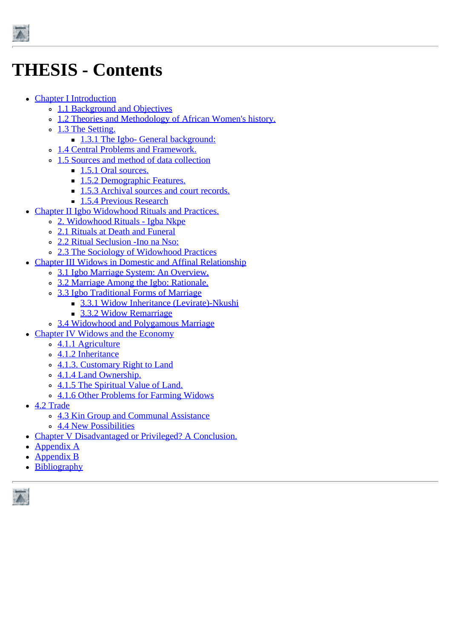<span id="page-1-0"></span>

# **THESIS - Contents**

- [Chapter I Introduction](#page-2-0)
	- o [1.1 Background and Objectives](#page-2-1)
	- o [1.2 Theories and Methodology of African Women's history.](#page-3-0)
	- [1.3 The Setting.](#page-6-0)
		- [1.3.1 The Igbo- General background:](#page-7-0)
	- [1.4 Central Problems and Framework.](#page-8-0)
	- <sup>o</sup> [1.5 Sources and method of data collection](#page-9-0)
		- [1.5.1 Oral sources.](#page-9-1)
		- **[1.5.2 Demographic Features.](#page-9-2)**
		- **[1.5.3 Archival sources and court records.](#page-11-0)**
		- **[1.5.4 Previous Research](#page-12-0)**
- [Chapter II Igbo Widowhood Rituals and Practices.](#page-14-0)
	- [2. Widowhood Rituals Igba Nkpe](#page-14-1)
	- [2.1 Rituals at Death and Funeral](#page-14-2)
	- [2.2 Ritual Seclusion -Ino na Nso:](#page-16-0)
	- [2.3 The Sociology of Widowhood Practices](#page-20-0)
- [Chapter III Widows in Domestic and Affinal Relationship](#page-23-0)
	- [3.1 Igbo Marriage System: An Overview.](#page-23-1)
	- [3.2 Marriage Among the Igbo: Rationale.](#page-23-2)
	- [3.3 Igbo Traditional Forms of Marriage](#page-25-0)
		- [3.3.1 Widow Inheritance \(Levirate\)-Nkushi](#page-26-0)
		- **[3.3.2 Widow Remarriage](#page-28-0)**
	- <sup>o</sup> [3.4 Widowhood and Polygamous Marriage](#page-29-0)
- [Chapter IV Widows and the Economy](#page-32-0)
	- [4.1.1 Agriculture](#page-32-1)
	- [4.1.2 Inheritance](#page-33-0)
	- <sup>o</sup> [4.1.3. Customary Right to Land](#page-35-0)
	- o [4.1.4 Land Ownership.](#page-36-0)
	- o [4.1.5 The Spiritual Value of Land.](#page-37-0)
	- [4.1.6 Other Problems for Farming Widows](#page-37-1)
- [4.2 Trade](#page-38-0)
	- o [4.3 Kin Group and Communal Assistance](#page-40-0)
	- o [4.4 New Possibilities](#page-41-0)
- [Chapter V Disadvantaged or Privileged? A Conclusion.](#page-42-0)
- [Appendix A](#page-47-0)  $\bullet$
- [Appendix B](#page-51-0)
- [Bibliography](#page-53-0)

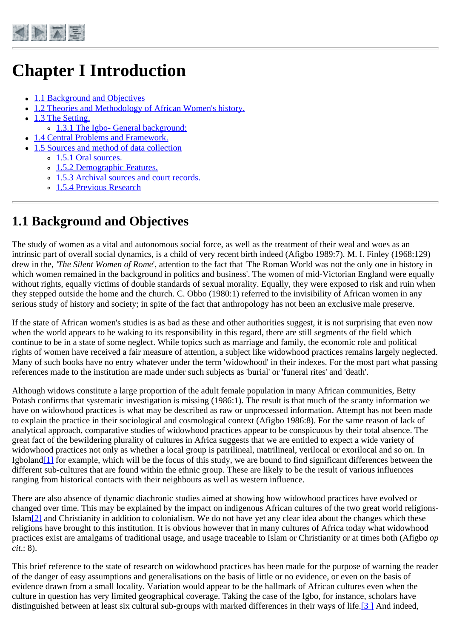<span id="page-2-0"></span>

# **Chapter I Introduction**

- [1.1 Background and Objectives](#page-2-1)
- [1.2 Theories and Methodology of African Women's history.](#page-3-0)
- [1.3 The Setting.](#page-6-0)
	- [1.3.1 The Igbo- General background:](#page-7-0)
- [1.4 Central Problems and Framework.](#page-8-0)
- [1.5 Sources and method of data collection](#page-9-0)
	- [1.5.1 Oral sources.](#page-9-1)
	- [1.5.2 Demographic Features.](#page-9-2)
	- [1.5.3 Archival sources and court records.](#page-11-0)
	- o [1.5.4 Previous Research](#page-12-0)

## <span id="page-2-1"></span>**1.1 Background and Objectives**

The study of women as a vital and autonomous social force, as well as the treatment of their weal and woes as an intrinsic part of overall social dynamics, is a child of very recent birth indeed (Afigbo 1989:7). M. I. Finley (1968:129) drew in the, *'The Silent Women of Rome*', attention to the fact that *'*The Roman World was not the only one in history in which women remained in the background in politics and business'. The women of mid-Victorian England were equally without rights, equally victims of double standards of sexual morality. Equally, they were exposed to risk and ruin when they stepped outside the home and the church. C. Obbo (1980:1) referred to the invisibility of African women in any serious study of history and society; in spite of the fact that anthropology has not been an exclusive male preserve.

If the state of African women's studies is as bad as these and other authorities suggest, it is not surprising that even now when the world appears to be waking to its responsibility in this regard, there are still segments of the field which continue to be in a state of some neglect. While topics such as marriage and family, the economic role and political rights of women have received a fair measure of attention, a subject like widowhood practices remains largely neglected. Many of such books have no entry whatever under the term 'widowhood' in their indexes. For the most part what passing references made to the institution are made under such subjects as 'burial' or 'funeral rites' and 'death'.

Although widows constitute a large proportion of the adult female population in many African communities, Betty Potash confirms that systematic investigation is missing (1986:1). The result is that much of the scanty information we have on widowhood practices is what may be described as raw or unprocessed information. Attempt has not been made to explain the practice in their sociological and cosmological context (Afigbo 1986:8). For the same reason of lack of analytical approach, comparative studies of widowhood practices appear to be conspicuous by their total absence. The great fact of the bewildering plurality of cultures in Africa suggests that we are entitled to expect a wide variety of widowhood practices not only as whether a local group is patrilineal, matrilineal, verilocal or exorilocal and so on. In Igbolan[d\[1\]](http://www.ub.uib.no/elpub/1996/h/506001/korieh/chima_fn.html#fn0) for example, which will be the focus of this study, we are bound to find significant differences between the different sub-cultures that are found within the ethnic group. These are likely to be the result of various influences ranging from historical contacts with their neighbours as well as western influence.

There are also absence of dynamic diachronic studies aimed at showing how widowhood practices have evolved or changed over time. This may be explained by the impact on indigenous African cultures of the two great world religions-Isla[m\[2\]](http://www.ub.uib.no/elpub/1996/h/506001/korieh/chima_fn.html#fn0) and Christianity in addition to colonialism. We do not have yet any clear idea about the changes which these religions have brought to this institution. It is obvious however that in many cultures of Africa today what widowhood practices exist are amalgams of traditional usage, and usage traceable to Islam or Christianity or at times both (Afigbo *op cit*.: 8).

This brief reference to the state of research on widowhood practices has been made for the purpose of warning the reader of the danger of easy assumptions and generalisations on the basis of little or no evidence, or even on the basis of evidence drawn from a small locality. Variation would appear to be the hallmark of African cultures even when the culture in question has very limited geographical coverage. Taking the case of the Igbo, for instance, scholars have distinguished between at least six cultural sub-groups with marked differences in their ways of life.<sup>[3]</sup> And indeed,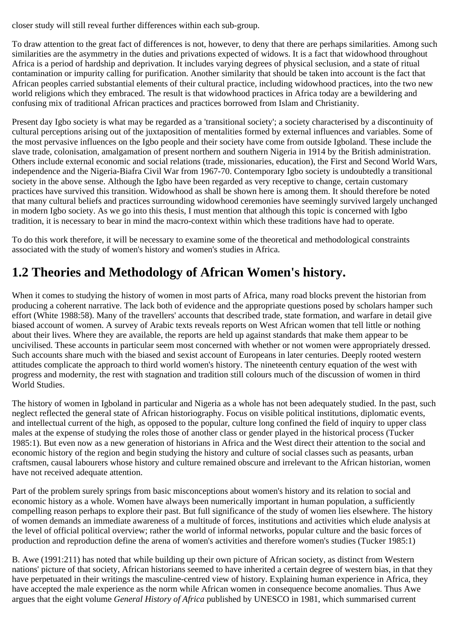closer study will still reveal further differences within each sub-group.

To draw attention to the great fact of differences is not, however, to deny that there are perhaps similarities. Among such similarities are the asymmetry in the duties and privations expected of widows. It is a fact that widowhood throughout Africa is a period of hardship and deprivation. It includes varying degrees of physical seclusion, and a state of ritual contamination or impurity calling for purification. Another similarity that should be taken into account is the fact that African peoples carried substantial elements of their cultural practice, including widowhood practices, into the two new world religions which they embraced. The result is that widowhood practices in Africa today are a bewildering and confusing mix of traditional African practices and practices borrowed from Islam and Christianity.

Present day Igbo society is what may be regarded as a 'transitional society'; a society characterised by a discontinuity of cultural perceptions arising out of the juxtaposition of mentalities formed by external influences and variables. Some of the most pervasive influences on the Igbo people and their society have come from outside Igboland. These include the slave trade, colonisation, amalgamation of present northern and southern Nigeria in 1914 by the British administration. Others include external economic and social relations (trade, missionaries, education), the First and Second World Wars, independence and the Nigeria-Biafra Civil War from 1967-70. Contemporary Igbo society is undoubtedly a transitional society in the above sense. Although the Igbo have been regarded as very receptive to change, certain customary practices have survived this transition. Widowhood as shall be shown here is among them. It should therefore be noted that many cultural beliefs and practices surrounding widowhood ceremonies have seemingly survived largely unchanged in modern Igbo society. As we go into this thesis, I must mention that although this topic is concerned with Igbo tradition, it is necessary to bear in mind the macro-context within which these traditions have had to operate.

To do this work therefore, it will be necessary to examine some of the theoretical and methodological constraints associated with the study of women's history and women's studies in Africa.

## <span id="page-3-0"></span>**1.2 Theories and Methodology of African Women's history.**

When it comes to studying the history of women in most parts of Africa, many road blocks prevent the historian from producing a coherent narrative. The lack both of evidence and the appropriate questions posed by scholars hamper such effort (White 1988:58). Many of the travellers' accounts that described trade, state formation, and warfare in detail give biased account of women. A survey of Arabic texts reveals reports on West African women that tell little or nothing about their lives. Where they are available, the reports are held up against standards that make them appear to be uncivilised. These accounts in particular seem most concerned with whether or not women were appropriately dressed. Such accounts share much with the biased and sexist account of Europeans in later centuries. Deeply rooted western attitudes complicate the approach to third world women's history. The nineteenth century equation of the west with progress and modernity, the rest with stagnation and tradition still colours much of the discussion of women in third World Studies.

The history of women in Igboland in particular and Nigeria as a whole has not been adequately studied. In the past, such neglect reflected the general state of African historiography. Focus on visible political institutions, diplomatic events, and intellectual current of the high, as opposed to the popular, culture long confined the field of inquiry to upper class males at the expense of studying the roles those of another class or gender played in the historical process (Tucker 1985:1). But even now as a new generation of historians in Africa and the West direct their attention to the social and economic history of the region and begin studying the history and culture of social classes such as peasants, urban craftsmen, causal labourers whose history and culture remained obscure and irrelevant to the African historian, women have not received adequate attention.

Part of the problem surely springs from basic misconceptions about women's history and its relation to social and economic history as a whole. Women have always been numerically important in human population, a sufficiently compelling reason perhaps to explore their past. But full significance of the study of women lies elsewhere. The history of women demands an immediate awareness of a multitude of forces, institutions and activities which elude analysis at the level of official political overview; rather the world of informal networks, popular culture and the basic forces of production and reproduction define the arena of women's activities and therefore women's studies (Tucker 1985:1)

B. Awe (1991:211) has noted that while building up their own picture of African society, as distinct from Western nations' picture of that society, African historians seemed to have inherited a certain degree of western bias, in that they have perpetuated in their writings the masculine-centred view of history. Explaining human experience in Africa, they have accepted the male experience as the norm while African women in consequence become anomalies. Thus Awe argues that the eight volume *General History of Africa* published by UNESCO in 1981, which summarised current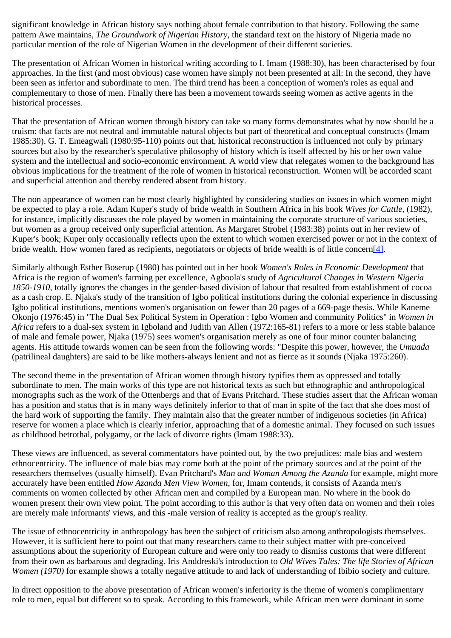significant knowledge in African history says nothing about female contribution to that history. Following the same pattern Awe maintains, *The Groundwork of Nigerian History*, the standard text on the history of Nigeria made no particular mention of the role of Nigerian Women in the development of their different societies.

The presentation of African Women in historical writing according to I. Imam (1988:30), has been characterised by four approaches. In the first (and most obvious) case women have simply not been presented at all: In the second, they have been seen as inferior and subordinate to men. The third trend has been a conception of women's roles as equal and complementary to those of men. Finally there has been a movement towards seeing women as active agents in the historical processes.

That the presentation of African women through history can take so many forms demonstrates what by now should be a truism: that facts are not neutral and immutable natural objects but part of theoretical and conceptual constructs (Imam 1985:30). G. T. Emeagwali (1980:95-110) points out that, historical reconstruction is influenced not only by primary sources but also by the researcher's speculative philosophy of history which is itself affected by his or her own value system and the intellectual and socio-economic environment. A world view that relegates women to the background has obvious implications for the treatment of the role of women in historical reconstruction. Women will be accorded scant and superficial attention and thereby rendered absent from history.

The non appearance of women can be most clearly highlighted by considering studies on issues in which women might be expected to play a role. Adam Kuper's study of bride wealth in Southern Africa in his book *Wives for Cattle,* (1982), for instance, implicitly discusses the role played by women in maintaining the corporate structure of various societies, but women as a group received only superficial attention. As Margaret Strobel (1983:38) points out in her review of Kuper's book; Kuper only occasionally reflects upon the extent to which women exercised power or not in the context of bride wealth. How women fared as recipients, negotiators or objects of bride wealth is of little concer[n\[4\]](http://www.ub.uib.no/elpub/1996/h/506001/korieh/chima_fn.html#fn2).

Similarly although Esther Boserup (1980) has pointed out in her book *Women's Roles in Economic Development* that Africa is the region of women's farming per excellence, Agboola's study of *Agricultural Changes in Western Nigeria 1850-1910,* totally ignores the changes in the gender-based division of labour that resulted from establishment of cocoa as a cash crop. E. Njaka's study of the transition of Igbo political institutions during the colonial experience in discussing Igbo political institutions, mentions women's organisation on fewer than 20 pages of a 669-page thesis. While Kaneme Okonjo (1976:45) in "The Dual Sex Political System in Operation : Igbo Women and community Politics" in *Women in Africa* refers to a dual-sex system in Igboland and Judith van Allen (1972:165-81) refers to a more or less stable balance of male and female power, Njaka (1975) sees women's organisation merely as one of four minor counter balancing agents. His attitude towards women can be seen from the following words: "Despite this power, however, the *Umuada* (patrilineal daughters) are said to be like mothers-always lenient and not as fierce as it sounds (Njaka 1975:260).

The second theme in the presentation of African women through history typifies them as oppressed and totally subordinate to men. The main works of this type are not historical texts as such but ethnographic and anthropological monographs such as the work of the Ottenbergs and that of Evans Pritchard. These studies assert that the African woman has a position and status that is in many ways definitely inferior to that of man in spite of the fact that she does most of the hard work of supporting the family. They maintain also that the greater number of indigenous societies (in Africa) reserve for women a place which is clearly inferior, approaching that of a domestic animal. They focused on such issues as childhood betrothal, polygamy, or the lack of divorce rights (Imam 1988:33).

These views are influenced, as several commentators have pointed out, by the two prejudices: male bias and western ethnocentricity. The influence of male bias may come both at the point of the primary sources and at the point of the researchers themselves (usually himself). Evan Pritchard's *Man and Woman Among the Azanda* for example, might more accurately have been entitled *How Azanda Men View Women*, for, Imam contends, it consists of Azanda men's comments on women collected by other African men and compiled by a European man. No where in the book do women present their own view point. The point according to this author is that very often data on women and their roles are merely male informants' views, and this -male version of reality is accepted as the group's reality.

The issue of ethnocentricity in anthropology has been the subject of criticism also among anthropologists themselves. However, it is sufficient here to point out that many researchers came to their subject matter with pre-conceived assumptions about the superiority of European culture and were only too ready to dismiss customs that were different from their own as barbarous and degrading. Iris Anddreski's introduction to *Old Wives Tales: The life Stories of African Women (1970)* for example shows a totally negative attitude to and lack of understanding of Ibibio society and culture.

In direct opposition to the above presentation of African women's inferiority is the theme of women's complimentary role to men, equal but different so to speak. According to this framework, while African men were dominant in some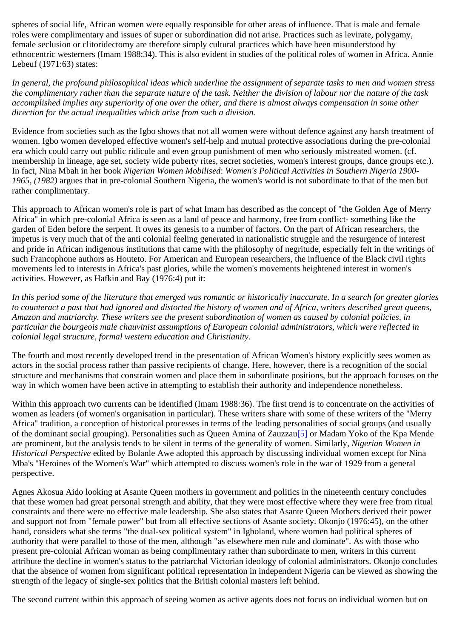spheres of social life, African women were equally responsible for other areas of influence. That is male and female roles were complimentary and issues of super or subordination did not arise. Practices such as levirate, polygamy, female seclusion or clitoridectomy are therefore simply cultural practices which have been misunderstood by ethnocentric westerners (Imam 1988:34). This is also evident in studies of the political roles of women in Africa. Annie Lebeuf (1971:63) states:

*In general, the profound philosophical ideas which underline the assignment of separate tasks to men and women stress the complimentary rather than the separate nature of the task. Neither the division of labour nor the nature of the task accomplished implies any superiority of one over the other, and there is almost always compensation in some other direction for the actual inequalities which arise from such a division.*

Evidence from societies such as the Igbo shows that not all women were without defence against any harsh treatment of women. Igbo women developed effective women's self-help and mutual protective associations during the pre-colonial era which could carry out public ridicule and even group punishment of men who seriously mistreated women. (cf. membership in lineage, age set, society wide puberty rites, secret societies, women's interest groups, dance groups etc.). In fact, Nina Mbah in her book *Nigerian Women Mobilised*: *Women's Political Activities in Southern Nigeria 1900- 1965, (1982)* argues that in pre-colonial Southern Nigeria, the women's world is not subordinate to that of the men but rather complimentary.

This approach to African women's role is part of what Imam has described as the concept of "the Golden Age of Merry Africa" in which pre-colonial Africa is seen as a land of peace and harmony, free from conflict- something like the garden of Eden before the serpent. It owes its genesis to a number of factors. On the part of African researchers, the impetus is very much that of the anti colonial feeling generated in nationalistic struggle and the resurgence of interest and pride in African indigenous institutions that came with the philosophy of negritude, especially felt in the writings of such Francophone authors as Houteto. For American and European researchers, the influence of the Black civil rights movements led to interests in Africa's past glories, while the women's movements heightened interest in women's activities. However, as Hafkin and Bay (1976:4) put it:

*In this period some of the literature that emerged was romantic or historically inaccurate. In a search for greater glories to counteract a past that had ignored and distorted the history of women and of Africa, writers described great queens, Amazon and matriarchy. These writers see the present subordination of women as caused by colonial policies, in particular the bourgeois male chauvinist assumptions of European colonial administrators, which were reflected in colonial legal structure, formal western education and Christianity.*

The fourth and most recently developed trend in the presentation of African Women's history explicitly sees women as actors in the social process rather than passive recipients of change. Here, however, there is a recognition of the social structure and mechanisms that constrain women and place them in subordinate positions, but the approach focuses on the way in which women have been active in attempting to establish their authority and independence nonetheless.

Within this approach two currents can be identified (Imam 1988:36). The first trend is to concentrate on the activities of women as leaders (of women's organisation in particular). These writers share with some of these writers of the "Merry Africa" tradition, a conception of historical processes in terms of the leading personalities of social groups (and usually of the dominant social grouping). Personalities such as Queen Amina of Zauzza[u\[5\]](http://www.ub.uib.no/elpub/1996/h/506001/korieh/chima_fn.html#fn3) or Madam Yoko of the Kpa Mende are prominent, but the analysis tends to be silent in terms of the generality of women. Similarly, *Nigerian Women in Historical Perspective* edited by Bolanle Awe adopted this approach by discussing individual women except for Nina Mba's "Heroines of the Women's War" which attempted to discuss women's role in the war of 1929 from a general perspective.

Agnes Akosua Aido looking at Asante Queen mothers in government and politics in the nineteenth century concludes that these women had great personal strength and ability, that they were most effective where they were free from ritual constraints and there were no effective male leadership. She also states that Asante Queen Mothers derived their power and support not from "female power" but from all effective sections of Asante society. Okonjo (1976:45), on the other hand, considers what she terms "the dual-sex political system" in Igboland, where women had political spheres of authority that were parallel to those of the men, although "as elsewhere men rule and dominate". As with those who present pre-colonial African woman as being complimentary rather than subordinate to men, writers in this current attribute the decline in women's status to the patriarchal Victorian ideology of colonial administrators. Okonjo concludes that the absence of women from significant political representation in independent Nigeria can be viewed as showing the strength of the legacy of single-sex politics that the British colonial masters left behind.

The second current within this approach of seeing women as active agents does not focus on individual women but on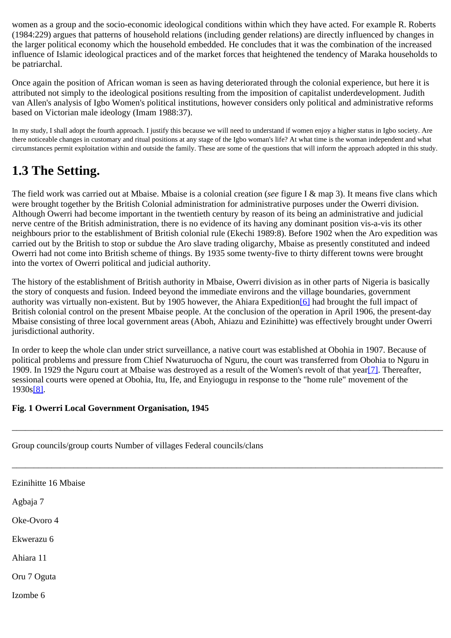women as a group and the socio-economic ideological conditions within which they have acted. For example R. Roberts (1984:229) argues that patterns of household relations (including gender relations) are directly influenced by changes in the larger political economy which the household embedded. He concludes that it was the combination of the increased influence of Islamic ideological practices and of the market forces that heightened the tendency of Maraka households to be patriarchal.

Once again the position of African woman is seen as having deteriorated through the colonial experience, but here it is attributed not simply to the ideological positions resulting from the imposition of capitalist underdevelopment. Judith van Allen's analysis of Igbo Women's political institutions, however considers only political and administrative reforms based on Victorian male ideology (Imam 1988:37).

In my study, I shall adopt the fourth approach. I justify this because we will need to understand if women enjoy a higher status in Igbo society. Are there noticeable changes in customary and ritual positions at any stage of the Igbo woman's life? At what time is the woman independent and what circumstances permit exploitation within and outside the family. These are some of the questions that will inform the approach adopted in this study.

## <span id="page-6-0"></span>**1.3 The Setting.**

The field work was carried out at Mbaise. Mbaise is a colonial creation (*see* figure I & map 3). It means five clans which were brought together by the British Colonial administration for administrative purposes under the Owerri division. Although Owerri had become important in the twentieth century by reason of its being an administrative and judicial nerve centre of the British administration, there is no evidence of its having any dominant position vis-a-vis its other neighbours prior to the establishment of British colonial rule (Ekechi 1989:8). Before 1902 when the Aro expedition was carried out by the British to stop or subdue the Aro slave trading oligarchy, Mbaise as presently constituted and indeed Owerri had not come into British scheme of things. By 1935 some twenty-five to thirty different towns were brought into the vortex of Owerri political and judicial authority.

The history of the establishment of British authority in Mbaise, Owerri division as in other parts of Nigeria is basically the story of conquests and fusion. Indeed beyond the immediate environs and the village boundaries, government authority was virtually non-existent. But by 1905 however, the Ahiara Expeditio[n\[6\]](http://www.ub.uib.no/elpub/1996/h/506001/korieh/chima_fn.html#fn4) had brought the full impact of British colonial control on the present Mbaise people. At the conclusion of the operation in April 1906, the present-day Mbaise consisting of three local government areas (Aboh, Ahiazu and Ezinihitte) was effectively brought under Owerri jurisdictional authority.

In order to keep the whole clan under strict surveillance, a native court was established at Obohia in 1907. Because of political problems and pressure from Chief Nwaturuocha of Nguru, the court was transferred from Obohia to Nguru in 1909. In 1929 the Nguru court at Mbaise was destroyed as a result of the Women's revolt of that yea[r\[7\]](http://www.ub.uib.no/elpub/1996/h/506001/korieh/chima_fn.html#fn5). Thereafter, sessional courts were opened at Obohia, Itu, Ife, and Enyiogugu in response to the "home rule" movement of the 1930[s\[8\]](http://www.ub.uib.no/elpub/1996/h/506001/korieh/chima_fn.html#fn6).

\_\_\_\_\_\_\_\_\_\_\_\_\_\_\_\_\_\_\_\_\_\_\_\_\_\_\_\_\_\_\_\_\_\_\_\_\_\_\_\_\_\_\_\_\_\_\_\_\_\_\_\_\_\_\_\_\_\_\_\_\_\_\_\_\_\_\_\_\_\_\_\_\_\_\_\_\_\_\_\_\_\_\_\_\_\_\_\_\_\_\_\_\_\_\_\_\_\_

\_\_\_\_\_\_\_\_\_\_\_\_\_\_\_\_\_\_\_\_\_\_\_\_\_\_\_\_\_\_\_\_\_\_\_\_\_\_\_\_\_\_\_\_\_\_\_\_\_\_\_\_\_\_\_\_\_\_\_\_\_\_\_\_\_\_\_\_\_\_\_\_\_\_\_\_\_\_\_\_\_\_\_\_\_\_\_\_\_\_\_\_\_\_\_\_\_\_

#### **Fig. 1 Owerri Local Government Organisation, 1945**

|  | Group councils/group courts Number of villages Federal councils/clans |  |  |  |  |
|--|-----------------------------------------------------------------------|--|--|--|--|
|--|-----------------------------------------------------------------------|--|--|--|--|

Ezinihitte 16 Mbaise Agbaja 7 Oke-Ovoro 4 Ekwerazu 6 Ahiara 11 Oru 7 Oguta Izombe 6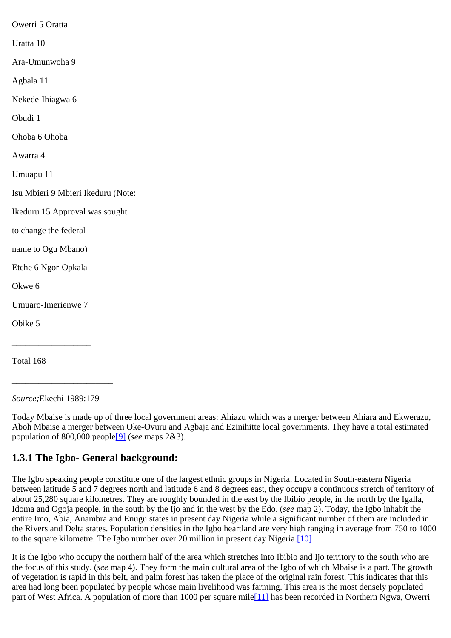Owerri 5 Oratta Uratta 10 Ara-Umunwoha 9 Agbala 11 Nekede-Ihiagwa 6 Obudi 1 Ohoba 6 Ohoba Awarra 4 Umuapu 11 Isu Mbieri 9 Mbieri Ikeduru (Note: Ikeduru 15 Approval was sought to change the federal name to Ogu Mbano) Etche 6 Ngor-Opkala Okwe 6 Umuaro-Imerienwe 7 Obike 5 \_\_\_\_\_\_\_\_\_\_\_\_\_\_\_\_\_\_

\_\_\_\_\_\_\_\_\_\_\_\_\_\_\_\_\_\_\_\_\_\_\_

Total 168

*Source;*Ekechi 1989:179

Today Mbaise is made up of three local government areas: Ahiazu which was a merger between Ahiara and Ekwerazu, Aboh Mbaise a merger between Oke-Ovuru and Agbaja and Ezinihitte local governments. They have a total estimated population of 800,000 peopl[e\[9\]](http://www.ub.uib.no/elpub/1996/h/506001/korieh/chima_fn.html#fn7) (*see* maps 2&3).

### <span id="page-7-0"></span>**1.3.1 The Igbo- General background:**

The Igbo speaking people constitute one of the largest ethnic groups in Nigeria. Located in South-eastern Nigeria between latitude 5 and 7 degrees north and latitude 6 and 8 degrees east, they occupy a continuous stretch of territory of about 25,280 square kilometres. They are roughly bounded in the east by the Ibibio people, in the north by the Igalla, Idoma and Ogoja people, in the south by the Ijo and in the west by the Edo. (*see* map 2). Today, the Igbo inhabit the entire Imo, Abia, Anambra and Enugu states in present day Nigeria while a significant number of them are included in the Rivers and Delta states. Population densities in the Igbo heartland are very high ranging in average from 750 to 1000 to the square kilometre. The Igbo number over 20 million in present day Nigeria.[\[10\]](http://www.ub.uib.no/elpub/1996/h/506001/korieh/chima_fn.html#fn8)

It is the Igbo who occupy the northern half of the area which stretches into Ibibio and Ijo territory to the south who are the focus of this study. (*see* map 4). They form the main cultural area of the Igbo of which Mbaise is a part. The growth of vegetation is rapid in this belt, and palm forest has taken the place of the original rain forest. This indicates that this area had long been populated by people whose main livelihood was farming. This area is the most densely populated part of West Africa. A population of more than 1000 per square mile<sup>[11]</sup> has been recorded in Northern Ngwa, Owerri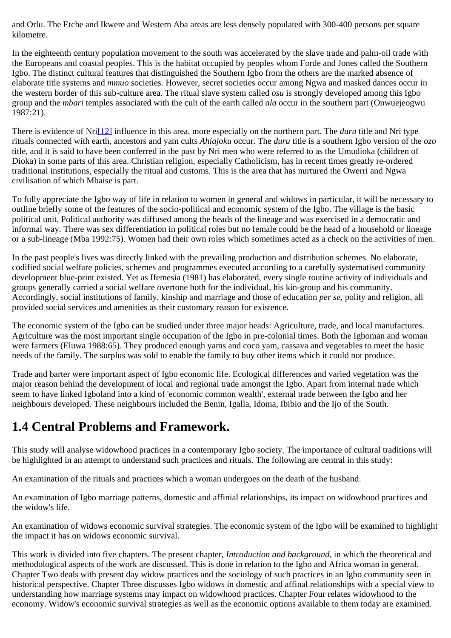and Orlu. The Etche and Ikwere and Western Aba areas are less densely populated with 300-400 persons per square kilometre.

In the eighteenth century population movement to the south was accelerated by the slave trade and palm-oil trade with the Europeans and coastal peoples. This is the habitat occupied by peoples whom Forde and Jones called the Southern Igbo. The distinct cultural features that distinguished the Southern Igbo from the others are the marked absence of elaborate title systems and *mmuo* societies. However, secret societies occur among Ngwa and masked dances occur in the western border of this sub-culture area. The ritual slave system called *osu* is strongly developed among this Igbo group and the *mbari* temples associated with the cult of the earth called *ala* occur in the southern part (Onwuejeogwu  $1987:21$ ).

There is evidence of Nr[i\[12\]](http://www.ub.uib.no/elpub/1996/h/506001/korieh/chima_fn.html#fn10) influence in this area, more especially on the northern part. The *duru* title and Nri type rituals connected with earth, ancestors and yam cults *Ahiajoku* occur. The *duru* title is a southern Igbo version of the *ozo* title, and it is said to have been conferred in the past by Nri men who were referred to as the Umudioka (children of Dioka) in some parts of this area. Christian religion, especially Catholicism, has in recent times greatly re-ordered traditional institutions, especially the ritual and customs. This is the area that has nurtured the Owerri and Ngwa civilisation of which Mbaise is part.

To fully appreciate the Igbo way of life in relation to women in general and widows in particular, it will be necessary to outline briefly some of the features of the socio-political and economic system of the Igbo. The village is the basic political unit. Political authority was diffused among the heads of the lineage and was exercised in a democratic and informal way. There was sex differentiation in political roles but no female could be the head of a household or lineage or a sub-lineage (Mba 1992:75). Women had their own roles which sometimes acted as a check on the activities of men.

In the past people's lives was directly linked with the prevailing production and distribution schemes. No elaborate, codified social welfare policies, schemes and programmes executed according to a carefully systematised community development blue-print existed. Yet as Ifemesia (1981) has elaborated, every single routine activity of individuals and groups generally carried a social welfare overtone both for the individual, his kin-group and his community. Accordingly, social institutions of family, kinship and marriage and those of education *per se,* polity and religion, all provided social services and amenities as their customary reason for existence.

The economic system of the Igbo can be studied under three major heads: Agriculture, trade, and local manufactures. Agriculture was the most important single occupation of the Igbo in pre-colonial times. Both the Igboman and woman were farmers (Eluwa 1988:65). They produced enough yams and coco yam, cassava and vegetables to meet the basic needs of the family. The surplus was sold to enable the family to buy other items which it could not produce.

Trade and barter were important aspect of Igbo economic life. Ecological differences and varied vegetation was the major reason behind the development of local and regional trade amongst the Igbo. Apart from internal trade which seem to have linked Igboland into a kind of 'economic common wealth', external trade between the Igbo and her neighbours developed. These neighbours included the Benin, Igalla, Idoma, Ibibio and the Ijo of the South.

### <span id="page-8-0"></span>**1.4 Central Problems and Framework.**

This study will analyse widowhood practices in a contemporary Igbo society. The importance of cultural traditions will be highlighted in an attempt to understand such practices and rituals. The following are central in this study:

An examination of the rituals and practices which a woman undergoes on the death of the husband.

An examination of Igbo marriage patterns, domestic and affinial relationships, its impact on widowhood practices and the widow's life.

An examination of widows economic survival strategies. The economic system of the Igbo will be examined to highlight the impact it has on widows economic survival.

This work is divided into five chapters. The present chapter, *Introduction and background,* in which the theoretical and methodological aspects of the work are discussed. This is done in relation to the Igbo and Africa woman in general. Chapter Two deals with present day widow practices and the sociology of such practices in an Igbo community seen in historical perspective. Chapter Three discusses Igbo widows in domestic and affinal relationships with a special view to understanding how marriage systems may impact on widowhood practices. Chapter Four relates widowhood to the economy. Widow's economic survival strategies as well as the economic options available to them today are examined.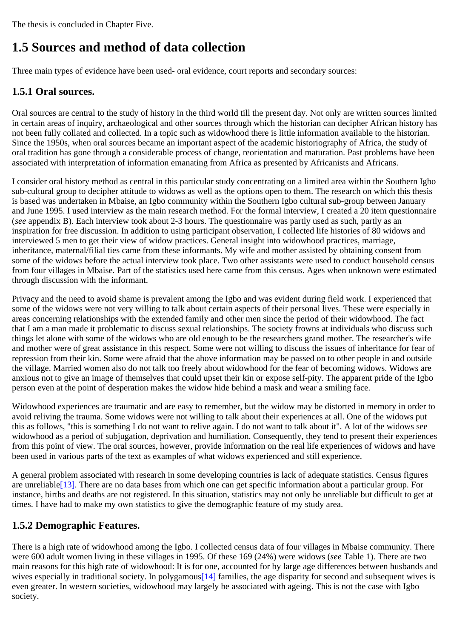The thesis is concluded in Chapter Five.

## <span id="page-9-0"></span>**1.5 Sources and method of data collection**

Three main types of evidence have been used- oral evidence, court reports and secondary sources:

### <span id="page-9-1"></span>**1.5.1 Oral sources.**

Oral sources are central to the study of history in the third world till the present day. Not only are written sources limited in certain areas of inquiry, archaeological and other sources through which the historian can decipher African history has not been fully collated and collected. In a topic such as widowhood there is little information available to the historian. Since the 1950s, when oral sources became an important aspect of the academic historiography of Africa, the study of oral tradition has gone through a considerable process of change, reorientation and maturation. Past problems have been associated with interpretation of information emanating from Africa as presented by Africanists and Africans.

I consider oral history method as central in this particular study concentrating on a limited area within the Southern Igbo sub-cultural group to decipher attitude to widows as well as the options open to them. The research on which this thesis is based was undertaken in Mbaise, an Igbo community within the Southern Igbo cultural sub-group between January and June 1995. I used interview as the main research method. For the formal interview, I created a 20 item questionnaire (*see* appendix B). Each interview took about 2-3 hours. The questionnaire was partly used as such, partly as an inspiration for free discussion. In addition to using participant observation, I collected life histories of 80 widows and interviewed 5 men to get their view of widow practices. General insight into widowhood practices, marriage, inheritance, maternal/filial ties came from these informants. My wife and mother assisted by obtaining consent from some of the widows before the actual interview took place. Two other assistants were used to conduct household census from four villages in Mbaise. Part of the statistics used here came from this census. Ages when unknown were estimated through discussion with the informant.

Privacy and the need to avoid shame is prevalent among the Igbo and was evident during field work. I experienced that some of the widows were not very willing to talk about certain aspects of their personal lives. These were especially in areas concerning relationships with the extended family and other men since the period of their widowhood. The fact that I am a man made it problematic to discuss sexual relationships. The society frowns at individuals who discuss such things let alone with some of the widows who are old enough to be the researchers grand mother. The researcher's wife and mother were of great assistance in this respect. Some were not willing to discuss the issues of inheritance for fear of repression from their kin. Some were afraid that the above information may be passed on to other people in and outside the village. Married women also do not talk too freely about widowhood for the fear of becoming widows. Widows are anxious not to give an image of themselves that could upset their kin or expose self-pity. The apparent pride of the Igbo person even at the point of desperation makes the widow hide behind a mask and wear a smiling face.

Widowhood experiences are traumatic and are easy to remember, but the widow may be distorted in memory in order to avoid reliving the trauma. Some widows were not willing to talk about their experiences at all. One of the widows put this as follows, "this is something I do not want to relive again. I do not want to talk about it". A lot of the widows see widowhood as a period of subjugation, deprivation and humiliation. Consequently, they tend to present their experiences from this point of view. The oral sources, however, provide information on the real life experiences of widows and have been used in various parts of the text as examples of what widows experienced and still experience.

A general problem associated with research in some developing countries is lack of adequate statistics. Census figures are unreliabl[e\[13\]](http://www.ub.uib.no/elpub/1996/h/506001/korieh/chima_fn.html#fn11). There are no data bases from which one can get specific information about a particular group. For instance, births and deaths are not registered. In this situation, statistics may not only be unreliable but difficult to get at times. I have had to make my own statistics to give the demographic feature of my study area.

### <span id="page-9-2"></span>**1.5.2 Demographic Features.**

There is a high rate of widowhood among the Igbo. I collected census data of four villages in Mbaise community. There were 600 adult women living in these villages in 1995. Of these 169 (24%) were widows (*see* Table 1). There are two main reasons for this high rate of widowhood: It is for one, accounted for by large age differences between husbands and wives especially in traditional society. In polygamous [14] families, the age disparity for second and subsequent wives is even greater. In western societies, widowhood may largely be associated with ageing. This is not the case with Igbo society.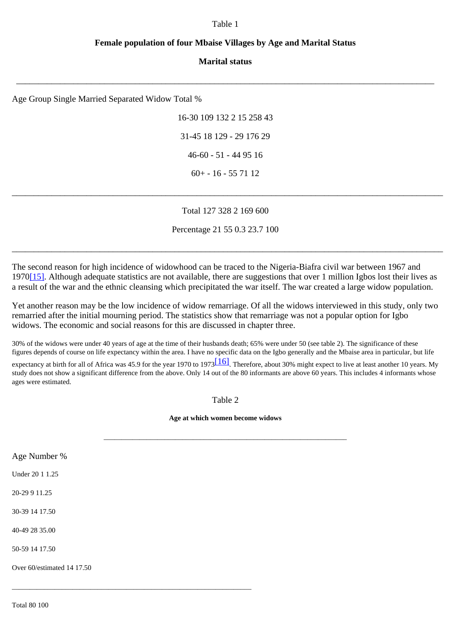#### Table 1

#### **Female population of four Mbaise Villages by Age and Marital Status**

#### **Marital status**

\_\_\_\_\_\_\_\_\_\_\_\_\_\_\_\_\_\_\_\_\_\_\_\_\_\_\_\_\_\_\_\_\_\_\_\_\_\_\_\_\_\_\_\_\_\_\_\_\_\_\_\_\_\_\_\_\_\_\_\_\_\_\_\_\_\_\_\_\_\_\_\_\_\_\_\_\_\_\_\_\_\_\_\_\_\_\_\_\_\_\_\_\_\_\_

Age Group Single Married Separated Widow Total %

16-30 109 132 2 15 258 43 31-45 18 129 - 29 176 29 46-60 - 51 - 44 95 16 60+ - 16 - 55 71 12

#### Total 127 328 2 169 600

\_\_\_\_\_\_\_\_\_\_\_\_\_\_\_\_\_\_\_\_\_\_\_\_\_\_\_\_\_\_\_\_\_\_\_\_\_\_\_\_\_\_\_\_\_\_\_\_\_\_\_\_\_\_\_\_\_\_\_\_\_\_\_\_\_\_\_\_\_\_\_\_\_\_\_\_\_\_\_\_\_\_\_\_\_\_\_\_\_\_\_\_\_\_\_\_\_\_

Percentage 21 55 0.3 23.7 100

\_\_\_\_\_\_\_\_\_\_\_\_\_\_\_\_\_\_\_\_\_\_\_\_\_\_\_\_\_\_\_\_\_\_\_\_\_\_\_\_\_\_\_\_\_\_\_\_\_\_\_\_\_\_\_\_\_\_\_\_\_\_\_\_\_\_\_\_\_\_\_\_\_\_\_\_\_\_\_\_\_\_\_\_\_\_\_\_\_\_\_\_\_\_\_\_\_\_

The second reason for high incidence of widowhood can be traced to the Nigeria-Biafra civil war between 1967 and 197[0\[15\]](http://www.ub.uib.no/elpub/1996/h/506001/korieh/chima_fn.html#fn13). Although adequate statistics are not available, there are suggestions that over 1 million Igbos lost their lives as a result of the war and the ethnic cleansing which precipitated the war itself. The war created a large widow population.

Yet another reason may be the low incidence of widow remarriage. Of all the widows interviewed in this study, only two remarried after the initial mourning period. The statistics show that remarriage was not a popular option for Igbo widows. The economic and social reasons for this are discussed in chapter three.

30% of the widows were under 40 years of age at the time of their husbands death; 65% were under 50 (see table 2). The significance of these figures depends of course on life expectancy within the area. I have no specific data on the Igbo generally and the Mbaise area in particular, but life expectancy at birth for all of Africa was 45.9 for the year 1970 to 1973 $\frac{116}{1}$ . Therefore, about 30% might expect to live at least another 10 years. My study does not show a significant difference from the above. Only 14 out of the 80 informants are above 60 years. This includes 4 informants whose ages were estimated.

Table 2

**Age at which women become widows**

\_\_\_\_\_\_\_\_\_\_\_\_\_\_\_\_\_\_\_\_\_\_\_\_\_\_\_\_\_\_\_\_\_\_\_\_\_\_\_\_\_\_\_\_\_\_\_\_\_\_\_\_\_\_\_\_\_\_\_\_\_\_\_\_\_\_\_\_

Age Number % Under 20 1 1.25 20-29 9 11.25

30-39 14 17.50

40-49 28 35.00

50-59 14 17.50

Over 60/estimated 14 17.50

\_\_\_\_\_\_\_\_\_\_\_\_\_\_\_\_\_\_\_\_\_\_\_\_\_\_\_\_\_\_\_\_\_\_\_\_\_\_\_\_\_\_\_\_\_\_\_\_\_\_\_\_\_\_\_\_\_\_\_\_\_\_\_\_\_\_\_

Total 80 100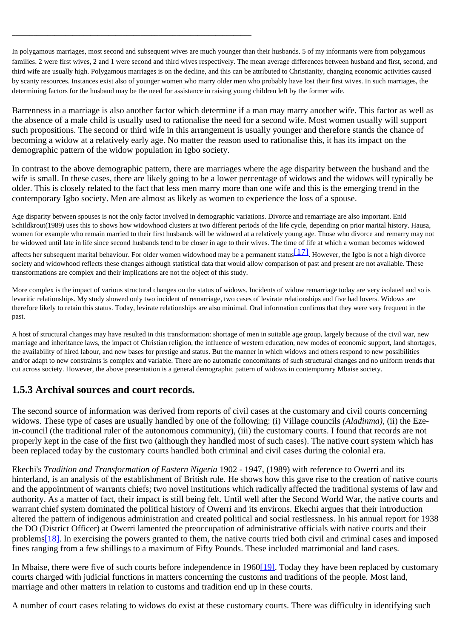In polygamous marriages, most second and subsequent wives are much younger than their husbands. 5 of my informants were from polygamous families. 2 were first wives, 2 and 1 were second and third wives respectively. The mean average differences between husband and first, second, and third wife are usually high. Polygamous marriages is on the decline, and this can be attributed to Christianity, changing economic activities caused by scanty resources. Instances exist also of younger women who marry older men who probably have lost their first wives. In such marriages, the determining factors for the husband may be the need for assistance in raising young children left by the former wife.

Barrenness in a marriage is also another factor which determine if a man may marry another wife. This factor as well as the absence of a male child is usually used to rationalise the need for a second wife. Most women usually will support such propositions. The second or third wife in this arrangement is usually younger and therefore stands the chance of becoming a widow at a relatively early age. No matter the reason used to rationalise this, it has its impact on the demographic pattern of the widow population in Igbo society.

In contrast to the above demographic pattern, there are marriages where the age disparity between the husband and the wife is small. In these cases, there are likely going to be a lower percentage of widows and the widows will typically be older. This is closely related to the fact that less men marry more than one wife and this is the emerging trend in the contemporary Igbo society. Men are almost as likely as women to experience the loss of a spouse.

Age disparity between spouses is not the only factor involved in demographic variations. Divorce and remarriage are also important. Enid Schildkrout(1989) uses this to shows how widowhood clusters at two different periods of the life cycle, depending on prior marital history. Hausa, women for example who remain married to their first husbands will be widowed at a relatively young age. Those who divorce and remarry may not be widowed until late in life since second husbands tend to be closer in age to their wives. The time of life at which a woman becomes widowed

affects her subsequent marital behaviour. For older women widowhood may be a permanent status  $[17]$ . However, the Igbo is not a high divorce society and widowhood reflects these changes although statistical data that would allow comparison of past and present are not available. These transformations are complex and their implications are not the object of this study.

More complex is the impact of various structural changes on the status of widows. Incidents of widow remarriage today are very isolated and so is levaritic relationships. My study showed only two incident of remarriage, two cases of levirate relationships and five had lovers. Widows are therefore likely to retain this status. Today, levirate relationships are also minimal. Oral information confirms that they were very frequent in the past.

A host of structural changes may have resulted in this transformation: shortage of men in suitable age group, largely because of the civil war, new marriage and inheritance laws, the impact of Christian religion, the influence of western education, new modes of economic support, land shortages, the availability of hired labour, and new bases for prestige and status. But the manner in which widows and others respond to new possibilities and/or adapt to new constraints is complex and variable. There are no automatic concomitants of such structural changes and no uniform trends that cut across society. However, the above presentation is a general demographic pattern of widows in contemporary Mbaise society.

### <span id="page-11-0"></span>**1.5.3 Archival sources and court records.**

\_\_\_\_\_\_\_\_\_\_\_\_\_\_\_\_\_\_\_\_\_\_\_\_\_\_\_\_\_\_\_\_\_\_\_\_\_\_\_\_\_\_\_\_\_\_\_\_\_\_\_\_\_\_\_\_\_\_\_\_\_\_\_\_\_\_\_

The second source of information was derived from reports of civil cases at the customary and civil courts concerning widows. These type of cases are usually handled by one of the following: (i) Village councils *(Aladinma)*, (ii) the Ezein-council (the traditional ruler of the autonomous community), (iii) the customary courts. I found that records are not properly kept in the case of the first two (although they handled most of such cases). The native court system which has been replaced today by the customary courts handled both criminal and civil cases during the colonial era.

Ekechi's *Tradition and Transformation of Eastern Nigeria* 1902 - 1947, (1989) with reference to Owerri and its hinterland, is an analysis of the establishment of British rule. He shows how this gave rise to the creation of native courts and the appointment of warrants chiefs; two novel institutions which radically affected the traditional systems of law and authority. As a matter of fact, their impact is still being felt. Until well after the Second World War, the native courts and warrant chief system dominated the political history of Owerri and its environs. Ekechi argues that their introduction altered the pattern of indigenous administration and created political and social restlessness. In his annual report for 1938 the DO (District Officer) at Owerri lamented the preoccupation of administrative officials with native courts and their problem[s\[18\]](http://www.ub.uib.no/elpub/1996/h/506001/korieh/chima_fn.html#fn14). In exercising the powers granted to them, the native courts tried both civil and criminal cases and imposed fines ranging from a few shillings to a maximum of Fifty Pounds. These included matrimonial and land cases.

In Mbaise, there were five of such courts before independence in 196[0\[19\]](http://www.ub.uib.no/elpub/1996/h/506001/korieh/chima_fn.html#fn15). Today they have been replaced by customary courts charged with judicial functions in matters concerning the customs and traditions of the people. Most land, marriage and other matters in relation to customs and tradition end up in these courts.

A number of court cases relating to widows do exist at these customary courts. There was difficulty in identifying such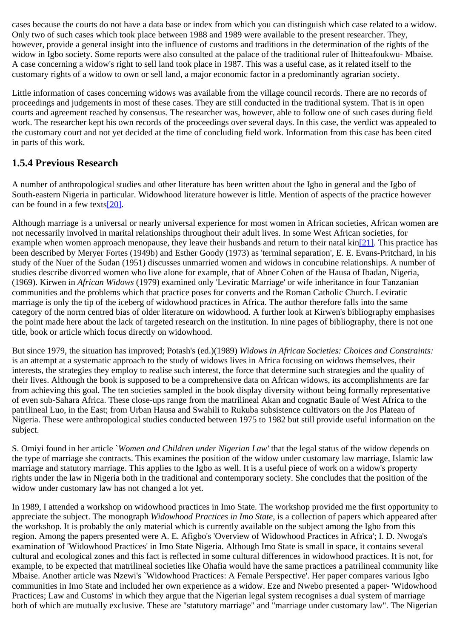cases because the courts do not have a data base or index from which you can distinguish which case related to a widow. Only two of such cases which took place between 1988 and 1989 were available to the present researcher. They, however, provide a general insight into the influence of customs and traditions in the determination of the rights of the widow in Igbo society. Some reports were also consulted at the palace of the traditional ruler of Ihitteafoukwu- Mbaise. A case concerning a widow's right to sell land took place in 1987. This was a useful case, as it related itself to the customary rights of a widow to own or sell land, a major economic factor in a predominantly agrarian society.

Little information of cases concerning widows was available from the village council records. There are no records of proceedings and judgements in most of these cases. They are still conducted in the traditional system. That is in open courts and agreement reached by consensus. The researcher was, however, able to follow one of such cases during field work. The researcher kept his own records of the proceedings over several days. In this case, the verdict was appealed to the customary court and not yet decided at the time of concluding field work. Information from this case has been cited in parts of this work.

### <span id="page-12-0"></span>**1.5.4 Previous Research**

A number of anthropological studies and other literature has been written about the Igbo in general and the Igbo of South-eastern Nigeria in particular. Widowhood literature however is little. Mention of aspects of the practice however can be found in a few texts[\[20\]](http://www.ub.uib.no/elpub/1996/h/506001/korieh/chima_fn.html#fn16).

Although marriage is a universal or nearly universal experience for most women in African societies, African women are not necessarily involved in marital relationships throughout their adult lives. In some West African societies, for example when women approach menopause, they leave their husbands and return to their natal  $\text{kin}[21]$  $\text{kin}[21]$ . This practice has been described by Meryer Fortes (1949b) and Esther Goody (1973) as 'terminal separation', E. E. Evans-Pritchard, in his study of the Nuer of the Sudan (1951) discusses unmarried women and widows in concubine relationships. A number of studies describe divorced women who live alone for example, that of Abner Cohen of the Hausa of Ibadan, Nigeria, (1969). Kirwen in *African Widows* (1979) examined only 'Leviratic Marriage' or wife inheritance in four Tanzanian communities and the problems which that practice poses for converts and the Roman Catholic Church. Leviratic marriage is only the tip of the iceberg of widowhood practices in Africa. The author therefore falls into the same category of the norm centred bias of older literature on widowhood. A further look at Kirwen's bibliography emphasises the point made here about the lack of targeted research on the institution. In nine pages of bibliography, there is not one title, book or article which focus directly on widowhood.

But since 1979, the situation has improved; Potash's (ed.)(1989) *Widows in African Societies: Choices and Constraints:* is an attempt at a systematic approach to the study of widows lives in Africa focusing on widows themselves, their interests, the strategies they employ to realise such interest, the force that determine such strategies and the quality of their lives. Although the book is supposed to be a comprehensive data on African widows, its accomplishments are far from achieving this goal. The ten societies sampled in the book display diversity without being formally representative of even sub-Sahara Africa. These close-ups range from the matrilineal Akan and cognatic Baule of West Africa to the patrilineal Luo, in the East; from Urban Hausa and Swahili to Rukuba subsistence cultivators on the Jos Plateau of Nigeria. These were anthropological studies conducted between 1975 to 1982 but still provide useful information on the subject.

S. Omiyi found in her article `*Women and Children under Nigerian Law'* that the legal status of the widow depends on the type of marriage she contracts. This examines the position of the widow under customary law marriage, Islamic law marriage and statutory marriage. This applies to the Igbo as well. It is a useful piece of work on a widow's property rights under the law in Nigeria both in the traditional and contemporary society. She concludes that the position of the widow under customary law has not changed a lot yet.

In 1989, I attended a workshop on widowhood practices in Imo State. The workshop provided me the first opportunity to appreciate the subject. The monograph *Widowhood Practices in Imo State*, is a collection of papers which appeared after the workshop. It is probably the only material which is currently available on the subject among the Igbo from this region. Among the papers presented were A. E. Afigbo's 'Overview of Widowhood Practices in Africa'; I. D. Nwoga's examination of 'Widowhood Practices' in Imo State Nigeria. Although Imo State is small in space, it contains several cultural and ecological zones and this fact is reflected in some cultural differences in widowhood practices. It is not, for example, to be expected that matrilineal societies like Ohafia would have the same practices a patrilineal community like Mbaise. Another article was Nzewi's `Widowhood Practices: A Female Perspective'. Her paper compares various Igbo communities in Imo State and included her own experience as a widow. Eze and Nwebo presented a paper- 'Widowhood Practices; Law and Customs' in which they argue that the Nigerian legal system recognises a dual system of marriage both of which are mutually exclusive. These are "statutory marriage" and "marriage under customary law". The Nigerian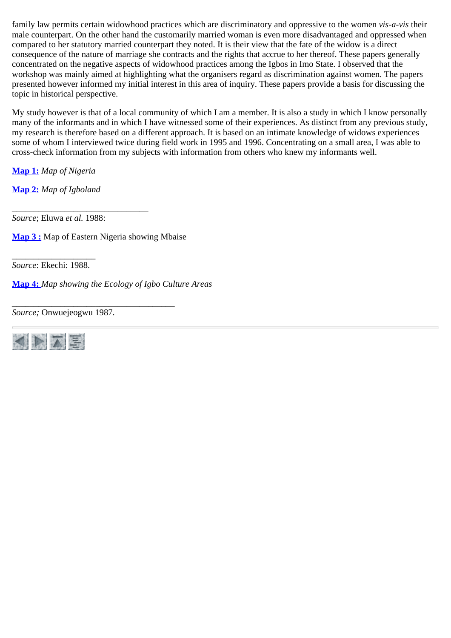family law permits certain widowhood practices which are discriminatory and oppressive to the women *vis-a-vis* their male counterpart. On the other hand the customarily married woman is even more disadvantaged and oppressed when compared to her statutory married counterpart they noted. It is their view that the fate of the widow is a direct consequence of the nature of marriage she contracts and the rights that accrue to her thereof. These papers generally concentrated on the negative aspects of widowhood practices among the Igbos in Imo State. I observed that the workshop was mainly aimed at highlighting what the organisers regard as discrimination against women. The papers presented however informed my initial interest in this area of inquiry. These papers provide a basis for discussing the topic in historical perspective.

My study however is that of a local community of which I am a member. It is also a study in which I know personally many of the informants and in which I have witnessed some of their experiences. As distinct from any previous study, my research is therefore based on a different approach. It is based on an intimate knowledge of widows experiences some of whom I interviewed twice during field work in 1995 and 1996. Concentrating on a small area, I was able to cross-check information from my subjects with information from others who knew my informants well.

**[Map 1:](http://www.ub.uib.no/elpub/1996/h/506001/korieh/map1.gif)** *Map of Nigeria*

**[Map 2:](http://www.ub.uib.no/elpub/1996/h/506001/korieh/map2.gif)** *Map of Igboland*

\_\_\_\_\_\_\_\_\_\_\_\_\_\_\_\_\_\_\_\_\_\_\_\_\_\_\_\_\_\_\_ *Source*; Eluwa *et al.* 1988:

**[Map 3 :](http://www.ub.uib.no/elpub/1996/h/506001/korieh/map3.gif)** Map of Eastern Nigeria showing Mbaise

\_\_\_\_\_\_\_\_\_\_\_\_\_\_\_\_\_\_\_\_\_\_\_\_\_\_\_\_\_\_\_\_\_\_\_\_\_

\_\_\_\_\_\_\_\_\_\_\_\_\_\_\_\_\_\_\_ *Source*: Ekechi: 1988.

**[Map 4:](http://www.ub.uib.no/elpub/1996/h/506001/korieh/map4.gif)** *Map showing the Ecology of Igbo Culture Areas*

*Source;* Onwuejeogwu 1987.

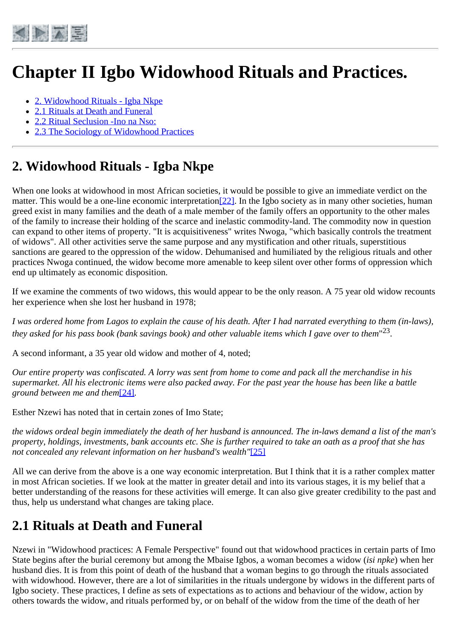<span id="page-14-0"></span>

# **Chapter II Igbo Widowhood Rituals and Practices.**

- [2. Widowhood Rituals Igba Nkpe](#page-14-1)
- [2.1 Rituals at Death and Funeral](#page-14-2)
- [2.2 Ritual Seclusion -Ino na Nso:](#page-16-0)
- [2.3 The Sociology of Widowhood Practices](#page-20-0)

## <span id="page-14-1"></span>**2. Widowhood Rituals - Igba Nkpe**

When one looks at widowhood in most African societies, it would be possible to give an immediate verdict on the matter. This would be a one-line economic interpretation  $[22]$ . In the Igbo society as in many other societies, human greed exist in many families and the death of a male member of the family offers an opportunity to the other males of the family to increase their holding of the scarce and inelastic commodity-land. The commodity now in question can expand to other items of property. "It is acquisitiveness" writes Nwoga, "which basically controls the treatment of widows". All other activities serve the same purpose and any mystification and other rituals, superstitious sanctions are geared to the oppression of the widow. Dehumanised and humiliated by the religious rituals and other practices Nwoga continued, the widow become more amenable to keep silent over other forms of oppression which end up ultimately as economic disposition.

If we examine the comments of two widows, this would appear to be the only reason. A 75 year old widow recounts her experience when she lost her husband in 1978;

*I was ordered home from Lagos to explain the cause of his death. After I had narrated everything to them (in-laws), they asked for his pass book (bank savings book) and other valuable items which I gave over to them*"23.

A second informant, a 35 year old widow and mother of 4, noted;

*Our entire property was confiscated. A lorry was sent from home to come and pack all the merchandise in his supermarket. All his electronic items were also packed away. For the past year the house has been like a battle ground between me and them*[\[24\]](http://www.ub.uib.no/elpub/1996/h/506001/korieh/chima_fn.html#fn19)*.*

Esther Nzewi has noted that in certain zones of Imo State;

*the widows ordeal begin immediately the death of her husband is announced. The in-laws demand a list of the man's property, holdings, investments, bank accounts etc. She is further required to take an oath as a proof that she has not concealed any relevant information on her husband's wealth"*[\[25\]](http://www.ub.uib.no/elpub/1996/h/506001/korieh/chima_fn.html#fn20)

All we can derive from the above is a one way economic interpretation. But I think that it is a rather complex matter in most African societies. If we look at the matter in greater detail and into its various stages, it is my belief that a better understanding of the reasons for these activities will emerge. It can also give greater credibility to the past and thus, help us understand what changes are taking place.

### <span id="page-14-2"></span>**2.1 Rituals at Death and Funeral**

Nzewi in "Widowhood practices: A Female Perspective" found out that widowhood practices in certain parts of Imo State begins after the burial ceremony but among the Mbaise Igbos, a woman becomes a widow (*isi npke*) when her husband dies. It is from this point of death of the husband that a woman begins to go through the rituals associated with widowhood. However, there are a lot of similarities in the rituals undergone by widows in the different parts of Igbo society. These practices, I define as sets of expectations as to actions and behaviour of the widow, action by others towards the widow, and rituals performed by, or on behalf of the widow from the time of the death of her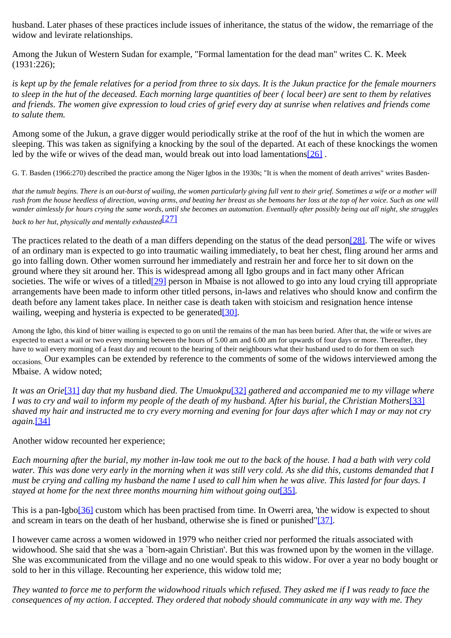husband. Later phases of these practices include issues of inheritance, the status of the widow, the remarriage of the widow and levirate relationships.

Among the Jukun of Western Sudan for example, "Formal lamentation for the dead man" writes C. K. Meek (1931:226);

is kept up by the female relatives for a period from three to six days. It is the Jukun practice for the female mourners *to sleep in the hut of the deceased. Each morning large quantities of beer ( local beer) are sent to them by relatives and friends. The women give expression to loud cries of grief every day at sunrise when relatives and friends come to salute them.*

Among some of the Jukun, a grave digger would periodically strike at the roof of the hut in which the women are sleeping. This was taken as signifying a knocking by the soul of the departed. At each of these knockings the women led by the wife or wives of the dead man, would break out into load lamentation[s\[26\]](http://www.ub.uib.no/elpub/1996/h/506001/korieh/chima_fn.html#fn21).

G. T. Basden (1966:270) described the practice among the Niger Igbos in the 1930s; "It is when the moment of death arrives" writes Basden-

*that the tumult begins. There is an out-burst of wailing, the women particularly giving full vent to their grief. Sometimes a wife or a mother will rush from the house heedless of direction, waving arms, and beating her breast as she bemoans her loss at the top of her voice. Such as one will wander aimlessly for hours crying the same words, until she becomes an automation. Eventually after possibly being out all night, she struggles back to her hut, physically and mentally exhausted*[\[27\]](http://www.ub.uib.no/elpub/1996/h/506001/korieh/chima_fn.html#fn22)

The practices related to the death of a man differs depending on the status of the dead person<sup>[28]</sup>. The wife or wives of an ordinary man is expected to go into traumatic wailing immediately, to beat her chest, fling around her arms and go into falling down. Other women surround her immediately and restrain her and force her to sit down on the ground where they sit around her. This is widespread among all Igbo groups and in fact many other African societies. The wife or wives of a titled<sup>[29]</sup> person in Mbaise is not allowed to go into any loud crying till appropriate arrangements have been made to inform other titled persons, in-laws and relatives who should know and confirm the death before any lament takes place. In neither case is death taken with stoicism and resignation hence intense wailing, weeping and hysteria is expected to be generated [\[30\].](http://www.ub.uib.no/elpub/1996/h/506001/korieh/chima_fn.html#fn24)

Among the Igbo, this kind of bitter wailing is expected to go on until the remains of the man has been buried. After that, the wife or wives are expected to enact a wail or two every morning between the hours of 5.00 am and 6.00 am for upwards of four days or more. Thereafter, they have to wail every morning of a feast day and recount to the hearing of their neighbours what their husband used to do for them on such occasions. Our examples can be extended by reference to the comments of some of the widows interviewed among the Mbaise. A widow noted;

*It was an Orie*[\[31\]](http://www.ub.uib.no/elpub/1996/h/506001/korieh/chima_fn.html#fn25) *day that my husband died. The Umuokpu*[\[32\]](http://www.ub.uib.no/elpub/1996/h/506001/korieh/chima_fn.html#fn25) *gathered and accompanied me to my village where I was to cry and wail to inform my people of the death of my husband. After his burial, the Christian Mothers*[\[33\]](http://www.ub.uib.no/elpub/1996/h/506001/korieh/chima_fn.html#fn25) *shaved my hair and instructed me to cry every morning and evening for four days after which I may or may not cry again.*[\[34\]](http://www.ub.uib.no/elpub/1996/h/506001/korieh/chima_fn.html#fn26)

Another widow recounted her experience;

*Each mourning after the burial, my mother in-law took me out to the back of the house. I had a bath with very cold water. This was done very early in the morning when it was still very cold. As she did this, customs demanded that I must be crying and calling my husband the name I used to call him when he was alive. This lasted for four days. I stayed at home for the next three months mourning him without going out*[\[35\]](http://www.ub.uib.no/elpub/1996/h/506001/korieh/chima_fn.html#fn26)*.*

This is a pan-Igb[o\[36\]](http://www.ub.uib.no/elpub/1996/h/506001/korieh/chima_fn.html#fn26) custom which has been practised from time. In Owerri area, 'the widow is expected to shout and scream in tears on the death of her husband, otherwise she is fined or punished"[\[37\].](http://www.ub.uib.no/elpub/1996/h/506001/korieh/chima_fn.html#fn27)

I however came across a women widowed in 1979 who neither cried nor performed the rituals associated with widowhood. She said that she was a 'born-again Christian'. But this was frowned upon by the women in the village. She was excommunicated from the village and no one would speak to this widow. For over a year no body bought or sold to her in this village. Recounting her experience, this widow told me;

*They wanted to force me to perform the widowhood rituals which refused. They asked me if I was ready to face the consequences of my action. I accepted. They ordered that nobody should communicate in any way with me. They*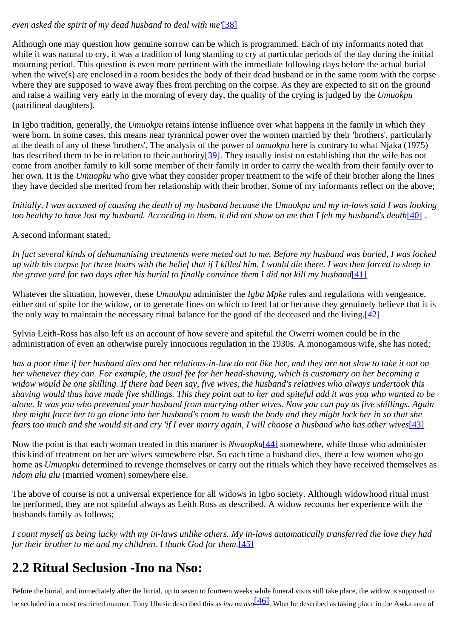#### *even asked the spirit of my dead husband to deal with me'*[\[38\]](http://www.ub.uib.no/elpub/1996/h/506001/korieh/chima_fn.html#fn27)

Although one may question how genuine sorrow can be which is programmed. Each of my informants noted that while it was natural to cry, it was a tradition of long standing to cry at particular periods of the day during the initial mourning period. This question is even more pertinent with the immediate following days before the actual burial when the wive(s) are enclosed in a room besides the body of their dead husband or in the same room with the corpse where they are supposed to wave away flies from perching on the corpse. As they are expected to sit on the ground and raise a wailing very early in the morning of every day, the quality of the crying is judged by the *Umuokpu* (patrilineal daughters)*.*

In Igbo tradition, generally, the *Umuokpu* retains intense influence over what happens in the family in which they were born. In some cases, this means near tyrannical power over the women married by their 'brothers', particularly at the death of any of these 'brothers'. The analysis of the power of *umuokpu* here is contrary to what Njaka (1975) has described them to be in relation to their authority<sup>[39]</sup>. They usually insist on establishing that the wife has not come from another family to kill some member of their family in order to carry the wealth from their family over to her own. It is the *Umuopku* who give what they consider proper treatment to the wife of their brother along the lines they have decided she merited from her relationship with their brother. Some of my informants reflect on the above;

*Initially, I was accused of causing the death of my husband because the Umuokpu and my in-laws said I was looking too healthy to have lost my husband. According to them, it did not show on me that I felt my husband's death*[\[40\]](http://www.ub.uib.no/elpub/1996/h/506001/korieh/chima_fn.html#fn29).

A second informant stated;

*In fact several kinds of dehumanising treatments were meted out to me. Before my husband was buried, I was locked up with his corpse for three hours with the belief that if I killed him, I would die there. I was then forced to sleep in the grave yard for two days after his burial to finally convince them I did not kill my husband*[\[41\]](http://www.ub.uib.no/elpub/1996/h/506001/korieh/chima_fn.html#fn30)

Whatever the situation, however, these *Umuokpu* administer the *Igba Mpke* rules and regulations with vengeance, either out of spite for the widow, or to generate fines on which to feed fat or because they genuinely believe that it is the only way to maintain the necessary ritual balance for the good of the deceased and the living[.\[42\]](http://www.ub.uib.no/elpub/1996/h/506001/korieh/chima_fn.html#fn31)

Sylvia Leith-Ross has also left us an account of how severe and spiteful the Owerri women could be in the administration of even an otherwise purely innocuous regulation in the 1930s. A monogamous wife, she has noted;

*has a poor time if her husband dies and her relations-in-law do not like her, and they are not slow to take it out on her whenever they can. For example, the usual fee for her head-shaving, which is customary on her becoming a widow would be one shilling. If there had been say, five wives, the husband's relatives who always undertook this shaving would thus have made five shillings. This they point out to her and spiteful add it was you who wanted to be alone. It was you who prevented your husband from marrying other wives. Now you can pay us five shillings. Again they might force her to go alone into her husband's room to wash the body and they might lock her in so that she fears too much and she would sit and cry 'if I ever marry again, I will choose a husband who has other wives*[\[43\]](http://www.ub.uib.no/elpub/1996/h/506001/korieh/chima_fn.html#fn32)

Now the point is that each woman treated in this manner is *Nwaopku*[\[44\]](http://www.ub.uib.no/elpub/1996/h/506001/korieh/chima_fn.html#fn33) somewhere, while those who administer this kind of treatment on her are wives somewhere else. So each time a husband dies, there a few women who go home as *Umuopku* determined to revenge themselves or carry out the rituals which they have received themselves as *ndom alu alu* (married women) somewhere else.

The above of course is not a universal experience for all widows in Igbo society. Although widowhood ritual must be performed, they are not spiteful always as Leith Ross as described. A widow recounts her experience with the husbands family as follows;

*I count myself as being lucky with my in-laws unlike others. My in-laws automatically transferred the love they had for their brother to me and my children. I thank God for them.*[\[45\]](http://www.ub.uib.no/elpub/1996/h/506001/korieh/chima_fn.html#fn34)

## <span id="page-16-0"></span>**2.2 Ritual Seclusion -Ino na Nso:**

Before the burial, and immediately after the burial, up to seven to fourteen weeks while funeral visits still take place, the widow is supposed to be secluded in a most restricted manner. Tony Ubesie described this as *ino na nso*[\[46\]](http://www.ub.uib.no/elpub/1996/h/506001/korieh/chima_fn.html#fn35). What he described as taking place in the Awka area of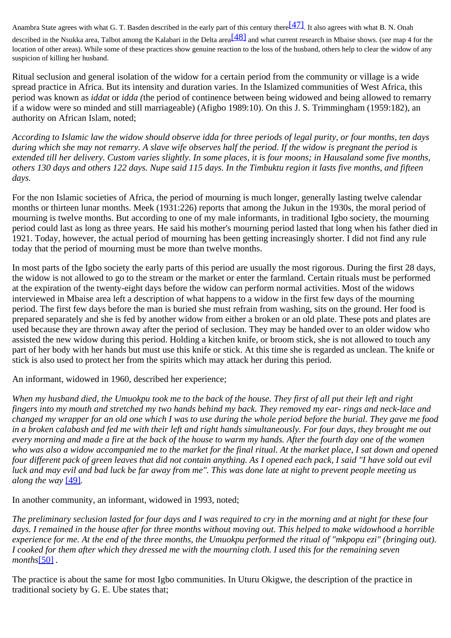Anambra State agrees with what G. T. Basden described in the early part of this century there<sup>[47]</sup>. It also agrees with what B. N. Onah

described in the Nsukka area, Talbot among the Kalabari in the Delta area<sup>[\[48\]](http://www.ub.uib.no/elpub/1996/h/506001/korieh/chima_fn.html#fn37)</sup> and what current research in Mbaise shows. (*see* map 4 for the location of other areas). While some of these practices show genuine reaction to the loss of the husband, others help to clear the widow of any suspicion of killing her husband.

Ritual seclusion and general isolation of the widow for a certain period from the community or village is a wide spread practice in Africa. But its intensity and duration varies. In the Islamized communities of West Africa, this period was known as *iddat* or *idda (*the period of continence between being widowed and being allowed to remarry if a widow were so minded and still marriageable) (Afigbo 1989:10). On this J. S. Trimmingham (1959:182), an authority on African Islam, noted;

*According to Islamic law the widow should observe idda for three periods of legal purity, or four months, ten days during which she may not remarry. A slave wife observes half the period. If the widow is pregnant the period is extended till her delivery. Custom varies slightly. In some places, it is four moons; in Hausaland some five months, others 130 days and others 122 days. Nupe said 115 days. In the Timbuktu region it lasts five months, and fifteen days.*

For the non Islamic societies of Africa, the period of mourning is much longer, generally lasting twelve calendar months or thirteen lunar months. Meek (1931:226) reports that among the Jukun in the 1930s, the moral period of mourning is twelve months. But according to one of my male informants, in traditional Igbo society, the mourning period could last as long as three years. He said his mother's mourning period lasted that long when his father died in 1921. Today, however, the actual period of mourning has been getting increasingly shorter. I did not find any rule today that the period of mourning must be more than twelve months.

In most parts of the Igbo society the early parts of this period are usually the most rigorous. During the first 28 days, the widow is not allowed to go to the stream or the market or enter the farmland. Certain rituals must be performed at the expiration of the twenty-eight days before the widow can perform normal activities. Most of the widows interviewed in Mbaise area left a description of what happens to a widow in the first few days of the mourning period. The first few days before the man is buried she must refrain from washing, sits on the ground. Her food is prepared separately and she is fed by another widow from either a broken or an old plate. These pots and plates are used because they are thrown away after the period of seclusion. They may be handed over to an older widow who assisted the new widow during this period. Holding a kitchen knife, or broom stick, she is not allowed to touch any part of her body with her hands but must use this knife or stick. At this time she is regarded as unclean. The knife or stick is also used to protect her from the spirits which may attack her during this period.

An informant, widowed in 1960, described her experience;

*When my husband died, the Umuokpu took me to the back of the house. They first of all put their left and right fingers into my mouth and stretched my two hands behind my back. They removed my ear- rings and neck-lace and changed my wrapper for an old one which I was to use during the whole period before the burial. They gave me food in a broken calabash and fed me with their left and right hands simultaneously. For four days, they brought me out every morning and made a fire at the back of the house to warm my hands. After the fourth day one of the women who was also a widow accompanied me to the market for the final ritual. At the market place, I sat down and opened four different pack of green leaves that did not contain anything. As I opened each pack, I said "I have sold out evil luck and may evil and bad luck be far away from me". This was done late at night to prevent people meeting us along the way* [\[49\]](http://www.ub.uib.no/elpub/1996/h/506001/korieh/chima_fn.html#fn38)*.*

In another community, an informant, widowed in 1993, noted;

*The preliminary seclusion lasted for four days and I was required to cry in the morning and at night for these four days. I remained in the house after for three months without moving out. This helped to make widowhood a horrible experience for me. At the end of the three months, the Umuokpu performed the ritual of "mkpopu ezi" (bringing out). I cooked for them after which they dressed me with the mourning cloth. I used this for the remaining seven months*[\[50\]](http://www.ub.uib.no/elpub/1996/h/506001/korieh/chima_fn.html#fn39) *.*

The practice is about the same for most Igbo communities. In Uturu Okigwe, the description of the practice in traditional society by G. E. Ube states that;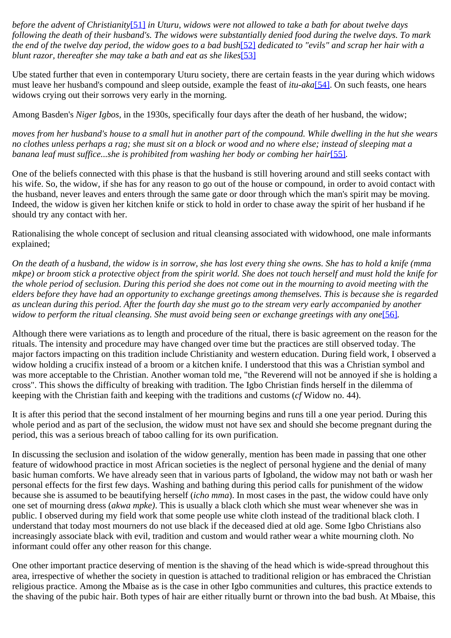*before the advent of Christianity*[\[51\]](http://www.ub.uib.no/elpub/1996/h/506001/korieh/chima_fn.html#fn40) *in Uturu, widows were not allowed to take a bath for about twelve days following the death of their husband's. The widows were substantially denied food during the twelve days. To mark the end of the twelve day period, the widow goes to a bad bush*[\[52\]](http://www.ub.uib.no/elpub/1996/h/506001/korieh/chima_fn.html#fn41) *dedicated to "evils" and scrap her hair with a blunt razor, thereafter she may take a bath and eat as she likes*[\[53\]](http://www.ub.uib.no/elpub/1996/h/506001/korieh/chima_fn.html#fn42)

Ube stated further that even in contemporary Uturu society, there are certain feasts in the year during which widows must leave her husband's compound and sleep outside, example the feast of *itu-aka*[\[54\]](http://www.ub.uib.no/elpub/1996/h/506001/korieh/chima_fn.html#fn43). On such feasts, one hears widows crying out their sorrows very early in the morning.

Among Basden's *Niger Igbos,* in the 1930s, specifically four days after the death of her husband, the widow;

*moves from her husband's house to a small hut in another part of the compound. While dwelling in the hut she wears no clothes unless perhaps a rag; she must sit on a block or wood and no where else; instead of sleeping mat a banana leaf must suffice...she is prohibited from washing her body or combing her hair*[\[55\]](http://www.ub.uib.no/elpub/1996/h/506001/korieh/chima_fn.html#fn44)*.*

One of the beliefs connected with this phase is that the husband is still hovering around and still seeks contact with his wife. So, the widow, if she has for any reason to go out of the house or compound, in order to avoid contact with the husband, never leaves and enters through the same gate or door through which the man's spirit may be moving. Indeed, the widow is given her kitchen knife or stick to hold in order to chase away the spirit of her husband if he should try any contact with her.

Rationalising the whole concept of seclusion and ritual cleansing associated with widowhood, one male informants explained;

*On the death of a husband, the widow is in sorrow, she has lost every thing she owns. She has to hold a knife (mma mkpe) or broom stick a protective object from the spirit world. She does not touch herself and must hold the knife for the whole period of seclusion. During this period she does not come out in the mourning to avoid meeting with the elders before they have had an opportunity to exchange greetings among themselves. This is because she is regarded as unclean during this period. After the fourth day she must go to the stream very early accompanied by another widow to perform the ritual cleansing. She must avoid being seen or exchange greetings with any one*[\[56\]](http://www.ub.uib.no/elpub/1996/h/506001/korieh/chima_fn.html#fn45)*.*

Although there were variations as to length and procedure of the ritual, there is basic agreement on the reason for the rituals. The intensity and procedure may have changed over time but the practices are still observed today. The major factors impacting on this tradition include Christianity and western education. During field work, I observed a widow holding a crucifix instead of a broom or a kitchen knife. I understood that this was a Christian symbol and was more acceptable to the Christian. Another woman told me, "the Reverend will not be annoyed if she is holding a cross". This shows the difficulty of breaking with tradition. The Igbo Christian finds herself in the dilemma of keeping with the Christian faith and keeping with the traditions and customs (*cf* Widow no. 44).

It is after this period that the second instalment of her mourning begins and runs till a one year period. During this whole period and as part of the seclusion, the widow must not have sex and should she become pregnant during the period, this was a serious breach of taboo calling for its own purification.

In discussing the seclusion and isolation of the widow generally, mention has been made in passing that one other feature of widowhood practice in most African societies is the neglect of personal hygiene and the denial of many basic human comforts. We have already seen that in various parts of Igboland, the widow may not bath or wash her personal effects for the first few days. Washing and bathing during this period calls for punishment of the widow because she is assumed to be beautifying herself (*icho mma*). In most cases in the past, the widow could have only one set of mourning dress (*akwa mpke)*. This is usually a black cloth which she must wear whenever she was in public. I observed during my field work that some people use white cloth instead of the traditional black cloth. I understand that today most mourners do not use black if the deceased died at old age. Some Igbo Christians also increasingly associate black with evil, tradition and custom and would rather wear a white mourning cloth. No informant could offer any other reason for this change.

One other important practice deserving of mention is the shaving of the head which is wide-spread throughout this area, irrespective of whether the society in question is attached to traditional religion or has embraced the Christian religious practice. Among the Mbaise as is the case in other Igbo communities and cultures, this practice extends to the shaving of the pubic hair. Both types of hair are either ritually burnt or thrown into the bad bush. At Mbaise, this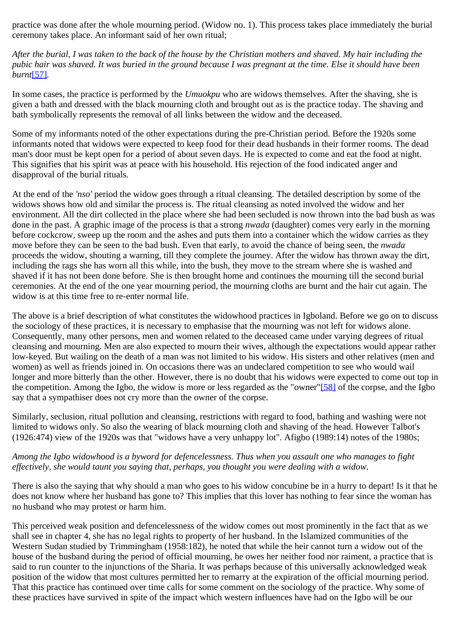practice was done after the whole mourning period. (Widow no. 1). This process takes place immediately the burial ceremony takes place. An informant said of her own ritual;

*After the burial, I was taken to the back of the house by the Christian mothers and shaved. My hair including the pubic hair was shaved. It was buried in the ground because I was pregnant at the time. Else it should have been burnt*[\[57\]](http://www.ub.uib.no/elpub/1996/h/506001/korieh/chima_fn.html#fn46)*.*

In some cases, the practice is performed by the *Umuokpu* who are widows themselves. After the shaving, she is given a bath and dressed with the black mourning cloth and brought out as is the practice today. The shaving and bath symbolically represents the removal of all links between the widow and the deceased.

Some of my informants noted of the other expectations during the pre-Christian period. Before the 1920s some informants noted that widows were expected to keep food for their dead husbands in their former rooms. The dead man's door must be kept open for a period of about seven days. He is expected to come and eat the food at night. This signifies that his spirit was at peace with his household. His rejection of the food indicated anger and disapproval of the burial rituals.

At the end of the *'nso'* period the widow goes through a ritual cleansing. The detailed description by some of the widows shows how old and similar the process is. The ritual cleansing as noted involved the widow and her environment. All the dirt collected in the place where she had been secluded is now thrown into the bad bush as was done in the past. A graphic image of the process is that a strong *nwada* (daughter) comes very early in the morning before cockcrow, sweep up the room and the ashes and puts them into a container which the widow carries as they move before they can be seen to the bad bush. Even that early, to avoid the chance of being seen, the *nwada* proceeds the widow, shouting a warning, till they complete the journey. After the widow has thrown away the dirt, including the rags she has worn all this while, into the bush, they move to the stream where she is washed and shaved if it has not been done before. She is then brought home and continues the mourning till the second burial ceremonies. At the end of the one year mourning period, the mourning cloths are burnt and the hair cut again. The widow is at this time free to re-enter normal life.

The above is a brief description of what constitutes the widowhood practices in Igboland. Before we go on to discuss the sociology of these practices, it is necessary to emphasise that the mourning was not left for widows alone. Consequently, many other persons, men and women related to the deceased came under varying degrees of ritual cleansing and mourning. Men are also expected to mourn their wives, although the expectations would appear rather low-keyed. But wailing on the death of a man was not limited to his widow. His sisters and other relatives (men and women) as well as friends joined in. On occasions there was an undeclared competition to see who would wail longer and more bitterly than the other. However, there is no doubt that his widows were expected to come out top in the competition. Among the Igbo, the widow is more or less regarded as the "owner["\[58\]](http://www.ub.uib.no/elpub/1996/h/506001/korieh/chima_fn.html#fn47) of the corpse, and the Igbo say that a sympathiser does not cry more than the owner of the corpse.

Similarly, seclusion, ritual pollution and cleansing, restrictions with regard to food, bathing and washing were not limited to widows only. So also the wearing of black mourning cloth and shaving of the head. However Talbot's (1926:474) view of the 1920s was that "widows have a very unhappy lot". Afigbo (1989:14) notes of the 1980s;

#### *Among the Igbo widowhood is a byword for defencelessness. Thus when you assault one who manages to fight effectively, she would taunt you saying that, perhaps, you thought you were dealing with a widow.*

There is also the saying that why should a man who goes to his widow concubine be in a hurry to depart! Is it that he does not know where her husband has gone to? This implies that this lover has nothing to fear since the woman has no husband who may protest or harm him.

This perceived weak position and defencelessness of the widow comes out most prominently in the fact that as we shall see in chapter 4, she has no legal rights to property of her husband. In the Islamized communities of the Western Sudan studied by Trimmingham (1958:182), he noted that while the heir cannot turn a widow out of the house of the husband during the period of official mourning, he owes her neither food nor raiment, a practice that is said to run counter to the injunctions of the Sharia. It was perhaps because of this universally acknowledged weak position of the widow that most cultures permitted her to remarry at the expiration of the official mourning period. That this practice has continued over time calls for some comment on the sociology of the practice. Why some of these practices have survived in spite of the impact which western influences have had on the Igbo will be our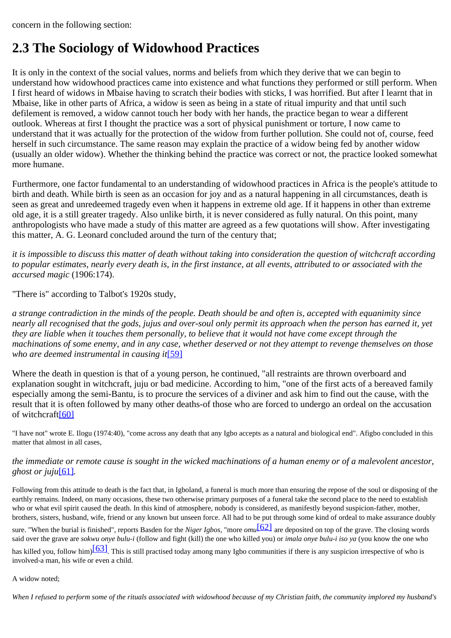concern in the following section:

## <span id="page-20-0"></span>**2.3 The Sociology of Widowhood Practices**

It is only in the context of the social values, norms and beliefs from which they derive that we can begin to understand how widowhood practices came into existence and what functions they performed or still perform. When I first heard of widows in Mbaise having to scratch their bodies with sticks, I was horrified. But after I learnt that in Mbaise, like in other parts of Africa, a widow is seen as being in a state of ritual impurity and that until such defilement is removed, a widow cannot touch her body with her hands, the practice began to wear a different outlook. Whereas at first I thought the practice was a sort of physical punishment or torture, I now came to understand that it was actually for the protection of the widow from further pollution. She could not of, course, feed herself in such circumstance. The same reason may explain the practice of a widow being fed by another widow (usually an older widow). Whether the thinking behind the practice was correct or not, the practice looked somewhat more humane.

Furthermore, one factor fundamental to an understanding of widowhood practices in Africa is the people's attitude to birth and death. While birth is seen as an occasion for joy and as a natural happening in all circumstances, death is seen as great and unredeemed tragedy even when it happens in extreme old age. If it happens in other than extreme old age, it is a still greater tragedy. Also unlike birth, it is never considered as fully natural. On this point, many anthropologists who have made a study of this matter are agreed as a few quotations will show. After investigating this matter, A. G. Leonard concluded around the turn of the century that;

*it is impossible to discuss this matter of death without taking into consideration the question of witchcraft according to popular estimates, nearly every death is, in the first instance, at all events, attributed to or associated with the accursed magic* (1906:174).

"There is" according to Talbot's 1920s study,

*a strange contradiction in the minds of the people. Death should be and often is, accepted with equanimity since nearly all recognised that the gods, jujus and over-soul only permit its approach when the person has earned it, yet they are liable when it touches them personally, to believe that it would not have come except through the machinations of some enemy, and in any case, whether deserved or not they attempt to revenge themselves on those who are deemed instrumental in causing it*[\[59\]](http://www.ub.uib.no/elpub/1996/h/506001/korieh/chima_fn.html#fn48)

Where the death in question is that of a young person, he continued, "all restraints are thrown overboard and explanation sought in witchcraft, juju or bad medicine. According to him, "one of the first acts of a bereaved family especially among the semi-Bantu, is to procure the services of a diviner and ask him to find out the cause, with the result that it is often followed by many other deaths-of those who are forced to undergo an ordeal on the accusation of witchcraft[\[60\]](http://www.ub.uib.no/elpub/1996/h/506001/korieh/chima_fn.html#fn49)

"I have not" wrote E. Ilogu (1974:40), "come across any death that any Igbo accepts as a natural and biological end". Afigbo concluded in this matter that almost in all cases,

#### *the immediate or remote cause is sought in the wicked machinations of a human enemy or of a malevolent ancestor, ghost or juju*[\[61\]](http://www.ub.uib.no/elpub/1996/h/506001/korieh/chima_fn.html#fn50)*.*

Following from this attitude to death is the fact that, in Igboland, a funeral is much more than ensuring the repose of the soul or disposing of the earthly remains. Indeed, on many occasions, these two otherwise primary purposes of a funeral take the second place to the need to establish who or what evil spirit caused the death. In this kind of atmosphere, nobody is considered, as manifestly beyond suspicion-father, mother, brothers, sisters, husband, wife, friend or any known but unseen force. All had to be put through some kind of ordeal to make assurance doubly sure. "When the burial is finished", reports Basden for the *Niger Igbos*, "more *omu*[\[62\]](http://www.ub.uib.no/elpub/1996/h/506001/korieh/chima_fn.html#fn51) are deposited on top of the grave. The closing words

said over the grave are *sokwu onye bulu-i* (follow and fight (kill) the one who killed you) or *imala onye bulu-i iso ya* (you know the one who has killed you, follow him)<sup>[63]</sup>. This is still practised today among many Igbo communities if there is any suspicion irrespective of who is

involved-a man, his wife or even a child.

A widow noted;

*When I refused to perform some of the rituals associated with widowhood because of my Christian faith, the community implored my husband's*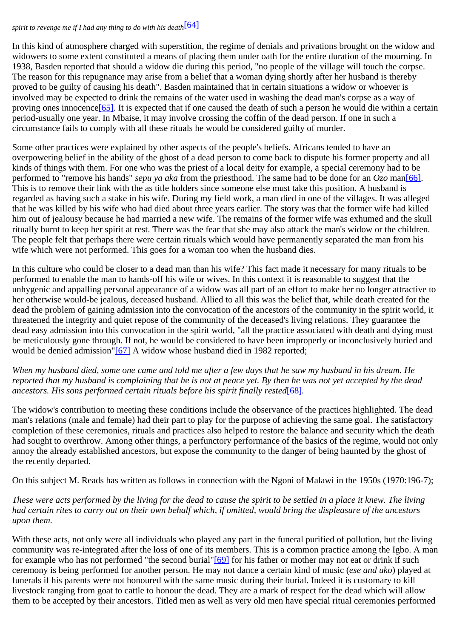#### *spirit to revenge me if I had any thing to do with his death*[\[64\]](http://www.ub.uib.no/elpub/1996/h/506001/korieh/chima_fn.html#fn53)

In this kind of atmosphere charged with superstition, the regime of denials and privations brought on the widow and widowers to some extent constituted a means of placing them under oath for the entire duration of the mourning. In 1938, Basden reported that should a widow die during this period, "no people of the village will touch the corpse. The reason for this repugnance may arise from a belief that a woman dying shortly after her husband is thereby proved to be guilty of causing his death". Basden maintained that in certain situations a widow or whoever is involved may be expected to drink the remains of the water used in washing the dead man's corpse as a way of proving ones innocence<sup>[65]</sup>. It is expected that if one caused the death of such a person he would die within a certain period-usually one year. In Mbaise, it may involve crossing the coffin of the dead person. If one in such a circumstance fails to comply with all these rituals he would be considered guilty of murder.

Some other practices were explained by other aspects of the people's beliefs. Africans tended to have an overpowering belief in the ability of the ghost of a dead person to come back to dispute his former property and all kinds of things with them. For one who was the priest of a local deity for example, a special ceremony had to be performed to "remove his hands" *sepu ya aka* from the priesthood. The same had to be done for an *Ozo* ma[n\[66\]](http://www.ub.uib.no/elpub/1996/h/506001/korieh/chima_fn.html#fn55). This is to remove their link with the as title holders since someone else must take this position. A husband is regarded as having such a stake in his wife. During my field work, a man died in one of the villages. It was alleged that he was killed by his wife who had died about three years earlier. The story was that the former wife had killed him out of jealousy because he had married a new wife. The remains of the former wife was exhumed and the skull ritually burnt to keep her spirit at rest. There was the fear that she may also attack the man's widow or the children. The people felt that perhaps there were certain rituals which would have permanently separated the man from his wife which were not performed. This goes for a woman too when the husband dies.

In this culture who could be closer to a dead man than his wife? This fact made it necessary for many rituals to be performed to enable the man to hands-off his wife or wives. In this context it is reasonable to suggest that the unhygenic and appalling personal appearance of a widow was all part of an effort to make her no longer attractive to her otherwise would-be jealous, deceased husband. Allied to all this was the belief that, while death created for the dead the problem of gaining admission into the convocation of the ancestors of the community in the spirit world, it threatened the integrity and quiet repose of the community of the deceased's living relations. They guarantee the dead easy admission into this convocation in the spirit world, "all the practice associated with death and dying must be meticulously gone through. If not, he would be considered to have been improperly or inconclusively buried and would be denied admission"[\[67\]](http://www.ub.uib.no/elpub/1996/h/506001/korieh/chima_fn.html#fn56) A widow whose husband died in 1982 reported;

*When my husband died, some one came and told me after a few days that he saw my husband in his dream. He reported that my husband is complaining that he is not at peace yet. By then he was not yet accepted by the dead ancestors. His sons performed certain rituals before his spirit finally rested*[\[68\]](http://www.ub.uib.no/elpub/1996/h/506001/korieh/chima_fn.html#fn57)*.*

The widow's contribution to meeting these conditions include the observance of the practices highlighted. The dead man's relations (male and female) had their part to play for the purpose of achieving the same goal. The satisfactory completion of these ceremonies, rituals and practices also helped to restore the balance and security which the death had sought to overthrow. Among other things, a perfunctory performance of the basics of the regime, would not only annoy the already established ancestors, but expose the community to the danger of being haunted by the ghost of the recently departed.

On this subject M. Reads has written as follows in connection with the Ngoni of Malawi in the 1950s (1970:196-7);

*These were acts performed by the living for the dead to cause the spirit to be settled in a place it knew. The living had certain rites to carry out on their own behalf which, if omitted, would bring the displeasure of the ancestors upon them.*

With these acts, not only were all individuals who played any part in the funeral purified of pollution, but the living community was re-integrated after the loss of one of its members. This is a common practice among the Igbo. A man for example who has not performed "the second burial["\[69\]](http://www.ub.uib.no/elpub/1996/h/506001/korieh/chima_fn.html#fn58) for his father or mother may not eat or drink if such ceremony is being performed for another person. He may not dance a certain kind of music (*ese and uko*) played at funerals if his parents were not honoured with the same music during their burial. Indeed it is customary to kill livestock ranging from goat to cattle to honour the dead. They are a mark of respect for the dead which will allow them to be accepted by their ancestors. Titled men as well as very old men have special ritual ceremonies performed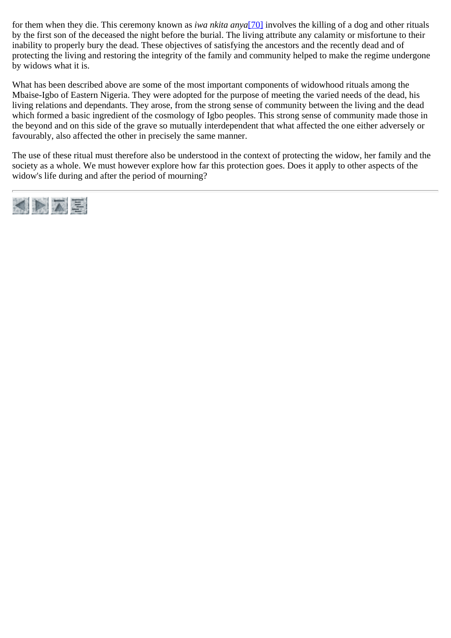for them when they die. This ceremony known as *iwa nkita anya*[\[70\]](http://www.ub.uib.no/elpub/1996/h/506001/korieh/chima_fn.html#fn59) involves the killing of a dog and other rituals by the first son of the deceased the night before the burial. The living attribute any calamity or misfortune to their inability to properly bury the dead. These objectives of satisfying the ancestors and the recently dead and of protecting the living and restoring the integrity of the family and community helped to make the regime undergone by widows what it is.

What has been described above are some of the most important components of widowhood rituals among the Mbaise-Igbo of Eastern Nigeria. They were adopted for the purpose of meeting the varied needs of the dead, his living relations and dependants. They arose, from the strong sense of community between the living and the dead which formed a basic ingredient of the cosmology of Igbo peoples. This strong sense of community made those in the beyond and on this side of the grave so mutually interdependent that what affected the one either adversely or favourably, also affected the other in precisely the same manner.

The use of these ritual must therefore also be understood in the context of protecting the widow, her family and the society as a whole. We must however explore how far this protection goes. Does it apply to other aspects of the widow's life during and after the period of mourning?

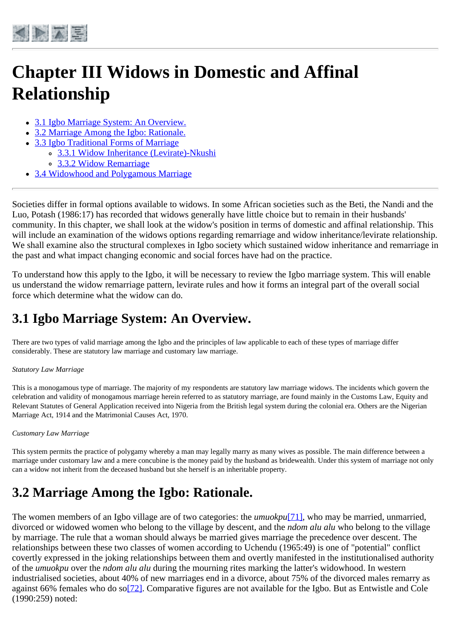<span id="page-23-0"></span>

# **Chapter III Widows in Domestic and Affinal Relationship**

- [3.1 Igbo Marriage System: An Overview.](#page-23-1)
- [3.2 Marriage Among the Igbo: Rationale.](#page-23-2)
- [3.3 Igbo Traditional Forms of Marriage](#page-25-0)
	- o [3.3.1 Widow Inheritance \(Levirate\)-Nkushi](#page-26-0)
		- [3.3.2 Widow Remarriage](#page-28-0)
- [3.4 Widowhood and Polygamous Marriage](#page-29-0)

Societies differ in formal options available to widows. In some African societies such as the Beti, the Nandi and the Luo, Potash (1986:17) has recorded that widows generally have little choice but to remain in their husbands' community. In this chapter, we shall look at the widow's position in terms of domestic and affinal relationship. This will include an examination of the widows options regarding remarriage and widow inheritance/levirate relationship. We shall examine also the structural complexes in Igbo society which sustained widow inheritance and remarriage in the past and what impact changing economic and social forces have had on the practice.

To understand how this apply to the Igbo, it will be necessary to review the Igbo marriage system. This will enable us understand the widow remarriage pattern, levirate rules and how it forms an integral part of the overall social force which determine what the widow can do.

## <span id="page-23-1"></span>**3.1 Igbo Marriage System: An Overview.**

There are two types of valid marriage among the Igbo and the principles of law applicable to each of these types of marriage differ considerably. These are statutory law marriage and customary law marriage.

#### *Statutory Law Marriage*

This is a monogamous type of marriage. The majority of my respondents are statutory law marriage widows. The incidents which govern the celebration and validity of monogamous marriage herein referred to as statutory marriage, are found mainly in the Customs Law, Equity and Relevant Statutes of General Application received into Nigeria from the British legal system during the colonial era. Others are the Nigerian Marriage Act, 1914 and the Matrimonial Causes Act, 1970.

#### *Customary Law Marriage*

This system permits the practice of polygamy whereby a man may legally marry as many wives as possible. The main difference between a marriage under customary law and a mere concubine is the money paid by the husband as bridewealth. Under this system of marriage not only can a widow not inherit from the deceased husband but she herself is an inheritable property.

## <span id="page-23-2"></span>**3.2 Marriage Among the Igbo: Rationale.**

The women members of an Igbo village are of two categories: the *umuokpu*<sup>[\[71\]](http://www.ub.uib.no/elpub/1996/h/506001/korieh/chima_fn.html#fn60)</sup>, who may be married, unmarried, divorced or widowed women who belong to the village by descent, and the *ndom alu alu* who belong to the village by marriage. The rule that a woman should always be married gives marriage the precedence over descent. The relationships between these two classes of women according to Uchendu (1965:49) is one of "potential" conflict covertly expressed in the joking relationships between them and overtly manifested in the institutionalised authority of the *umuokpu* over the *ndom alu alu* during the mourning rites marking the latter's widowhood. In western industrialised societies, about 40% of new marriages end in a divorce, about 75% of the divorced males remarry as against 66% females who do so[\[72\].](http://www.ub.uib.no/elpub/1996/h/506001/korieh/chima_fn.html#fn61) Comparative figures are not available for the Igbo. But as Entwistle and Cole (1990:259) noted: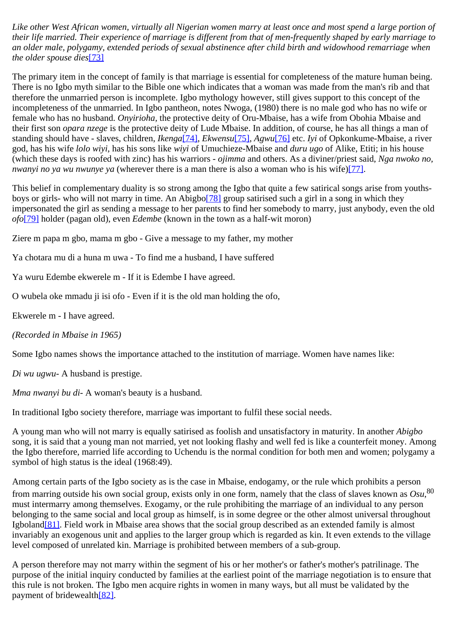*Like other West African women, virtually all Nigerian women marry at least once and most spend a large portion of their life married. Their experience of marriage is different from that of men-frequently shaped by early marriage to an older male, polygamy, extended periods of sexual abstinence after child birth and widowhood remarriage when the older spouse dies*[\[73\]](http://www.ub.uib.no/elpub/1996/h/506001/korieh/chima_fn.html#fn61)

The primary item in the concept of family is that marriage is essential for completeness of the mature human being. There is no Igbo myth similar to the Bible one which indicates that a woman was made from the man's rib and that therefore the unmarried person is incomplete. Igbo mythology however, still gives support to this concept of the incompleteness of the unmarried. In Igbo pantheon, notes Nwoga, (1980) there is no male god who has no wife or female who has no husband. *Onyirioha,* the protective deity of Oru-Mbaise, has a wife from Obohia Mbaise and their first son *opara nzege* is the protective deity of Lude Mbaise. In addition, of course, he has all things a man of standing should have - slaves, children, *Ikenga*[\[74\]](http://www.ub.uib.no/elpub/1996/h/506001/korieh/chima_fn.html#fn61), *Ekwensu*[\[75\]](http://www.ub.uib.no/elpub/1996/h/506001/korieh/chima_fn.html#fn61), *Agwu*[\[76\]](http://www.ub.uib.no/elpub/1996/h/506001/korieh/chima_fn.html#fn61) etc. *Iyi* of Opkonkume-Mbaise, a river god, has his wife *lolo wiyi*, has his sons like *wiyi* of Umuchieze-Mbaise and *duru ugo* of Alike, Etiti; in his house (which these days is roofed with zinc) has his warriors - *ojimma* and others. As a diviner/priest said, *Nga nwoko no, nwanyi no ya wu nwunye ya* (wherever there is a man there is also a woman who is his wife[\)\[77\]](http://www.ub.uib.no/elpub/1996/h/506001/korieh/chima_fn.html#fn61).

This belief in complementary duality is so strong among the Igbo that quite a few satirical songs arise from youthsboys or girls- who will not marry in time. An Abigb[o\[78\]](http://www.ub.uib.no/elpub/1996/h/506001/korieh/chima_fn.html#fn61) group satirised such a girl in a song in which they impersonated the girl as sending a message to her parents to find her somebody to marry, just anybody, even the old *ofo*[\[79\]](http://www.ub.uib.no/elpub/1996/h/506001/korieh/chima_fn.html#fn61) holder (pagan old), even *Edembe* (known in the town as a half-wit moron)

Ziere m papa m gbo, mama m gbo - Give a message to my father, my mother

Ya chotara mu di a huna m uwa - To find me a husband, I have suffered

Ya wuru Edembe ekwerele m - If it is Edembe I have agreed.

O wubela oke mmadu ji isi ofo - Even if it is the old man holding the ofo,

Ekwerele m - I have agreed.

*(Recorded in Mbaise in 1965)*

Some Igbo names shows the importance attached to the institution of marriage. Women have names like:

*Di wu ugwu-* A husband is prestige.

*Mma nwanyi bu di*- A woman's beauty is a husband.

In traditional Igbo society therefore, marriage was important to fulfil these social needs.

A young man who will not marry is equally satirised as foolish and unsatisfactory in maturity. In another *Abigbo* song, it is said that a young man not married, yet not looking flashy and well fed is like a counterfeit money. Among the Igbo therefore, married life according to Uchendu is the normal condition for both men and women; polygamy a symbol of high status is the ideal (1968:49).

Among certain parts of the Igbo society as is the case in Mbaise, endogamy, or the rule which prohibits a person from marring outside his own social group, exists only in one form, namely that the class of slaves known as *Osu*, 80 must intermarry among themselves. Exogamy, or the rule prohibiting the marriage of an individual to any person belonging to the same social and local group as himself, is in some degree or the other almost universal throughout Igbolan[d\[81\]](http://www.ub.uib.no/elpub/1996/h/506001/korieh/chima_fn.html#fn62). Field work in Mbaise area shows that the social group described as an extended family is almost invariably an exogenous unit and applies to the larger group which is regarded as kin. It even extends to the village level composed of unrelated kin. Marriage is prohibited between members of a sub-group.

A person therefore may not marry within the segment of his or her mother's or father's mother's patrilinage. The purpose of the initial inquiry conducted by families at the earliest point of the marriage negotiation is to ensure that this rule is not broken. The Igbo men acquire rights in women in many ways, but all must be validated by the payment of bridewealt[h\[82\]](http://www.ub.uib.no/elpub/1996/h/506001/korieh/chima_fn.html#fn62).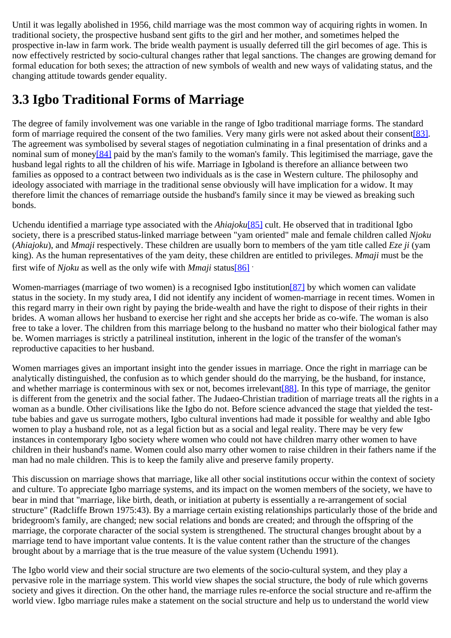Until it was legally abolished in 1956, child marriage was the most common way of acquiring rights in women. In traditional society, the prospective husband sent gifts to the girl and her mother, and sometimes helped the prospective in-law in farm work. The bride wealth payment is usually deferred till the girl becomes of age. This is now effectively restricted by socio-cultural changes rather that legal sanctions. The changes are growing demand for formal education for both sexes; the attraction of new symbols of wealth and new ways of validating status, and the changing attitude towards gender equality.

## <span id="page-25-0"></span>**3.3 Igbo Traditional Forms of Marriage**

The degree of family involvement was one variable in the range of Igbo traditional marriage forms. The standard form of marriage required the consent of the two families. Very many girls were not asked about their consent[\[83\].](http://www.ub.uib.no/elpub/1996/h/506001/korieh/chima_fn.html#fn62) The agreement was symbolised by several stages of negotiation culminating in a final presentation of drinks and a nominal sum of mone[y\[84\]](http://www.ub.uib.no/elpub/1996/h/506001/korieh/chima_fn.html#fn63) paid by the man's family to the woman's family. This legitimised the marriage, gave the husband legal rights to all the children of his wife. Marriage in Igboland is therefore an alliance between two families as opposed to a contract between two individuals as is the case in Western culture. The philosophy and ideology associated with marriage in the traditional sense obviously will have implication for a widow. It may therefore limit the chances of remarriage outside the husband's family since it may be viewed as breaking such bonds.

Uchendu identified a marriage type associated with the *Ahiajoku*[\[85\]](http://www.ub.uib.no/elpub/1996/h/506001/korieh/chima_fn.html#fn64) cult. He observed that in traditional Igbo society, there is a prescribed status-linked marriage between "yam oriented" male and female children called *Njoku* (*Ahiajoku*), and *Mmaji* respectively. These children are usually born to members of the yam title called *Eze ji* (yam king). As the human representatives of the yam deity, these children are entitled to privileges. *Mmaji* must be the first wife of *Njoku* as well as the only wife with *Mmaji* statu[s\[86\]](http://www.ub.uib.no/elpub/1996/h/506001/korieh/chima_fn.html#fn64) .

Women-marriages (marriage of two women) is a recognised Igbo institution<sup>[87]</sup> by which women can validate status in the society. In my study area, I did not identify any incident of women-marriage in recent times. Women in this regard marry in their own right by paying the bride-wealth and have the right to dispose of their rights in their brides. A woman allows her husband to exercise her right and she accepts her bride as co-wife. The woman is also free to take a lover. The children from this marriage belong to the husband no matter who their biological father may be. Women marriages is strictly a patrilineal institution, inherent in the logic of the transfer of the woman's reproductive capacities to her husband.

Women marriages gives an important insight into the gender issues in marriage. Once the right in marriage can be analytically distinguished, the confusion as to which gender should do the marrying, be the husband, for instance, and whether marriage is conterminous with sex or not, becomes irrelevant[\[88\].](http://www.ub.uib.no/elpub/1996/h/506001/korieh/chima_fn.html#fn65) In this type of marriage, the genitor is different from the genetrix and the social father. The Judaeo-Christian tradition of marriage treats all the rights in a woman as a bundle. Other civilisations like the Igbo do not. Before science advanced the stage that yielded the testtube babies and gave us surrogate mothers, Igbo cultural inventions had made it possible for wealthy and able Igbo women to play a husband role, not as a legal fiction but as a social and legal reality. There may be very few instances in contemporary Igbo society where women who could not have children marry other women to have children in their husband's name. Women could also marry other women to raise children in their fathers name if the man had no male children. This is to keep the family alive and preserve family property.

This discussion on marriage shows that marriage, like all other social institutions occur within the context of society and culture. To appreciate Igbo marriage systems, and its impact on the women members of the society, we have to bear in mind that "marriage, like birth, death, or initiation at puberty is essentially a re-arrangement of social structure" (Radcliffe Brown 1975:43). By a marriage certain existing relationships particularly those of the bride and bridegroom's family, are changed; new social relations and bonds are created; and through the offspring of the marriage, the corporate character of the social system is strengthened. The structural changes brought about by a marriage tend to have important value contents. It is the value content rather than the structure of the changes brought about by a marriage that is the true measure of the value system (Uchendu 1991).

The Igbo world view and their social structure are two elements of the socio-cultural system, and they play a pervasive role in the marriage system. This world view shapes the social structure, the body of rule which governs society and gives it direction. On the other hand, the marriage rules re-enforce the social structure and re-affirm the world view. Igbo marriage rules make a statement on the social structure and help us to understand the world view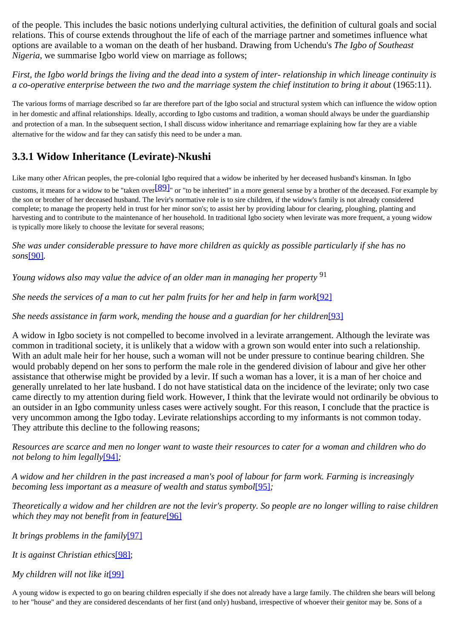of the people. This includes the basic notions underlying cultural activities, the definition of cultural goals and social relations. This of course extends throughout the life of each of the marriage partner and sometimes influence what options are available to a woman on the death of her husband. Drawing from Uchendu's *The Igbo of Southeast Nigeria*, we summarise Igbo world view on marriage as follows;

*First, the Igbo world brings the living and the dead into a system of inter- relationship in which lineage continuity is a co-operative enterprise between the two and the marriage system the chief institution to bring it about* (1965:11).

The various forms of marriage described so far are therefore part of the Igbo social and structural system which can influence the widow option in her domestic and affinal relationships. Ideally, according to Igbo customs and tradition, a woman should always be under the guardianship and protection of a man. In the subsequent section, I shall discuss widow inheritance and remarriage explaining how far they are a viable alternative for the widow and far they can satisfy this need to be under a man.

### <span id="page-26-0"></span>**3.3.1 Widow Inheritance (Levirate)-Nkushi**

Like many other African peoples, the pre-colonial Igbo required that a widow be inherited by her deceased husband's kinsman. In Igbo

customs, it means for a widow to be "taken over  $[89]$ " or "to be inherited" in a more general sense by a brother of the deceased. For example by the son or brother of her deceased husband. The levir's normative role is to sire children, if the widow's family is not already considered complete; to manage the property held in trust for her minor son's; to assist her by providing labour for clearing, ploughing, planting and harvesting and to contribute to the maintenance of her household. In traditional Igbo society when levirate was more frequent, a young widow is typically more likely to choose the levitate for several reasons;

*She was under considerable pressure to have more children as quickly as possible particularly if she has no sons*[\[90\]](http://www.ub.uib.no/elpub/1996/h/506001/korieh/chima_fn.html#fn65)*.*

*Young widows also may value the advice of an older man in managing her property* <sup>91</sup>

*She needs the services of a man to cut her palm fruits for her and help in farm work*<sup>[\[92\]](http://www.ub.uib.no/elpub/1996/h/506001/korieh/chima_fn.html#fn66)</sup>

*She needs assistance in farm work, mending the house and a guardian for her children*[\[93\]](http://www.ub.uib.no/elpub/1996/h/506001/korieh/chima_fn.html#fn67)

A widow in Igbo society is not compelled to become involved in a levirate arrangement. Although the levirate was common in traditional society, it is unlikely that a widow with a grown son would enter into such a relationship. With an adult male heir for her house, such a woman will not be under pressure to continue bearing children. She would probably depend on her sons to perform the male role in the gendered division of labour and give her other assistance that otherwise might be provided by a levir. If such a woman has a lover, it is a man of her choice and generally unrelated to her late husband. I do not have statistical data on the incidence of the levirate; only two case came directly to my attention during field work. However, I think that the levirate would not ordinarily be obvious to an outsider in an Igbo community unless cases were actively sought. For this reason, I conclude that the practice is very uncommon among the Igbo today. Levirate relationships according to my informants is not common today. They attribute this decline to the following reasons;

*Resources are scarce and men no longer want to waste their resources to cater for a woman and children who do not belong to him legally*[\[94\]](http://www.ub.uib.no/elpub/1996/h/506001/korieh/chima_fn.html#fn68)*;*

*A widow and her children in the past increased a man's pool of labour for farm work. Farming is increasingly becoming less important as a measure of wealth and status symbol*[\[95\]](http://www.ub.uib.no/elpub/1996/h/506001/korieh/chima_fn.html#fn69)*;*

*Theoretically a widow and her children are not the levir's property. So people are no longer willing to raise children which they may not benefit from in feature*[\[96\]](http://www.ub.uib.no/elpub/1996/h/506001/korieh/chima_fn.html#fn70)

*It brings problems in the family*[\[97\]](http://www.ub.uib.no/elpub/1996/h/506001/korieh/chima_fn.html#fn71)

*It is against Christian ethics*[\[98\]](http://www.ub.uib.no/elpub/1996/h/506001/korieh/chima_fn.html#fn72);

*My children will not like it*[\[99\]](http://www.ub.uib.no/elpub/1996/h/506001/korieh/chima_fn.html#fn73)

A young widow is expected to go on bearing children especially if she does not already have a large family. The children she bears will belong to her "house" and they are considered descendants of her first (and only) husband, irrespective of whoever their genitor may be. Sons of a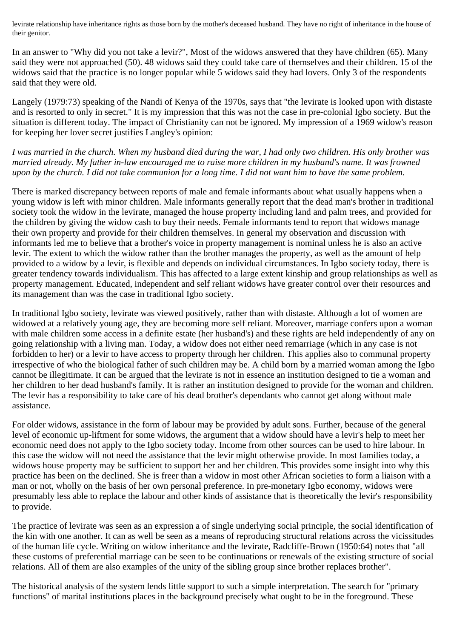levirate relationship have inheritance rights as those born by the mother's deceased husband. They have no right of inheritance in the house of their genitor.

In an answer to "Why did you not take a levir?", Most of the widows answered that they have children (65). Many said they were not approached (50). 48 widows said they could take care of themselves and their children. 15 of the widows said that the practice is no longer popular while 5 widows said they had lovers. Only 3 of the respondents said that they were old.

Langely (1979:73) speaking of the Nandi of Kenya of the 1970s, says that "the levirate is looked upon with distaste and is resorted to only in secret." It is my impression that this was not the case in pre-colonial Igbo society. But the situation is different today. The impact of Christianity can not be ignored. My impression of a 1969 widow's reason for keeping her lover secret justifies Langley's opinion:

*I was married in the church. When my husband died during the war, I had only two children. His only brother was married already. My father in-law encouraged me to raise more children in my husband's name. It was frowned upon by the church. I did not take communion for a long time. I did not want him to have the same problem.*

There is marked discrepancy between reports of male and female informants about what usually happens when a young widow is left with minor children. Male informants generally report that the dead man's brother in traditional society took the widow in the levirate, managed the house property including land and palm trees, and provided for the children by giving the widow cash to buy their needs. Female informants tend to report that widows manage their own property and provide for their children themselves. In general my observation and discussion with informants led me to believe that a brother's voice in property management is nominal unless he is also an active levir. The extent to which the widow rather than the brother manages the property, as well as the amount of help provided to a widow by a levir, is flexible and depends on individual circumstances. In Igbo society today, there is greater tendency towards individualism. This has affected to a large extent kinship and group relationships as well as property management. Educated, independent and self reliant widows have greater control over their resources and its management than was the case in traditional Igbo society.

In traditional Igbo society, levirate was viewed positively, rather than with distaste. Although a lot of women are widowed at a relatively young age, they are becoming more self reliant. Moreover, marriage confers upon a woman with male children some access in a definite estate (her husband's) and these rights are held independently of any on going relationship with a living man. Today, a widow does not either need remarriage (which in any case is not forbidden to her) or a levir to have access to property through her children. This applies also to communal property irrespective of who the biological father of such children may be. A child born by a married woman among the Igbo cannot be illegitimate. It can be argued that the levirate is not in essence an institution designed to tie a woman and her children to her dead husband's family. It is rather an institution designed to provide for the woman and children. The levir has a responsibility to take care of his dead brother's dependants who cannot get along without male assistance.

For older widows, assistance in the form of labour may be provided by adult sons. Further, because of the general level of economic up-liftment for some widows, the argument that a widow should have a levir's help to meet her economic need does not apply to the Igbo society today. Income from other sources can be used to hire labour. In this case the widow will not need the assistance that the levir might otherwise provide. In most families today, a widows house property may be sufficient to support her and her children. This provides some insight into why this practice has been on the declined. She is freer than a widow in most other African societies to form a liaison with a man or not, wholly on the basis of her own personal preference. In pre-monetary Igbo economy, widows were presumably less able to replace the labour and other kinds of assistance that is theoretically the levir's responsibility to provide.

The practice of levirate was seen as an expression a of single underlying social principle, the social identification of the kin with one another. It can as well be seen as a means of reproducing structural relations across the vicissitudes of the human life cycle. Writing on widow inheritance and the levirate, Radcliffe-Brown (1950:64) notes that "all these customs of preferential marriage can be seen to be continuations or renewals of the existing structure of social relations. All of them are also examples of the unity of the sibling group since brother replaces brother".

The historical analysis of the system lends little support to such a simple interpretation. The search for "primary functions" of marital institutions places in the background precisely what ought to be in the foreground. These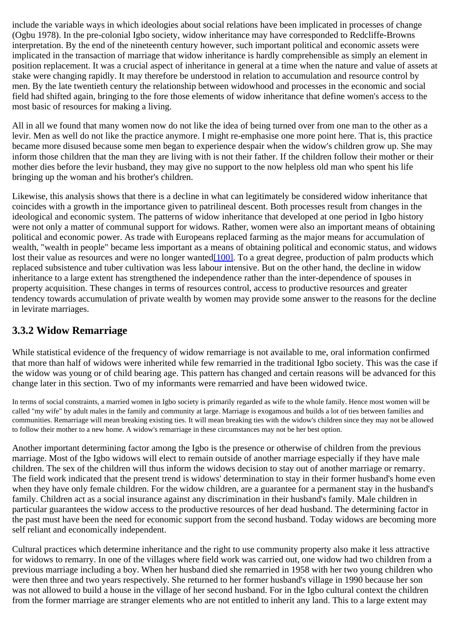include the variable ways in which ideologies about social relations have been implicated in processes of change (Ogbu 1978). In the pre-colonial Igbo society, widow inheritance may have corresponded to Redcliffe-Browns interpretation. By the end of the nineteenth century however, such important political and economic assets were implicated in the transaction of marriage that widow inheritance is hardly comprehensible as simply an element in position replacement. It was a crucial aspect of inheritance in general at a time when the nature and value of assets at stake were changing rapidly. It may therefore be understood in relation to accumulation and resource control by men. By the late twentieth century the relationship between widowhood and processes in the economic and social field had shifted again, bringing to the fore those elements of widow inheritance that define women's access to the most basic of resources for making a living.

All in all we found that many women now do not like the idea of being turned over from one man to the other as a levir. Men as well do not like the practice anymore. I might re-emphasise one more point here. That is, this practice became more disused because some men began to experience despair when the widow's children grow up. She may inform those children that the man they are living with is not their father. If the children follow their mother or their mother dies before the levir husband, they may give no support to the now helpless old man who spent his life bringing up the woman and his brother's children.

Likewise, this analysis shows that there is a decline in what can legitimately be considered widow inheritance that coincides with a growth in the importance given to patrilineal descent. Both processes result from changes in the ideological and economic system. The patterns of widow inheritance that developed at one period in Igbo history were not only a matter of communal support for widows. Rather, women were also an important means of obtaining political and economic power. As trade with Europeans replaced farming as the major means for accumulation of wealth, "wealth in people" became less important as a means of obtaining political and economic status, and widows lost their value as resources and were no longer wanted<sup>[100]</sup>. To a great degree, production of palm products which replaced subsistence and tuber cultivation was less labour intensive. But on the other hand, the decline in widow inheritance to a large extent has strengthened the independence rather than the inter-dependence of spouses in property acquisition. These changes in terms of resources control, access to productive resources and greater tendency towards accumulation of private wealth by women may provide some answer to the reasons for the decline in levirate marriages.

### <span id="page-28-0"></span>**3.3.2 Widow Remarriage**

While statistical evidence of the frequency of widow remarriage is not available to me, oral information confirmed that more than half of widows were inherited while few remarried in the traditional Igbo society. This was the case if the widow was young or of child bearing age. This pattern has changed and certain reasons will be advanced for this change later in this section. Two of my informants were remarried and have been widowed twice.

In terms of social constraints, a married women in Igbo society is primarily regarded as wife to the whole family. Hence most women will be called "my wife" by adult males in the family and community at large. Marriage is exogamous and builds a lot of ties between families and communities. Remarriage will mean breaking existing ties. It will mean breaking ties with the widow's children since they may not be allowed to follow their mother to a new home. A widow's remarriage in these circumstances may not be her best option.

Another important determining factor among the Igbo is the presence or otherwise of children from the previous marriage. Most of the Igbo widows will elect to remain outside of another marriage especially if they have male children. The sex of the children will thus inform the widows decision to stay out of another marriage or remarry. The field work indicated that the present trend is widows' determination to stay in their former husband's home even when they have only female children. For the widow children, are a guarantee for a permanent stay in the husband's family. Children act as a social insurance against any discrimination in their husband's family. Male children in particular guarantees the widow access to the productive resources of her dead husband. The determining factor in the past must have been the need for economic support from the second husband. Today widows are becoming more self reliant and economically independent.

Cultural practices which determine inheritance and the right to use community property also make it less attractive for widows to remarry. In one of the villages where field work was carried out, one widow had two children from a previous marriage including a boy. When her husband died she remarried in 1958 with her two young children who were then three and two years respectively. She returned to her former husband's village in 1990 because her son was not allowed to build a house in the village of her second husband. For in the Igbo cultural context the children from the former marriage are stranger elements who are not entitled to inherit any land. This to a large extent may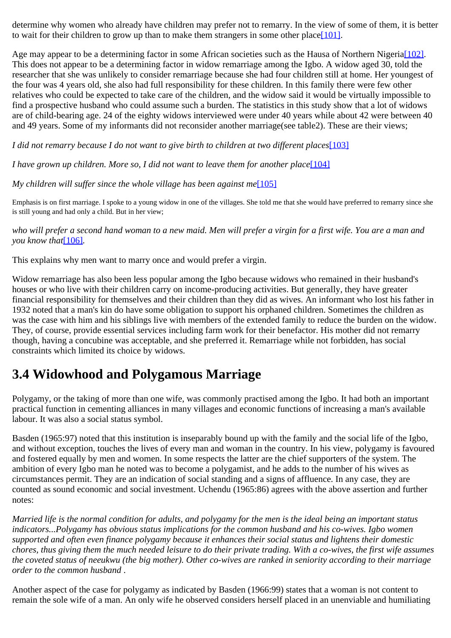determine why women who already have children may prefer not to remarry. In the view of some of them, it is better to wait for their children to grow up than to make them strangers in some other plac[e\[101\]](http://www.ub.uib.no/elpub/1996/h/506001/korieh/chima_fn.html#fn75).

Age may appear to be a determining factor in some African societies such as the Hausa of Northern Nigeria<sup>[102]</sup>. This does not appear to be a determining factor in widow remarriage among the Igbo. A widow aged 30, told the researcher that she was unlikely to consider remarriage because she had four children still at home. Her youngest of the four was 4 years old, she also had full responsibility for these children. In this family there were few other relatives who could be expected to take care of the children, and the widow said it would be virtually impossible to find a prospective husband who could assume such a burden. The statistics in this study show that a lot of widows are of child-bearing age. 24 of the eighty widows interviewed were under 40 years while about 42 were between 40 and 49 years. Some of my informants did not reconsider another marriage(see table2). These are their views;

*I did not remarry because I do not want to give birth to children at two different places*[\[103\]](http://www.ub.uib.no/elpub/1996/h/506001/korieh/chima_fn.html#fn76)

*I have grown up children. More so, I did not want to leave them for another place*<sup>[\[104\]](http://www.ub.uib.no/elpub/1996/h/506001/korieh/chima_fn.html#fn77)</sup>

*My children will suffer since the whole village has been against me*<sup>[\[105\]](http://www.ub.uib.no/elpub/1996/h/506001/korieh/chima_fn.html#fn78)</sup>

Emphasis is on first marriage. I spoke to a young widow in one of the villages. She told me that she would have preferred to remarry since she is still young and had only a child. But in her view;

*who will prefer a second hand woman to a new maid. Men will prefer a virgin for a first wife. You are a man and you know that*<sup>[\[106\]](http://www.ub.uib.no/elpub/1996/h/506001/korieh/chima_fn.html#fn79)</sup>.

This explains why men want to marry once and would prefer a virgin.

Widow remarriage has also been less popular among the Igbo because widows who remained in their husband's houses or who live with their children carry on income-producing activities. But generally, they have greater financial responsibility for themselves and their children than they did as wives. An informant who lost his father in 1932 noted that a man's kin do have some obligation to support his orphaned children. Sometimes the children as was the case with him and his siblings live with members of the extended family to reduce the burden on the widow. They, of course, provide essential services including farm work for their benefactor. His mother did not remarry though, having a concubine was acceptable, and she preferred it. Remarriage while not forbidden, has social constraints which limited its choice by widows.

### <span id="page-29-0"></span>**3.4 Widowhood and Polygamous Marriage**

Polygamy, or the taking of more than one wife, was commonly practised among the Igbo. It had both an important practical function in cementing alliances in many villages and economic functions of increasing a man's available labour. It was also a social status symbol.

Basden (1965:97) noted that this institution is inseparably bound up with the family and the social life of the Igbo, and without exception, touches the lives of every man and woman in the country. In his view, polygamy is favoured and fostered equally by men and women. In some respects the latter are the chief supporters of the system. The ambition of every Igbo man he noted was to become a polygamist, and he adds to the number of his wives as circumstances permit. They are an indication of social standing and a signs of affluence. In any case, they are counted as sound economic and social investment. Uchendu (1965:86) agrees with the above assertion and further notes:

*Married life is the normal condition for adults, and polygamy for the men is the ideal being an important status indicators...Polygamy has obvious status implications for the common husband and his co-wives. Igbo women supported and often even finance polygamy because it enhances their social status and lightens their domestic chores, thus giving them the much needed leisure to do their private trading. With a co-wives, the first wife assumes the coveted status of neeukwu (the big mother). Other co-wives are ranked in seniority according to their marriage order to the common husband* .

Another aspect of the case for polygamy as indicated by Basden (1966:99) states that a woman is not content to remain the sole wife of a man. An only wife he observed considers herself placed in an unenviable and humiliating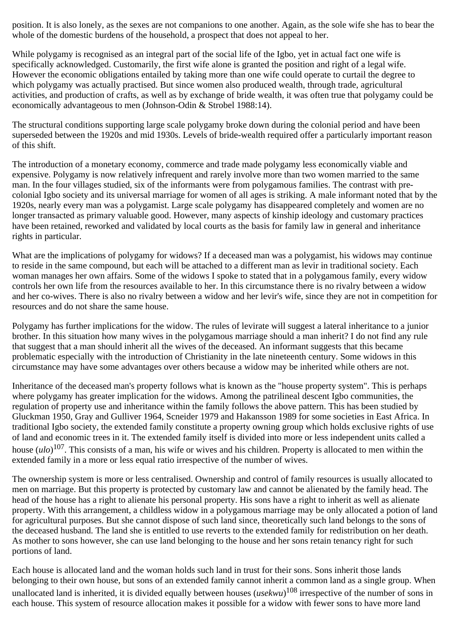position. It is also lonely, as the sexes are not companions to one another. Again, as the sole wife she has to bear the whole of the domestic burdens of the household, a prospect that does not appeal to her.

While polygamy is recognised as an integral part of the social life of the Igbo, yet in actual fact one wife is specifically acknowledged. Customarily, the first wife alone is granted the position and right of a legal wife. However the economic obligations entailed by taking more than one wife could operate to curtail the degree to which polygamy was actually practised. But since women also produced wealth, through trade, agricultural activities, and production of crafts, as well as by exchange of bride wealth, it was often true that polygamy could be economically advantageous to men (Johnson-Odin & Strobel 1988:14).

The structural conditions supporting large scale polygamy broke down during the colonial period and have been superseded between the 1920s and mid 1930s. Levels of bride-wealth required offer a particularly important reason of this shift.

The introduction of a monetary economy, commerce and trade made polygamy less economically viable and expensive. Polygamy is now relatively infrequent and rarely involve more than two women married to the same man. In the four villages studied, six of the informants were from polygamous families. The contrast with precolonial Igbo society and its universal marriage for women of all ages is striking. A male informant noted that by the 1920s, nearly every man was a polygamist. Large scale polygamy has disappeared completely and women are no longer transacted as primary valuable good. However, many aspects of kinship ideology and customary practices have been retained, reworked and validated by local courts as the basis for family law in general and inheritance rights in particular.

What are the implications of polygamy for widows? If a deceased man was a polygamist, his widows may continue to reside in the same compound, but each will be attached to a different man as levir in traditional society. Each woman manages her own affairs. Some of the widows I spoke to stated that in a polygamous family, every widow controls her own life from the resources available to her. In this circumstance there is no rivalry between a widow and her co-wives. There is also no rivalry between a widow and her levir's wife, since they are not in competition for resources and do not share the same house.

Polygamy has further implications for the widow. The rules of levirate will suggest a lateral inheritance to a junior brother. In this situation how many wives in the polygamous marriage should a man inherit? I do not find any rule that suggest that a man should inherit all the wives of the deceased. An informant suggests that this became problematic especially with the introduction of Christianity in the late nineteenth century. Some widows in this circumstance may have some advantages over others because a widow may be inherited while others are not.

Inheritance of the deceased man's property follows what is known as the "house property system". This is perhaps where polygamy has greater implication for the widows. Among the patrilineal descent Igbo communities, the regulation of property use and inheritance within the family follows the above pattern. This has been studied by Gluckman 1950, Gray and Gulliver 1964, Scneider 1979 and Hakansson 1989 for some societies in East Africa. In traditional Igbo society, the extended family constitute a property owning group which holds exclusive rights of use of land and economic trees in it. The extended family itself is divided into more or less independent units called a house (*ulo*) 107. This consists of a man, his wife or wives and his children. Property is allocated to men within the extended family in a more or less equal ratio irrespective of the number of wives.

The ownership system is more or less centralised. Ownership and control of family resources is usually allocated to men on marriage. But this property is protected by customary law and cannot be alienated by the family head. The head of the house has a right to alienate his personal property. His sons have a right to inherit as well as alienate property. With this arrangement, a childless widow in a polygamous marriage may be only allocated a potion of land for agricultural purposes. But she cannot dispose of such land since, theoretically such land belongs to the sons of the deceased husband. The land she is entitled to use reverts to the extended family for redistribution on her death. As mother to sons however, she can use land belonging to the house and her sons retain tenancy right for such portions of land.

Each house is allocated land and the woman holds such land in trust for their sons. Sons inherit those lands belonging to their own house, but sons of an extended family cannot inherit a common land as a single group. When unallocated land is inherited, it is divided equally between houses (*usekwu*) 108 irrespective of the number of sons in each house. This system of resource allocation makes it possible for a widow with fewer sons to have more land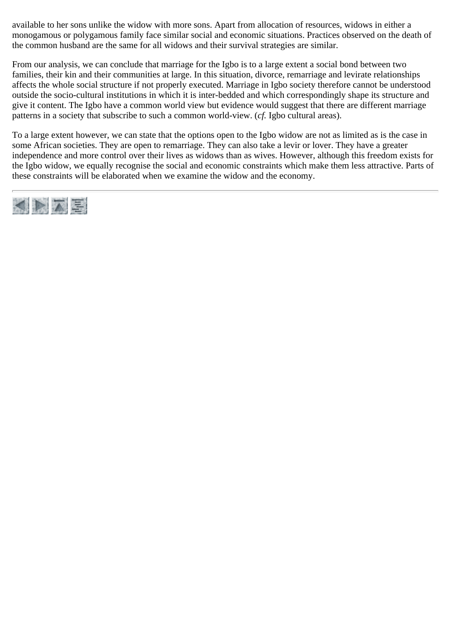available to her sons unlike the widow with more sons. Apart from allocation of resources, widows in either a monogamous or polygamous family face similar social and economic situations. Practices observed on the death of the common husband are the same for all widows and their survival strategies are similar.

From our analysis, we can conclude that marriage for the Igbo is to a large extent a social bond between two families, their kin and their communities at large. In this situation, divorce, remarriage and levirate relationships affects the whole social structure if not properly executed. Marriage in Igbo society therefore cannot be understood outside the socio-cultural institutions in which it is inter-bedded and which correspondingly shape its structure and give it content. The Igbo have a common world view but evidence would suggest that there are different marriage patterns in a society that subscribe to such a common world-view. (*cf.* Igbo cultural areas).

To a large extent however, we can state that the options open to the Igbo widow are not as limited as is the case in some African societies. They are open to remarriage. They can also take a levir or lover. They have a greater independence and more control over their lives as widows than as wives. However, although this freedom exists for the Igbo widow, we equally recognise the social and economic constraints which make them less attractive. Parts of these constraints will be elaborated when we examine the widow and the economy.

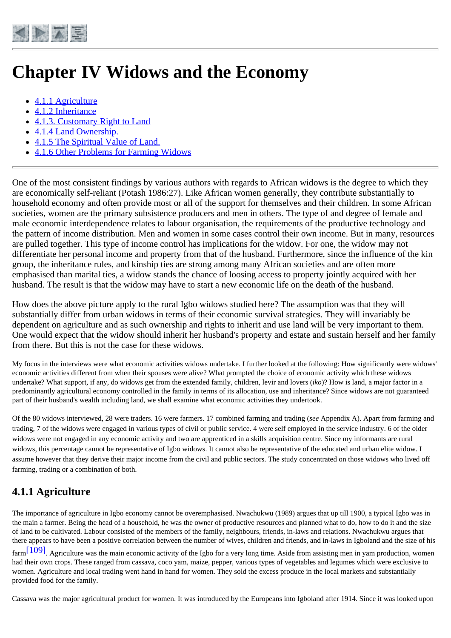<span id="page-32-0"></span>

# **Chapter IV Widows and the Economy**

- [4.1.1 Agriculture](#page-32-1)
- [4.1.2 Inheritance](#page-33-0)
- [4.1.3. Customary Right to Land](#page-35-0)
- [4.1.4 Land Ownership.](#page-36-0)
- [4.1.5 The Spiritual Value of Land.](#page-37-0)
- [4.1.6 Other Problems for Farming Widows](#page-37-1)

One of the most consistent findings by various authors with regards to African widows is the degree to which they are economically self-reliant (Potash 1986:27). Like African women generally, they contribute substantially to household economy and often provide most or all of the support for themselves and their children. In some African societies, women are the primary subsistence producers and men in others. The type of and degree of female and male economic interdependence relates to labour organisation, the requirements of the productive technology and the pattern of income distribution. Men and women in some cases control their own income. But in many, resources are pulled together. This type of income control has implications for the widow. For one, the widow may not differentiate her personal income and property from that of the husband. Furthermore, since the influence of the kin group, the inheritance rules, and kinship ties are strong among many African societies and are often more emphasised than marital ties, a widow stands the chance of loosing access to property jointly acquired with her husband. The result is that the widow may have to start a new economic life on the death of the husband.

How does the above picture apply to the rural Igbo widows studied here? The assumption was that they will substantially differ from urban widows in terms of their economic survival strategies. They will invariably be dependent on agriculture and as such ownership and rights to inherit and use land will be very important to them. One would expect that the widow should inherit her husband's property and estate and sustain herself and her family from there. But this is not the case for these widows.

My focus in the interviews were what economic activities widows undertake. I further looked at the following: How significantly were widows' economic activities different from when their spouses were alive? What prompted the choice of economic activity which these widows undertake? What support, if any, do widows get from the extended family, children, levir and lovers (*iko*)? How is land, a major factor in a predominantly agricultural economy controlled in the family in terms of its allocation, use and inheritance? Since widows are not guaranteed part of their husband's wealth including land, we shall examine what economic activities they undertook.

Of the 80 widows interviewed, 28 were traders. 16 were farmers. 17 combined farming and trading (*see* Appendix A). Apart from farming and trading, 7 of the widows were engaged in various types of civil or public service. 4 were self employed in the service industry. 6 of the older widows were not engaged in any economic activity and two are apprenticed in a skills acquisition centre. Since my informants are rural widows, this percentage cannot be representative of Igbo widows. It cannot also be representative of the educated and urban elite widow. I assume however that they derive their major income from the civil and public sectors. The study concentrated on those widows who lived off farming, trading or a combination of both.

### <span id="page-32-1"></span>**4.1.1 Agriculture**

The importance of agriculture in Igbo economy cannot be overemphasised. Nwachukwu (1989) argues that up till 1900, a typical Igbo was in the main a farmer. Being the head of a household, he was the owner of productive resources and planned what to do, how to do it and the size of land to be cultivated. Labour consisted of the members of the family, neighbours, friends, in-laws and relations. Nwachukwu argues that there appears to have been a positive correlation between the number of wives, children and friends, and in-laws in Igboland and the size of his

 $\frac{[109]}{[109]}$ . Agriculture was the main economic activity of the Igbo for a very long time. Aside from assisting men in yam production, women had their own crops. These ranged from cassava, coco yam, maize, pepper, various types of vegetables and legumes which were exclusive to women. Agriculture and local trading went hand in hand for women. They sold the excess produce in the local markets and substantially provided food for the family.

Cassava was the major agricultural product for women. It was introduced by the Europeans into Igboland after 1914. Since it was looked upon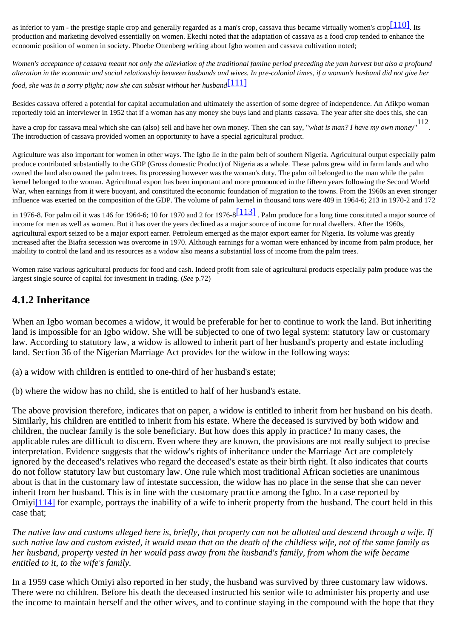as inferior to yam - the prestige staple crop and generally regarded as a man's crop, cassava thus became virtually women's crop $[110]$ . Its production and marketing devolved essentially on women. Ekechi noted that the adaptation of cassava as a food crop tended to enhance the economic position of women in society. Phoebe Ottenberg writing about Igbo women and cassava cultivation noted;

*Women's acceptance of cassava meant not only the alleviation of the traditional famine period preceding the yam harvest but also a profound alteration in the economic and social relationship between husbands and wives. In pre-colonial times, if a woman's husband did not give her food, she was in a sorry plight; now she can subsist without her husband*[\[111\]](http://www.ub.uib.no/elpub/1996/h/506001/korieh/chima_fn.html#fn80)

Besides cassava offered a potential for capital accumulation and ultimately the assertion of some degree of independence. An Afikpo woman reportedly told an interviewer in 1952 that if a woman has any money she buys land and plants cassava. The year after she does this, she can

have a crop for cassava meal which she can (also) sell and have her own money. Then she can say, "*what is man? I have my own money*" 112. The introduction of cassava provided women an opportunity to have a special agricultural product.

Agriculture was also important for women in other ways. The Igbo lie in the palm belt of southern Nigeria. Agricultural output especially palm produce contributed substantially to the GDP (Gross domestic Product) of Nigeria as a whole. These palms grew wild in farm lands and who owned the land also owned the palm trees. Its processing however was the woman's duty. The palm oil belonged to the man while the palm kernel belonged to the woman. Agricultural export has been important and more pronounced in the fifteen years following the Second World War, when earnings from it were buoyant, and constituted the economic foundation of migration to the towns. From the 1960s an even stronger influence was exerted on the composition of the GDP. The volume of palm kernel in thousand tons were 409 in 1964-6; 213 in 1970-2 and 172

in 1976-8. For palm oil it was 146 for 1964-6; 10 for 1970 and 2 for 1976-8 $[113]$ . Palm produce for a long time constituted a major source of income for men as well as women. But it has over the years declined as a major source of income for rural dwellers. After the 1960s, agricultural export seized to be a major export earner. Petroleum emerged as the major export earner for Nigeria. Its volume was greatly increased after the Biafra secession was overcome in 1970. Although earnings for a woman were enhanced by income from palm produce, her inability to control the land and its resources as a widow also means a substantial loss of income from the palm trees.

Women raise various agricultural products for food and cash. Indeed profit from sale of agricultural products especially palm produce was the largest single source of capital for investment in trading. (*See* p.72)

### <span id="page-33-0"></span>**4.1.2 Inheritance**

When an Igbo woman becomes a widow, it would be preferable for her to continue to work the land. But inheriting land is impossible for an Igbo widow. She will be subjected to one of two legal system: statutory law or customary law. According to statutory law, a widow is allowed to inherit part of her husband's property and estate including land. Section 36 of the Nigerian Marriage Act provides for the widow in the following ways:

(a) a widow with children is entitled to one-third of her husband's estate;

(b) where the widow has no child, she is entitled to half of her husband's estate.

The above provision therefore, indicates that on paper, a widow is entitled to inherit from her husband on his death. Similarly, his children are entitled to inherit from his estate. Where the deceased is survived by both widow and children, the nuclear family is the sole beneficiary. But how does this apply in practice? In many cases, the applicable rules are difficult to discern. Even where they are known, the provisions are not really subject to precise interpretation. Evidence suggests that the widow's rights of inheritance under the Marriage Act are completely ignored by the deceased's relatives who regard the deceased's estate as their birth right. It also indicates that courts do not follow statutory law but customary law. One rule which most traditional African societies are unanimous about is that in the customary law of intestate succession, the widow has no place in the sense that she can never inherit from her husband. This is in line with the customary practice among the Igbo. In a case reported by Omiy[i\[114\]](http://www.ub.uib.no/elpub/1996/h/506001/korieh/chima_fn.html#fn81) for example, portrays the inability of a wife to inherit property from the husband. The court held in this case that;

*The native law and customs alleged here is, briefly, that property can not be allotted and descend through a wife. If such native law and custom existed, it would mean that on the death of the childless wife, not of the same family as her husband, property vested in her would pass away from the husband's family, from whom the wife became entitled to it, to the wife's family.*

In a 1959 case which Omiyi also reported in her study, the husband was survived by three customary law widows. There were no children. Before his death the deceased instructed his senior wife to administer his property and use the income to maintain herself and the other wives, and to continue staying in the compound with the hope that they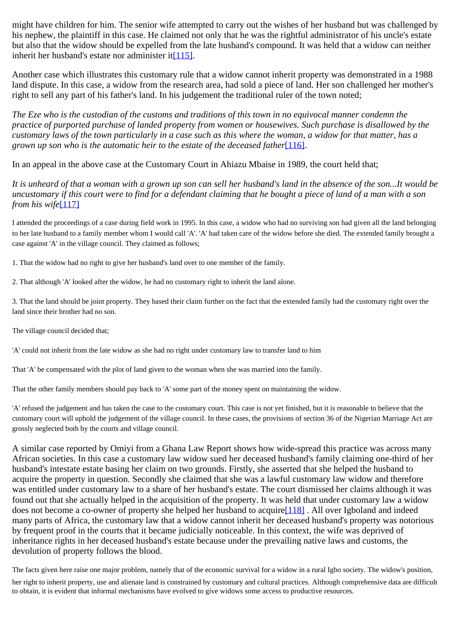might have children for him. The senior wife attempted to carry out the wishes of her husband but was challenged by his nephew, the plaintiff in this case. He claimed not only that he was the rightful administrator of his uncle's estate but also that the widow should be expelled from the late husband's compound. It was held that a widow can neither inherit her husband's estate nor administer it $[115]$ .

Another case which illustrates this customary rule that a widow cannot inherit property was demonstrated in a 1988 land dispute. In this case, a widow from the research area, had sold a piece of land. Her son challenged her mother's right to sell any part of his father's land. In his judgement the traditional ruler of the town noted;

*The Eze who is the custodian of the customs and traditions of this town in no equivocal manner condemn the practice of purported purchase of landed property from women or housewives. Such purchase is disallowed by the customary laws of the town particularly in a case such as this where the woman, a widow for that matter, has a grown up son who is the automatic heir to the estate of the deceased father*[\[116\]](http://www.ub.uib.no/elpub/1996/h/506001/korieh/chima_fn.html#fn83).

In an appeal in the above case at the Customary Court in Ahiazu Mbaise in 1989, the court held that;

*It is unheard of that a woman with a grown up son can sell her husband's land in the absence of the son...It would be uncustomary if this court were to find for a defendant claiming that he bought a piece of land of a man with a son from his wife*[\[117\]](http://www.ub.uib.no/elpub/1996/h/506001/korieh/chima_fn.html#fn84)

I attended the proceedings of a case during field work in 1995. In this case, a widow who had no surviving son had given all the land belonging to her late husband to a family member whom I would call 'A'. 'A' had taken care of the widow before she died. The extended family brought a case against 'A' in the village council. They claimed as follows;

1. That the widow had no right to give her husband's land over to one member of the family.

2. That although 'A' looked after the widow, he had no customary right to inherit the land alone.

3. That the land should be joint property. They based their claim further on the fact that the extended family had the customary right over the land since their brother had no son.

The village council decided that;

'A' could not inherit from the late widow as she had no right under customary law to transfer land to him

That 'A' be compensated with the plot of land given to the woman when she was married into the family.

That the other family members should pay back to 'A' some part of the money spent on maintaining the widow.

'A' refused the judgement and has taken the case to the customary court. This case is not yet finished, but it is reasonable to believe that the customary court will uphold the judgement of the village council. In these cases, the provisions of section 36 of the Nigerian Marriage Act are grossly neglected both by the courts and village council.

A similar case reported by Omiyi from a Ghana Law Report shows how wide-spread this practice was across many African societies. In this case a customary law widow sued her deceased husband's family claiming one-third of her husband's intestate estate basing her claim on two grounds. Firstly, she asserted that she helped the husband to acquire the property in question. Secondly she claimed that she was a lawful customary law widow and therefore was entitled under customary law to a share of her husband's estate. The court dismissed her claims although it was found out that she actually helped in the acquisition of the property. It was held that under customary law a widow does not become a co-owner of property she helped her husband to acquir[e\[118\]](http://www.ub.uib.no/elpub/1996/h/506001/korieh/chima_fn.html#fn85) . All over Igboland and indeed many parts of Africa, the customary law that a widow cannot inherit her deceased husband's property was notorious by frequent proof in the courts that it became judicially noticeable. In this context, the wife was deprived of inheritance rights in her deceased husband's estate because under the prevailing native laws and customs, the devolution of property follows the blood.

The facts given here raise one major problem, namely that of the economic survival for a widow in a rural Igbo society. The widow's position,

her right to inherit property, use and alienate land is constrained by customary and cultural practices. Although comprehensive data are difficult to obtain, it is evident that informal mechanisms have evolved to give widows some access to productive resources.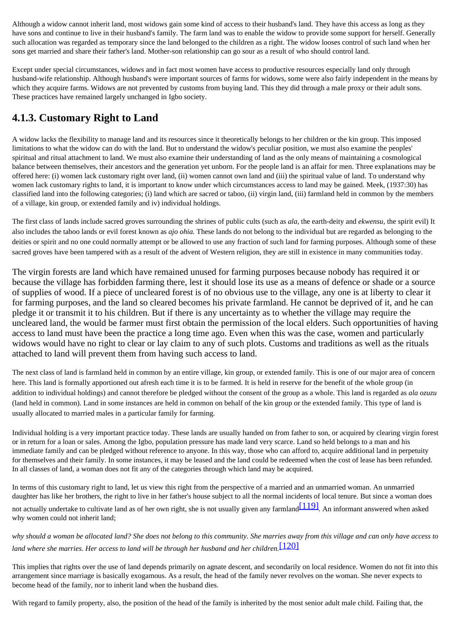Although a widow cannot inherit land, most widows gain some kind of access to their husband's land. They have this access as long as they have sons and continue to live in their husband's family. The farm land was to enable the widow to provide some support for herself. Generally such allocation was regarded as temporary since the land belonged to the children as a right. The widow looses control of such land when her sons get married and share their father's land. Mother-son relationship can go sour as a result of who should control land.

Except under special circumstances, widows and in fact most women have access to productive resources especially land only through husband-wife relationship. Although husband's were important sources of farms for widows, some were also fairly independent in the means by which they acquire farms. Widows are not prevented by customs from buying land. This they did through a male proxy or their adult sons. These practices have remained largely unchanged in Igbo society.

### <span id="page-35-0"></span>**4.1.3. Customary Right to Land**

A widow lacks the flexibility to manage land and its resources since it theoretically belongs to her children or the kin group. This imposed limitations to what the widow can do with the land. But to understand the widow's peculiar position, we must also examine the peoples' spiritual and ritual attachment to land. We must also examine their understanding of land as the only means of maintaining a cosmological balance between themselves, their ancestors and the generation yet unborn. For the people land is an affair for men. Three explanations may be offered here: (i) women lack customary right over land, (ii) women cannot own land and (iii) the spiritual value of land. To understand why women lack customary rights to land, it is important to know under which circumstances access to land may be gained. Meek, (1937:30) has classified land into the following categories; (i) land which are sacred or taboo, (ii) virgin land, (iii) farmland held in common by the members of a village, kin group, or extended family and iv) individual holdings.

The first class of lands include sacred groves surrounding the shrines of public cults (such as *ala*, the earth-deity and *ekwensu,* the spirit evil) It also includes the taboo lands or evil forest known as *ajo ohia.* These lands do not belong to the individual but are regarded as belonging to the deities or spirit and no one could normally attempt or be allowed to use any fraction of such land for farming purposes. Although some of these sacred groves have been tampered with as a result of the advent of Western religion, they are still in existence in many communities today.

The virgin forests are land which have remained unused for farming purposes because nobody has required it or because the village has forbidden farming there, lest it should lose its use as a means of defence or shade or a source of supplies of wood. If a piece of uncleared forest is of no obvious use to the village, any one is at liberty to clear it for farming purposes, and the land so cleared becomes his private farmland. He cannot be deprived of it, and he can pledge it or transmit it to his children. But if there is any uncertainty as to whether the village may require the uncleared land, the would be farmer must first obtain the permission of the local elders. Such opportunities of having access to land must have been the practice a long time ago. Even when this was the case, women and particularly widows would have no right to clear or lay claim to any of such plots. Customs and traditions as well as the rituals attached to land will prevent them from having such access to land.

The next class of land is farmland held in common by an entire village, kin group, or extended family. This is one of our major area of concern here. This land is formally apportioned out afresh each time it is to be farmed. It is held in reserve for the benefit of the whole group (in addition to individual holdings) and cannot therefore be pledged without the consent of the group as a whole. This land is regarded as *ala ozuzu* (land held in common). Land in some instances are held in common on behalf of the kin group or the extended family. This type of land is usually allocated to married males in a particular family for farming.

Individual holding is a very important practice today. These lands are usually handed on from father to son, or acquired by clearing virgin forest or in return for a loan or sales. Among the Igbo, population pressure has made land very scarce. Land so held belongs to a man and his immediate family and can be pledged without reference to anyone. In this way, those who can afford to, acquire additional land in perpetuity for themselves and their family. In some instances, it may be leased and the land could be redeemed when the cost of lease has been refunded. In all classes of land, a woman does not fit any of the categories through which land may be acquired.

In terms of this customary right to land, let us view this right from the perspective of a married and an unmarried woman. An unmarried daughter has like her brothers, the right to live in her father's house subject to all the normal incidents of local tenure. But since a woman does not actually undertake to cultivate land as of her own right, she is not usually given any farmlan[d\[119\]](http://www.ub.uib.no/elpub/1996/h/506001/korieh/chima_fn.html#fn86)*.* An informant answered when asked why women could not inherit land;

*why should a woman be allocated land? She does not belong to this community. She marries away from this village and can only have access to land where she marries. Her access to land will be through her husband and her children.*[\[120\]](http://www.ub.uib.no/elpub/1996/h/506001/korieh/chima_fn.html#fn86)

This implies that rights over the use of land depends primarily on agnate descent, and secondarily on local residence. Women do not fit into this arrangement since marriage is basically exogamous. As a result, the head of the family never revolves on the woman. She never expects to become head of the family, nor to inherit land when the husband dies.

With regard to family property, also, the position of the head of the family is inherited by the most senior adult male child. Failing that, the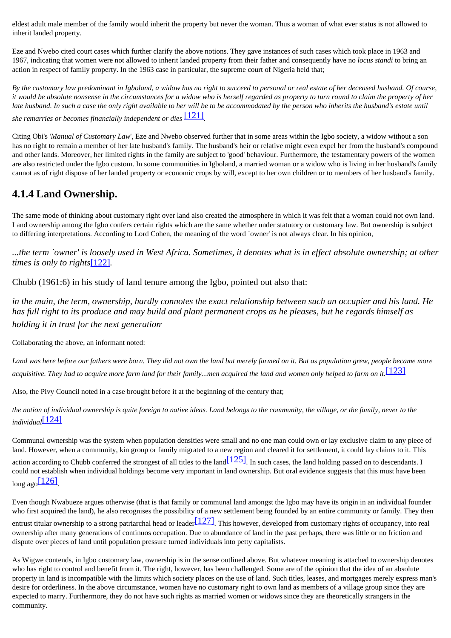eldest adult male member of the family would inherit the property but never the woman. Thus a woman of what ever status is not allowed to inherit landed property.

Eze and Nwebo cited court cases which further clarify the above notions. They gave instances of such cases which took place in 1963 and 1967, indicating that women were not allowed to inherit landed property from their father and consequently have no *locus standi* to bring an action in respect of family property. In the 1963 case in particular, the supreme court of Nigeria held that;

*By the customary law predominant in Igboland, a widow has no right to succeed to personal or real estate of her deceased husband. Of course, it would be absolute nonsense in the circumstances for a widow who is herself regarded as property to turn round to claim the property of her late husband. In such a case the only right available to her will be to be accommodated by the person who inherits the husband's estate until she remarries or becomes financially independent or dies* [\[121\]](http://www.ub.uib.no/elpub/1996/h/506001/korieh/chima_fn.html#fn87)*.*

Citing Obi's '*Manual of Customary Law*', Eze and Nwebo observed further that in some areas within the Igbo society, a widow without a son has no right to remain a member of her late husband's family. The husband's heir or relative might even expel her from the husband's compound and other lands. Moreover, her limited rights in the family are subject to 'good' behaviour. Furthermore, the testamentary powers of the women are also restricted under the Igbo custom. In some communities in Igboland, a married woman or a widow who is living in her husband's family cannot as of right dispose of her landed property or economic crops by will, except to her own children or to members of her husband's family.

### <span id="page-36-0"></span>**4.1.4 Land Ownership.**

The same mode of thinking about customary right over land also created the atmosphere in which it was felt that a woman could not own land. Land ownership among the Igbo confers certain rights which are the same whether under statutory or customary law. But ownership is subject to differing interpretations. According to Lord Cohen, the meaning of the word `owner' is not always clear. In his opinion,

*...the term `owner' is loosely used in West Africa. Sometimes, it denotes what is in effect absolute ownership; at other times is only to rights*[\[122\]](http://www.ub.uib.no/elpub/1996/h/506001/korieh/chima_fn.html#fn88)*.*

Chubb (1961:6) in his study of land tenure among the Igbo, pointed out also that:

*in the main, the term, ownership, hardly connotes the exact relationship between such an occupier and his land. He has full right to its produce and may build and plant permanent crops as he pleases, but he regards himself as holding it in trust for the next generation*.

Collaborating the above, an informant noted:

*Land was here before our fathers were born. They did not own the land but merely farmed on it. But as population grew, people became more* acquisitive. They had to acquire more farm land for their family...men acquired the land and women only helped to farm on it. [\[123\]](http://www.ub.uib.no/elpub/1996/h/506001/korieh/chima_fn.html#fn89)

Also, the Pivy Council noted in a case brought before it at the beginning of the century that;

*the notion of individual ownership is quite foreign to native ideas. Land belongs to the community, the village, or the family, never to the individual*[\[124\]](http://www.ub.uib.no/elpub/1996/h/506001/korieh/chima_fn.html#fn90)

Communal ownership was the system when population densities were small and no one man could own or lay exclusive claim to any piece of land. However, when a community, kin group or family migrated to a new region and cleared it for settlement, it could lay claims to it. This action according to Chubb conferred the strongest of all titles to the land  $\boxed{125]}$ . In such cases, the land holding passed on to descendants. I could not establish when individual holdings become very important in land ownership. But oral evidence suggests that this must have been  $long$  ago $[126]$ 

Even though Nwabueze argues otherwise (that is that family or communal land amongst the Igbo may have its origin in an individual founder who first acquired the land), he also recognises the possibility of a new settlement being founded by an entire community or family. They then

entrust titular ownership to a strong patriarchal head or leader $[127]$ . This however, developed from customary rights of occupancy, into real ownership after many generations of continuos occupation. Due to abundance of land in the past perhaps, there was little or no friction and dispute over pieces of land until population pressure turned individuals into petty capitalists.

As Wigwe contends, in Igbo customary law, ownership is in the sense outlined above. But whatever meaning is attached to ownership denotes who has right to control and benefit from it. The right, however, has been challenged. Some are of the opinion that the idea of an absolute property in land is incompatible with the limits which society places on the use of land. Such titles, leases, and mortgages merely express man's desire for orderliness. In the above circumstance, women have no customary right to own land as members of a village group since they are expected to marry. Furthermore, they do not have such rights as married women or widows since they are theoretically strangers in the community.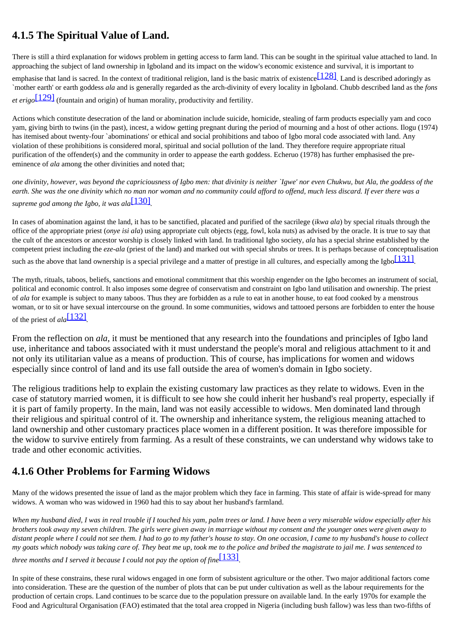### <span id="page-37-0"></span>**4.1.5 The Spiritual Value of Land.**

There is still a third explanation for widows problem in getting access to farm land. This can be sought in the spiritual value attached to land. In approaching the subject of land ownership in Igboland and its impact on the widow's economic existence and survival, it is important to emphasise that land is sacred. In the context of traditional religion, land is the basic matrix of existence  $[128]$ . Land is described adoringly as `mother earth' or earth goddess *ala* and is generally regarded as the arch-divinity of every locality in Igboland. Chubb described land as the *fons et erigo*[\[129\]](http://www.ub.uib.no/elpub/1996/h/506001/korieh/chima_fn.html#fn95) (fountain and origin) of human morality, productivity and fertility.

Actions which constitute desecration of the land or abomination include suicide, homicide, stealing of farm products especially yam and coco yam, giving birth to twins (in the past), incest, a widow getting pregnant during the period of mourning and a host of other actions. Ilogu (1974) has itemised about twenty-four `abominations' or ethical and social prohibitions and taboo of Igbo moral code associated with land. Any violation of these prohibitions is considered moral, spiritual and social pollution of the land. They therefore require appropriate ritual purification of the offender(s) and the community in order to appease the earth goddess. Echeruo (1978) has further emphasised the preeminence of *ala* among the other divinities and noted that;

*one divinity, however, was beyond the capriciousness of Igbo men: that divinity is neither `Igwe' nor even Chukwu, but Ala, the goddess of the earth. She was the one divinity which no man nor woman and no community could afford to offend, much less discard. If ever there was a supreme god among the Igbo, it was ala*[\[130\]](http://www.ub.uib.no/elpub/1996/h/506001/korieh/chima_fn.html#fn96)*.*

In cases of abomination against the land, it has to be sanctified, placated and purified of the sacrilege (*ikwa ala*) by special rituals through the office of the appropriate priest (*onye isi ala*) using appropriate cult objects (egg, fowl, kola nuts) as advised by the oracle. It is true to say that the cult of the ancestors or ancestor worship is closely linked with land. In traditional Igbo society, *ala* has a special shrine established by the competent priest including the *eze-ala* (priest of the land) and marked out with special shrubs or trees. It is perhaps because of conceptualisation

such as the above that land ownership is a special privilege and a matter of prestige in all cultures, and especially among the Igbo $[131]$ .

The myth, rituals, taboos, beliefs, sanctions and emotional commitment that this worship engender on the Igbo becomes an instrument of social, political and economic control. It also imposes some degree of conservatism and constraint on Igbo land utilisation and ownership. The priest of *ala* for example is subject to many taboos. Thus they are forbidden as a rule to eat in another house, to eat food cooked by a menstrous woman, or to sit or have sexual intercourse on the ground. In some communities, widows and tattooed persons are forbidden to enter the house of the priest of *ala*[\[132\]](http://www.ub.uib.no/elpub/1996/h/506001/korieh/chima_fn.html#fn98)*.*

From the reflection on *ala*, it must be mentioned that any research into the foundations and principles of Igbo land use, inheritance and taboos associated with it must understand the people's moral and religious attachment to it and not only its utilitarian value as a means of production. This of course, has implications for women and widows especially since control of land and its use fall outside the area of women's domain in Igbo society.

The religious traditions help to explain the existing customary law practices as they relate to widows. Even in the case of statutory married women, it is difficult to see how she could inherit her husband's real property, especially if it is part of family property. In the main, land was not easily accessible to widows. Men dominated land through their religious and spiritual control of it. The ownership and inheritance system, the religious meaning attached to land ownership and other customary practices place women in a different position. It was therefore impossible for the widow to survive entirely from farming. As a result of these constraints, we can understand why widows take to trade and other economic activities.

### <span id="page-37-1"></span>**4.1.6 Other Problems for Farming Widows**

Many of the widows presented the issue of land as the major problem which they face in farming. This state of affair is wide-spread for many widows. A woman who was widowed in 1960 had this to say about her husband's farmland.

*When my husband died, I was in real trouble if I touched his yam, palm trees or land. I have been a very miserable widow especially after his brothers took away my seven children. The girls were given away in marriage without my consent and the younger ones were given away to distant people where I could not see them. I had to go to my father's house to stay. On one occasion, I came to my husband's house to collect my goats which nobody was taking care of. They beat me up, took me to the police and bribed the magistrate to jail me. I was sentenced to three months and I served it because I could not pay the option of fine*[\[133\]](http://www.ub.uib.no/elpub/1996/h/506001/korieh/chima_fn.html#fn99).

In spite of these constrains, these rural widows engaged in one form of subsistent agriculture or the other. Two major additional factors come into consideration. These are the question of the number of plots that can be put under cultivation as well as the labour requirements for the production of certain crops. Land continues to be scarce due to the population pressure on available land. In the early 1970s for example the Food and Agricultural Organisation (FAO) estimated that the total area cropped in Nigeria (including bush fallow) was less than two-fifths of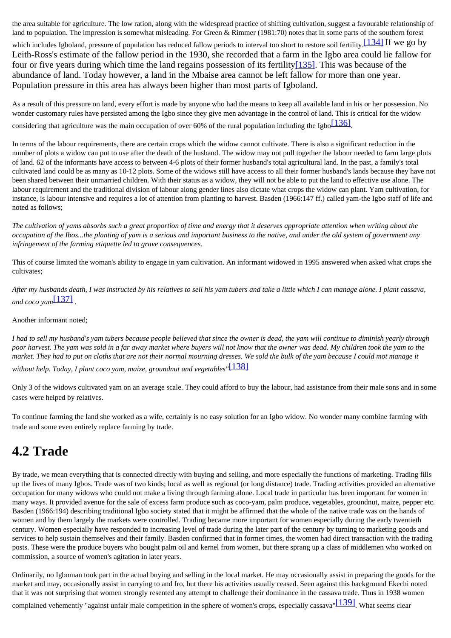the area suitable for agriculture. The low ration, along with the widespread practice of shifting cultivation, suggest a favourable relationship of land to population. The impression is somewhat misleading. For Green & Rimmer (1981:70) notes that in some parts of the southern forest

which includes Igboland, pressure of population has reduced fallow periods to interval too short to restore soil fertility. [\[134\]](http://www.ub.uib.no/elpub/1996/h/506001/korieh/chima_fn.html#fn100) If we go by Leith-Ross's estimate of the fallow period in the 1930, she recorded that a farm in the Igbo area could lie fallow for four or five years during which time the land regains possession of its fertility[\[135\].](http://www.ub.uib.no/elpub/1996/h/506001/korieh/chima_fn.html#fn101) This was because of the abundance of land. Today however, a land in the Mbaise area cannot be left fallow for more than one year. Population pressure in this area has always been higher than most parts of Igboland.

As a result of this pressure on land, every effort is made by anyone who had the means to keep all available land in his or her possession. No wonder customary rules have persisted among the Igbo since they give men advantage in the control of land. This is critical for the widow considering that agriculture was the main occupation of over 60% of the rural population including the Igbo $\sqrt{136}$ .

In terms of the labour requirements, there are certain crops which the widow cannot cultivate. There is also a significant reduction in the number of plots a widow can put to use after the death of the husband. The widow may not pull together the labour needed to farm large plots of land. 62 of the informants have access to between 4-6 plots of their former husband's total agricultural land. In the past, a family's total cultivated land could be as many as 10-12 plots. Some of the widows still have access to all their former husband's lands because they have not been shared between their unmarried children. With their status as a widow, they will not be able to put the land to effective use alone. The labour requirement and the traditional division of labour along gender lines also dictate what crops the widow can plant. Yam cultivation, for instance, is labour intensive and requires a lot of attention from planting to harvest. Basden (1966:147 ff.) called yam-the Igbo staff of life and noted as follows;

*The cultivation of yams absorbs such a great proportion of time and energy that it deserves appropriate attention when writing about the occupation* of the Ibos...the planting of yam is a serious and important business to the native, and under the old system of government any *infringement of the farming etiquette led to grave consequences.*

This of course limited the woman's ability to engage in yam cultivation. An informant widowed in 1995 answered when asked what crops she cultivates;

*After my husbands death, I was instructed by his relatives to sell his yam tubers and take a little which I can manage alone. I plant cassava, and coco yam*[\[137\]](http://www.ub.uib.no/elpub/1996/h/506001/korieh/chima_fn.html#fn103) *.*

Another informant noted;

I had to sell my husband's yam tubers because people believed that since the owner is dead, the yam will continue to diminish yearly through *poor harvest. The yam was sold in a far away market where buyers will not know that the owner was dead. My children took the yam to the market. They had to put on cloths that are not their normal mourning dresses. We sold the bulk of the yam because I could mot manage it without help. Today, I plant coco yam, maize, groundnut and vegetables"*[\[138\]](http://www.ub.uib.no/elpub/1996/h/506001/korieh/chima_fn.html#fn104)

Only 3 of the widows cultivated yam on an average scale. They could afford to buy the labour, had assistance from their male sons and in some cases were helped by relatives.

To continue farming the land she worked as a wife, certainly is no easy solution for an Igbo widow. No wonder many combine farming with trade and some even entirely replace farming by trade.

## <span id="page-38-0"></span>**4.2 Trade**

By trade, we mean everything that is connected directly with buying and selling, and more especially the functions of marketing. Trading fills up the lives of many Igbos. Trade was of two kinds; local as well as regional (or long distance) trade. Trading activities provided an alternative occupation for many widows who could not make a living through farming alone. Local trade in particular has been important for women in many ways. It provided avenue for the sale of excess farm produce such as coco-yam, palm produce, vegetables, groundnut, maize, pepper etc. Basden (1966:194) describing traditional Igbo society stated that it might be affirmed that the whole of the native trade was on the hands of women and by them largely the markets were controlled. Trading became more important for women especially during the early twentieth century. Women especially have responded to increasing level of trade during the later part of the century by turning to marketing goods and services to help sustain themselves and their family. Basden confirmed that in former times, the women had direct transaction with the trading posts. These were the produce buyers who bought palm oil and kernel from women, but there sprang up a class of middlemen who worked on commission, a source of women's agitation in later years.

Ordinarily, no Igboman took part in the actual buying and selling in the local market. He may occasionally assist in preparing the goods for the market and may, occasionally assist in carrying to and fro, but there his activities usually ceased. Seen against this background Ekechi noted that it was not surprising that women strongly resented any attempt to challenge their dominance in the cassava trade. Thus in 1938 women

complained vehemently "against unfair male competition in the sphere of women's crops, especially cassava"<sup>[139]</sup>. What seems clear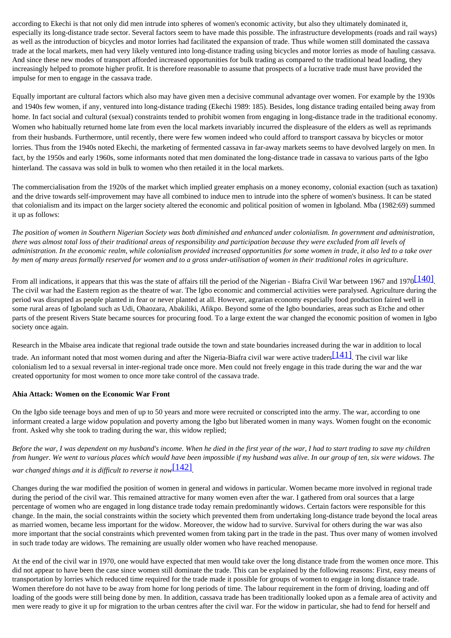according to Ekechi is that not only did men intrude into spheres of women's economic activity, but also they ultimately dominated it, especially its long-distance trade sector. Several factors seem to have made this possible. The infrastructure developments (roads and rail ways) as well as the introduction of bicycles and motor lorries had facilitated the expansion of trade. Thus while women still dominated the cassava trade at the local markets, men had very likely ventured into long-distance trading using bicycles and motor lorries as mode of hauling cassava. And since these new modes of transport afforded increased opportunities for bulk trading as compared to the traditional head loading, they increasingly helped to promote higher profit. It is therefore reasonable to assume that prospects of a lucrative trade must have provided the impulse for men to engage in the cassava trade.

Equally important are cultural factors which also may have given men a decisive communal advantage over women. For example by the 1930s and 1940s few women, if any, ventured into long-distance trading (Ekechi 1989: 185). Besides, long distance trading entailed being away from home. In fact social and cultural (sexual) constraints tended to prohibit women from engaging in long-distance trade in the traditional economy. Women who habitually returned home late from even the local markets invariably incurred the displeasure of the elders as well as reprimands from their husbands. Furthermore, until recently, there were few women indeed who could afford to transport cassava by bicycles or motor lorries. Thus from the 1940s noted Ekechi, the marketing of fermented cassava in far-away markets seems to have devolved largely on men. In fact, by the 1950s and early 1960s, some informants noted that men dominated the long-distance trade in cassava to various parts of the Igbo hinterland. The cassava was sold in bulk to women who then retailed it in the local markets.

The commercialisation from the 1920s of the market which implied greater emphasis on a money economy, colonial exaction (such as taxation) and the drive towards self-improvement may have all combined to induce men to intrude into the sphere of women's business. It can be stated that colonialism and its impact on the larger society altered the economic and political position of women in Igboland. Mba (1982:69) summed it up as follows:

*The position of women in Southern Nigerian Society was both diminished and enhanced under colonialism. In government and administration, there was almost total loss of their traditional areas of responsibility and participation because they were excluded from all levels of administration. In the economic realm, while colonialism provided increased opportunities for some women in trade, it also led to a take over by men of many areas formally reserved for women and to a gross under-utilisation of women in their traditional roles in agriculture.*

From all indications, it appears that this was the state of affairs till the period of the Nigerian - Biafra Civil War between 1967 and 1970<sup>[140]</sup>. The civil war had the Eastern region as the theatre of war. The Igbo economic and commercial activities were paralysed. Agriculture during the period was disrupted as people planted in fear or never planted at all. However, agrarian economy especially food production faired well in some rural areas of Igboland such as Udi, Ohaozara, Abakiliki, Afikpo. Beyond some of the Igbo boundaries, areas such as Etche and other parts of the present Rivers State became sources for procuring food. To a large extent the war changed the economic position of women in Igbo society once again.

Research in the Mbaise area indicate that regional trade outside the town and state boundaries increased during the war in addition to local

trade. An informant noted that most women during and after the Nigeria-Biafra civil war were active traders  $[141]$ . The civil war like colonialism led to a sexual reversal in inter-regional trade once more. Men could not freely engage in this trade during the war and the war created opportunity for most women to once more take control of the cassava trade.

#### **Ahia Attack: Women on the Economic War Front**

On the Igbo side teenage boys and men of up to 50 years and more were recruited or conscripted into the army. The war, according to one informant created a large widow population and poverty among the Igbo but liberated women in many ways. Women fought on the economic front. Asked why she took to trading during the war, this widow replied;

*Before the war, I was dependent on my husband's income. When he died in the first year of the war, I had to start trading to save my children from hunger. We went to various places which would have been impossible if my husband was alive. In our group of ten, six were widows. The war changed things and it is difficult to reverse it now*[\[142\]](http://www.ub.uib.no/elpub/1996/h/506001/korieh/chima_fn.html#fn107)*.*

Changes during the war modified the position of women in general and widows in particular. Women became more involved in regional trade during the period of the civil war. This remained attractive for many women even after the war. I gathered from oral sources that a large percentage of women who are engaged in long distance trade today remain predominantly widows. Certain factors were responsible for this change. In the main, the social constraints within the society which prevented them from undertaking long-distance trade beyond the local areas as married women, became less important for the widow. Moreover, the widow had to survive. Survival for others during the war was also more important that the social constraints which prevented women from taking part in the trade in the past. Thus over many of women involved in such trade today are widows. The remaining are usually older women who have reached menopause.

At the end of the civil war in 1970, one would have expected that men would take over the long distance trade from the women once more. This did not appear to have been the case since women still dominate the trade. This can be explained by the following reasons: First, easy means of transportation by lorries which reduced time required for the trade made it possible for groups of women to engage in long distance trade. Women therefore do not have to be away from home for long periods of time. The labour requirement in the form of driving, loading and off loading of the goods were still being done by men. In addition, cassava trade has been traditionally looked upon as a female area of activity and men were ready to give it up for migration to the urban centres after the civil war. For the widow in particular, she had to fend for herself and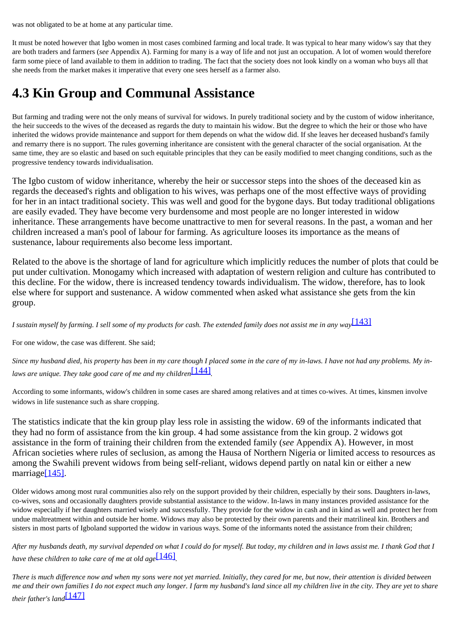was not obligated to be at home at any particular time.

It must be noted however that Igbo women in most cases combined farming and local trade. It was typical to hear many widow's say that they are both traders and farmers (*see* Appendix A). Farming for many is a way of life and not just an occupation. A lot of women would therefore farm some piece of land available to them in addition to trading. The fact that the society does not look kindly on a woman who buys all that she needs from the market makes it imperative that every one sees herself as a farmer also.

## <span id="page-40-0"></span>**4.3 Kin Group and Communal Assistance**

But farming and trading were not the only means of survival for widows. In purely traditional society and by the custom of widow inheritance, the heir succeeds to the wives of the deceased as regards the duty to maintain his widow. But the degree to which the heir or those who have inherited the widows provide maintenance and support for them depends on what the widow did. If she leaves her deceased husband's family and remarry there is no support. The rules governing inheritance are consistent with the general character of the social organisation. At the same time, they are so elastic and based on such equitable principles that they can be easily modified to meet changing conditions, such as the progressive tendency towards individualisation.

The Igbo custom of widow inheritance, whereby the heir or successor steps into the shoes of the deceased kin as regards the deceased's rights and obligation to his wives, was perhaps one of the most effective ways of providing for her in an intact traditional society. This was well and good for the bygone days. But today traditional obligations are easily evaded. They have become very burdensome and most people are no longer interested in widow inheritance. These arrangements have become unattractive to men for several reasons. In the past, a woman and her children increased a man's pool of labour for farming. As agriculture looses its importance as the means of sustenance, labour requirements also become less important.

Related to the above is the shortage of land for agriculture which implicitly reduces the number of plots that could be put under cultivation. Monogamy which increased with adaptation of western religion and culture has contributed to this decline. For the widow, there is increased tendency towards individualism. The widow, therefore, has to look else where for support and sustenance. A widow commented when asked what assistance she gets from the kin group.

*I sustain myself by farming. I sell some of my products for cash. The extended family does not assist me in any way*[\[143\]](http://www.ub.uib.no/elpub/1996/h/506001/korieh/chima_fn.html#fn107)

For one widow, the case was different. She said;

Since my husband died, his property has been in my care though I placed some in the care of my in-laws. I have not had any problems. My in*laws are unique. They take good care of me and my children*[\[144\]](http://www.ub.uib.no/elpub/1996/h/506001/korieh/chima_fn.html#fn108)*.*

According to some informants, widow's children in some cases are shared among relatives and at times co-wives. At times, kinsmen involve widows in life sustenance such as share cropping.

The statistics indicate that the kin group play less role in assisting the widow. 69 of the informants indicated that they had no form of assistance from the kin group. 4 had some assistance from the kin group. 2 widows got assistance in the form of training their children from the extended family (*see* Appendix A). However, in most African societies where rules of seclusion, as among the Hausa of Northern Nigeria or limited access to resources as among the Swahili prevent widows from being self-reliant, widows depend partly on natal kin or either a new marriage<sup>[145]</sup>.

Older widows among most rural communities also rely on the support provided by their children, especially by their sons. Daughters in-laws, co-wives, sons and occasionally daughters provide substantial assistance to the widow. In-laws in many instances provided assistance for the widow especially if her daughters married wisely and successfully. They provide for the widow in cash and in kind as well and protect her from undue maltreatment within and outside her home. Widows may also be protected by their own parents and their matrilineal kin. Brothers and sisters in most parts of Igboland supported the widow in various ways. Some of the informants noted the assistance from their children;

*After my husbands death, my survival depended on what I could do for myself. But today, my children and in laws assist me. I thank God that I have these children to take care of me at old age*[\[146\]](http://www.ub.uib.no/elpub/1996/h/506001/korieh/chima_fn.html#fn109)*.*

*There is much difference now and when my sons were not yet married. Initially, they cared for me, but now, their attention is divided between me and their own families I do not expect much any longer. I farm my husband's land since all my children live in the city. They are yet to share their father's land*[\[147\]](http://www.ub.uib.no/elpub/1996/h/506001/korieh/chima_fn.html#fn110)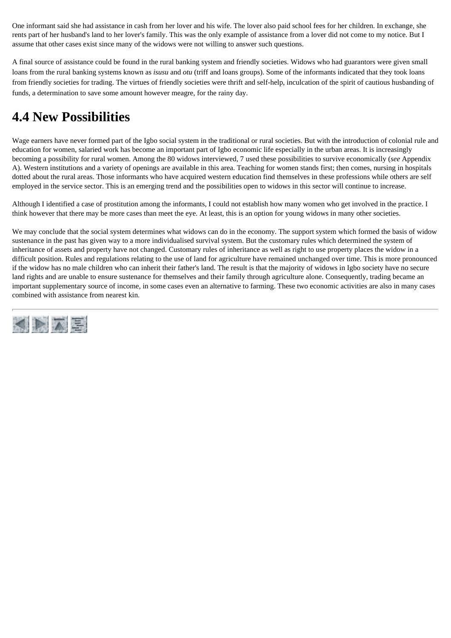One informant said she had assistance in cash from her lover and his wife. The lover also paid school fees for her children. In exchange, she rents part of her husband's land to her lover's family. This was the only example of assistance from a lover did not come to my notice. But I assume that other cases exist since many of the widows were not willing to answer such questions.

A final source of assistance could be found in the rural banking system and friendly societies. Widows who had guarantors were given small loans from the rural banking systems known as *isusu* and *otu* (triff and loans groups). Some of the informants indicated that they took loans from friendly societies for trading. The virtues of friendly societies were thrift and self-help, inculcation of the spirit of cautious husbanding of funds, a determination to save some amount however meagre, for the rainy day.

## <span id="page-41-0"></span>**4.4 New Possibilities**

Wage earners have never formed part of the Igbo social system in the traditional or rural societies. But with the introduction of colonial rule and education for women, salaried work has become an important part of Igbo economic life especially in the urban areas. It is increasingly becoming a possibility for rural women. Among the 80 widows interviewed, 7 used these possibilities to survive economically (*see* Appendix A). Western institutions and a variety of openings are available in this area. Teaching for women stands first; then comes, nursing in hospitals dotted about the rural areas. Those informants who have acquired western education find themselves in these professions while others are self employed in the service sector. This is an emerging trend and the possibilities open to widows in this sector will continue to increase.

Although I identified a case of prostitution among the informants, I could not establish how many women who get involved in the practice. I think however that there may be more cases than meet the eye. At least, this is an option for young widows in many other societies.

We may conclude that the social system determines what widows can do in the economy. The support system which formed the basis of widow sustenance in the past has given way to a more individualised survival system. But the customary rules which determined the system of inheritance of assets and property have not changed. Customary rules of inheritance as well as right to use property places the widow in a difficult position. Rules and regulations relating to the use of land for agriculture have remained unchanged over time. This is more pronounced if the widow has no male children who can inherit their father's land. The result is that the majority of widows in Igbo society have no secure land rights and are unable to ensure sustenance for themselves and their family through agriculture alone. Consequently, trading became an important supplementary source of income, in some cases even an alternative to farming. These two economic activities are also in many cases combined with assistance from nearest kin.

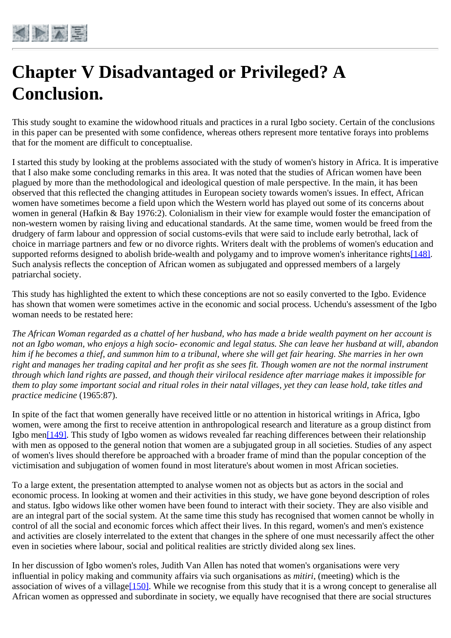<span id="page-42-0"></span>

# **Chapter V Disadvantaged or Privileged? A Conclusion.**

This study sought to examine the widowhood rituals and practices in a rural Igbo society. Certain of the conclusions in this paper can be presented with some confidence, whereas others represent more tentative forays into problems that for the moment are difficult to conceptualise.

I started this study by looking at the problems associated with the study of women's history in Africa. It is imperative that I also make some concluding remarks in this area. It was noted that the studies of African women have been plagued by more than the methodological and ideological question of male perspective. In the main, it has been observed that this reflected the changing attitudes in European society towards women's issues. In effect, African women have sometimes become a field upon which the Western world has played out some of its concerns about women in general (Hafkin & Bay 1976:2). Colonialism in their view for example would foster the emancipation of non-western women by raising living and educational standards. At the same time, women would be freed from the drudgery of farm labour and oppression of social customs-evils that were said to include early betrothal, lack of choice in marriage partners and few or no divorce rights. Writers dealt with the problems of women's education and supported reforms designed to abolish bride-wealth and polygamy and to improve women's inheritance right[s\[148\]](http://www.ub.uib.no/elpub/1996/h/506001/korieh/chima_fn.html#fn111). Such analysis reflects the conception of African women as subjugated and oppressed members of a largely patriarchal society.

This study has highlighted the extent to which these conceptions are not so easily converted to the Igbo. Evidence has shown that women were sometimes active in the economic and social process. Uchendu's assessment of the Igbo woman needs to be restated here:

*The African Woman regarded as a chattel of her husband, who has made a bride wealth payment on her account is not an Igbo woman, who enjoys a high socio- economic and legal status. She can leave her husband at will, abandon him if he becomes a thief, and summon him to a tribunal, where she will get fair hearing. She marries in her own right and manages her trading capital and her profit as she sees fit. Though women are not the normal instrument through which land rights are passed, and though their virilocal residence after marriage makes it impossible for them to play some important social and ritual roles in their natal villages, yet they can lease hold, take titles and practice medicine* (1965:87).

In spite of the fact that women generally have received little or no attention in historical writings in Africa, Igbo women, were among the first to receive attention in anthropological research and literature as a group distinct from Igbo me[n\[149\]](http://www.ub.uib.no/elpub/1996/h/506001/korieh/chima_fn.html#fn112). This study of Igbo women as widows revealed far reaching differences between their relationship with men as opposed to the general notion that women are a subjugated group in all societies. Studies of any aspect of women's lives should therefore be approached with a broader frame of mind than the popular conception of the victimisation and subjugation of women found in most literature's about women in most African societies.

To a large extent, the presentation attempted to analyse women not as objects but as actors in the social and economic process. In looking at women and their activities in this study, we have gone beyond description of roles and status. Igbo widows like other women have been found to interact with their society. They are also visible and are an integral part of the social system. At the same time this study has recognised that women cannot be wholly in control of all the social and economic forces which affect their lives. In this regard, women's and men's existence and activities are closely interrelated to the extent that changes in the sphere of one must necessarily affect the other even in societies where labour, social and political realities are strictly divided along sex lines.

In her discussion of Igbo women's roles, Judith Van Allen has noted that women's organisations were very influential in policy making and community affairs via such organisations as *mitiri*, (meeting) which is the association of wives of a village<sup>[150]</sup>. While we recognise from this study that it is a wrong concept to generalise all African women as oppressed and subordinate in society, we equally have recognised that there are social structures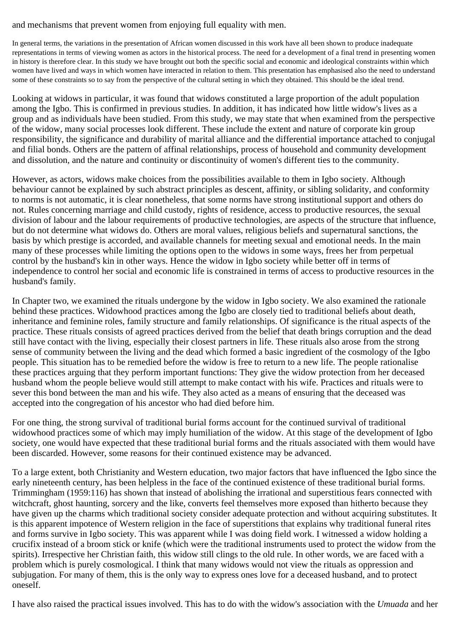#### and mechanisms that prevent women from enjoying full equality with men.

In general terms, the variations in the presentation of African women discussed in this work have all been shown to produce inadequate representations in terms of viewing women as actors in the historical process. The need for a development of a final trend in presenting women in history is therefore clear. In this study we have brought out both the specific social and economic and ideological constraints within which women have lived and ways in which women have interacted in relation to them. This presentation has emphasised also the need to understand some of these constraints so to say from the perspective of the cultural setting in which they obtained. This should be the ideal trend.

Looking at widows in particular, it was found that widows constituted a large proportion of the adult population among the Igbo. This is confirmed in previous studies. In addition, it has indicated how little widow's lives as a group and as individuals have been studied. From this study, we may state that when examined from the perspective of the widow, many social processes look different. These include the extent and nature of corporate kin group responsibility, the significance and durability of marital alliance and the differential importance attached to conjugal and filial bonds. Others are the pattern of affinal relationships, process of household and community development and dissolution, and the nature and continuity or discontinuity of women's different ties to the community.

However, as actors, widows make choices from the possibilities available to them in Igbo society. Although behaviour cannot be explained by such abstract principles as descent, affinity, or sibling solidarity, and conformity to norms is not automatic, it is clear nonetheless, that some norms have strong institutional support and others do not. Rules concerning marriage and child custody, rights of residence, access to productive resources, the sexual division of labour and the labour requirements of productive technologies, are aspects of the structure that influence, but do not determine what widows do. Others are moral values, religious beliefs and supernatural sanctions, the basis by which prestige is accorded, and available channels for meeting sexual and emotional needs. In the main many of these processes while limiting the options open to the widows in some ways, frees her from perpetual control by the husband's kin in other ways. Hence the widow in Igbo society while better off in terms of independence to control her social and economic life is constrained in terms of access to productive resources in the husband's family.

In Chapter two, we examined the rituals undergone by the widow in Igbo society. We also examined the rationale behind these practices. Widowhood practices among the Igbo are closely tied to traditional beliefs about death, inheritance and feminine roles, family structure and family relationships. Of significance is the ritual aspects of the practice. These rituals consists of agreed practices derived from the belief that death brings corruption and the dead still have contact with the living, especially their closest partners in life. These rituals also arose from the strong sense of community between the living and the dead which formed a basic ingredient of the cosmology of the Igbo people. This situation has to be remedied before the widow is free to return to a new life. The people rationalise these practices arguing that they perform important functions: They give the widow protection from her deceased husband whom the people believe would still attempt to make contact with his wife. Practices and rituals were to sever this bond between the man and his wife. They also acted as a means of ensuring that the deceased was accepted into the congregation of his ancestor who had died before him.

For one thing, the strong survival of traditional burial forms account for the continued survival of traditional widowhood practices some of which may imply humiliation of the widow. At this stage of the development of Igbo society, one would have expected that these traditional burial forms and the rituals associated with them would have been discarded. However, some reasons for their continued existence may be advanced.

To a large extent, both Christianity and Western education, two major factors that have influenced the Igbo since the early nineteenth century, has been helpless in the face of the continued existence of these traditional burial forms. Trimmingham (1959:116) has shown that instead of abolishing the irrational and superstitious fears connected with witchcraft, ghost haunting, sorcery and the like, converts feel themselves more exposed than hitherto because they have given up the charms which traditional society consider adequate protection and without acquiring substitutes. It is this apparent impotence of Western religion in the face of superstitions that explains why traditional funeral rites and forms survive in Igbo society. This was apparent while I was doing field work. I witnessed a widow holding a crucifix instead of a broom stick or knife (which were the traditional instruments used to protect the widow from the spirits). Irrespective her Christian faith, this widow still clings to the old rule. In other words, we are faced with a problem which is purely cosmological. I think that many widows would not view the rituals as oppression and subjugation. For many of them, this is the only way to express ones love for a deceased husband, and to protect oneself.

I have also raised the practical issues involved. This has to do with the widow's association with the *Umuada* and her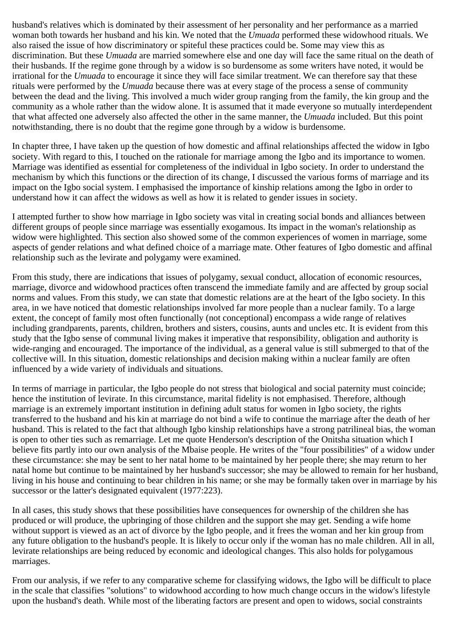husband's relatives which is dominated by their assessment of her personality and her performance as a married woman both towards her husband and his kin. We noted that the *Umuada* performed these widowhood rituals. We also raised the issue of how discriminatory or spiteful these practices could be. Some may view this as discrimination. But these *Umuada* are married somewhere else and one day will face the same ritual on the death of their husbands. If the regime gone through by a widow is so burdensome as some writers have noted, it would be irrational for the *Umuada* to encourage it since they will face similar treatment. We can therefore say that these rituals were performed by the *Umuada* because there was at every stage of the process a sense of community between the dead and the living. This involved a much wider group ranging from the family, the kin group and the community as a whole rather than the widow alone. It is assumed that it made everyone so mutually interdependent that what affected one adversely also affected the other in the same manner, the *Umuada* included. But this point notwithstanding, there is no doubt that the regime gone through by a widow is burdensome.

In chapter three, I have taken up the question of how domestic and affinal relationships affected the widow in Igbo society. With regard to this, I touched on the rationale for marriage among the Igbo and its importance to women. Marriage was identified as essential for completeness of the individual in Igbo society. In order to understand the mechanism by which this functions or the direction of its change, I discussed the various forms of marriage and its impact on the Igbo social system. I emphasised the importance of kinship relations among the Igbo in order to understand how it can affect the widows as well as how it is related to gender issues in society.

I attempted further to show how marriage in Igbo society was vital in creating social bonds and alliances between different groups of people since marriage was essentially exogamous. Its impact in the woman's relationship as widow were highlighted. This section also showed some of the common experiences of women in marriage, some aspects of gender relations and what defined choice of a marriage mate. Other features of Igbo domestic and affinal relationship such as the levirate and polygamy were examined.

From this study, there are indications that issues of polygamy, sexual conduct, allocation of economic resources, marriage, divorce and widowhood practices often transcend the immediate family and are affected by group social norms and values. From this study, we can state that domestic relations are at the heart of the Igbo society. In this area, in we have noticed that domestic relationships involved far more people than a nuclear family. To a large extent, the concept of family most often functionally (not conceptional) encompass a wide range of relatives including grandparents, parents, children, brothers and sisters, cousins, aunts and uncles etc. It is evident from this study that the Igbo sense of communal living makes it imperative that responsibility, obligation and authority is wide-ranging and encouraged. The importance of the individual, as a general value is still submerged to that of the collective will. In this situation, domestic relationships and decision making within a nuclear family are often influenced by a wide variety of individuals and situations.

In terms of marriage in particular, the Igbo people do not stress that biological and social paternity must coincide; hence the institution of levirate. In this circumstance, marital fidelity is not emphasised. Therefore, although marriage is an extremely important institution in defining adult status for women in Igbo society, the rights transferred to the husband and his kin at marriage do not bind a wife to continue the marriage after the death of her husband. This is related to the fact that although Igbo kinship relationships have a strong patrilineal bias, the woman is open to other ties such as remarriage. Let me quote Henderson's description of the Onitsha situation which I believe fits partly into our own analysis of the Mbaise people. He writes of the "four possibilities" of a widow under these circumstance: she may be sent to her natal home to be maintained by her people there; she may return to her natal home but continue to be maintained by her husband's successor; she may be allowed to remain for her husband, living in his house and continuing to bear children in his name; or she may be formally taken over in marriage by his successor or the latter's designated equivalent (1977:223).

In all cases, this study shows that these possibilities have consequences for ownership of the children she has produced or will produce, the upbringing of those children and the support she may get. Sending a wife home without support is viewed as an act of divorce by the Igbo people, and it frees the woman and her kin group from any future obligation to the husband's people. It is likely to occur only if the woman has no male children. All in all, levirate relationships are being reduced by economic and ideological changes. This also holds for polygamous marriages.

From our analysis, if we refer to any comparative scheme for classifying widows, the Igbo will be difficult to place in the scale that classifies "solutions" to widowhood according to how much change occurs in the widow's lifestyle upon the husband's death. While most of the liberating factors are present and open to widows, social constraints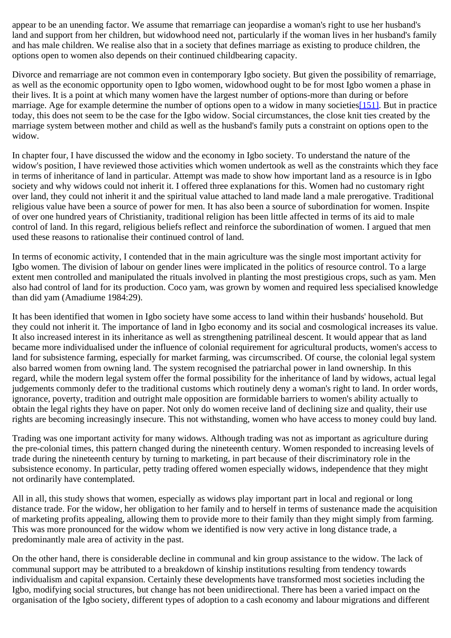appear to be an unending factor. We assume that remarriage can jeopardise a woman's right to use her husband's land and support from her children, but widowhood need not, particularly if the woman lives in her husband's family and has male children. We realise also that in a society that defines marriage as existing to produce children, the options open to women also depends on their continued childbearing capacity.

Divorce and remarriage are not common even in contemporary Igbo society. But given the possibility of remarriage, as well as the economic opportunity open to Igbo women, widowhood ought to be for most Igbo women a phase in their lives. It is a point at which many women have the largest number of options-more than during or before marriage. Age for example determine the number of options open to a widow in many societies [\[151\].](http://www.ub.uib.no/elpub/1996/h/506001/korieh/chima_fn.html#fn114) But in practice today, this does not seem to be the case for the Igbo widow. Social circumstances, the close knit ties created by the marriage system between mother and child as well as the husband's family puts a constraint on options open to the widow.

In chapter four, I have discussed the widow and the economy in Igbo society. To understand the nature of the widow's position, I have reviewed those activities which women undertook as well as the constraints which they face in terms of inheritance of land in particular. Attempt was made to show how important land as a resource is in Igbo society and why widows could not inherit it. I offered three explanations for this. Women had no customary right over land, they could not inherit it and the spiritual value attached to land made land a male prerogative. Traditional religious value have been a source of power for men. It has also been a source of subordination for women. Inspite of over one hundred years of Christianity, traditional religion has been little affected in terms of its aid to male control of land. In this regard, religious beliefs reflect and reinforce the subordination of women. I argued that men used these reasons to rationalise their continued control of land.

In terms of economic activity, I contended that in the main agriculture was the single most important activity for Igbo women. The division of labour on gender lines were implicated in the politics of resource control. To a large extent men controlled and manipulated the rituals involved in planting the most prestigious crops, such as yam. Men also had control of land for its production. Coco yam, was grown by women and required less specialised knowledge than did yam (Amadiume 1984:29).

It has been identified that women in Igbo society have some access to land within their husbands' household. But they could not inherit it. The importance of land in Igbo economy and its social and cosmological increases its value. It also increased interest in its inheritance as well as strengthening patrilineal descent. It would appear that as land became more individualised under the influence of colonial requirement for agricultural products, women's access to land for subsistence farming, especially for market farming, was circumscribed. Of course, the colonial legal system also barred women from owning land. The system recognised the patriarchal power in land ownership. In this regard, while the modern legal system offer the formal possibility for the inheritance of land by widows, actual legal judgements commonly defer to the traditional customs which routinely deny a woman's right to land. In order words, ignorance, poverty, tradition and outright male opposition are formidable barriers to women's ability actually to obtain the legal rights they have on paper. Not only do women receive land of declining size and quality, their use rights are becoming increasingly insecure. This not withstanding, women who have access to money could buy land.

Trading was one important activity for many widows. Although trading was not as important as agriculture during the pre-colonial times, this pattern changed during the nineteenth century. Women responded to increasing levels of trade during the nineteenth century by turning to marketing, in part because of their discriminatory role in the subsistence economy. In particular, petty trading offered women especially widows, independence that they might not ordinarily have contemplated.

All in all, this study shows that women, especially as widows play important part in local and regional or long distance trade. For the widow, her obligation to her family and to herself in terms of sustenance made the acquisition of marketing profits appealing, allowing them to provide more to their family than they might simply from farming. This was more pronounced for the widow whom we identified is now very active in long distance trade, a predominantly male area of activity in the past.

On the other hand, there is considerable decline in communal and kin group assistance to the widow. The lack of communal support may be attributed to a breakdown of kinship institutions resulting from tendency towards individualism and capital expansion. Certainly these developments have transformed most societies including the Igbo, modifying social structures, but change has not been unidirectional. There has been a varied impact on the organisation of the Igbo society, different types of adoption to a cash economy and labour migrations and different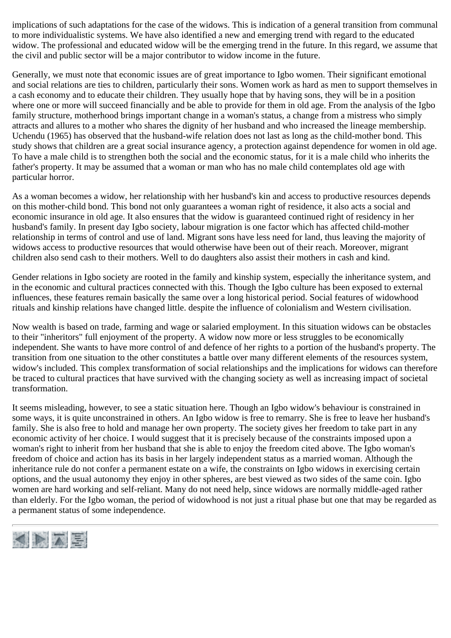implications of such adaptations for the case of the widows. This is indication of a general transition from communal to more individualistic systems. We have also identified a new and emerging trend with regard to the educated widow. The professional and educated widow will be the emerging trend in the future. In this regard, we assume that the civil and public sector will be a major contributor to widow income in the future.

Generally, we must note that economic issues are of great importance to Igbo women. Their significant emotional and social relations are ties to children, particularly their sons. Women work as hard as men to support themselves in a cash economy and to educate their children. They usually hope that by having sons, they will be in a position where one or more will succeed financially and be able to provide for them in old age. From the analysis of the Igbo family structure, motherhood brings important change in a woman's status, a change from a mistress who simply attracts and allures to a mother who shares the dignity of her husband and who increased the lineage membership. Uchendu (1965) has observed that the husband-wife relation does not last as long as the child-mother bond. This study shows that children are a great social insurance agency, a protection against dependence for women in old age. To have a male child is to strengthen both the social and the economic status, for it is a male child who inherits the father's property. It may be assumed that a woman or man who has no male child contemplates old age with particular horror.

As a woman becomes a widow, her relationship with her husband's kin and access to productive resources depends on this mother-child bond. This bond not only guarantees a woman right of residence, it also acts a social and economic insurance in old age. It also ensures that the widow is guaranteed continued right of residency in her husband's family. In present day Igbo society, labour migration is one factor which has affected child-mother relationship in terms of control and use of land. Migrant sons have less need for land, thus leaving the majority of widows access to productive resources that would otherwise have been out of their reach. Moreover, migrant children also send cash to their mothers. Well to do daughters also assist their mothers in cash and kind.

Gender relations in Igbo society are rooted in the family and kinship system, especially the inheritance system, and in the economic and cultural practices connected with this. Though the Igbo culture has been exposed to external influences, these features remain basically the same over a long historical period. Social features of widowhood rituals and kinship relations have changed little. despite the influence of colonialism and Western civilisation.

Now wealth is based on trade, farming and wage or salaried employment. In this situation widows can be obstacles to their "inheritors" full enjoyment of the property. A widow now more or less struggles to be economically independent. She wants to have more control of and defence of her rights to a portion of the husband's property. The transition from one situation to the other constitutes a battle over many different elements of the resources system, widow's included. This complex transformation of social relationships and the implications for widows can therefore be traced to cultural practices that have survived with the changing society as well as increasing impact of societal transformation.

It seems misleading, however, to see a static situation here. Though an Igbo widow's behaviour is constrained in some ways, it is quite unconstrained in others. An Igbo widow is free to remarry. She is free to leave her husband's family. She is also free to hold and manage her own property. The society gives her freedom to take part in any economic activity of her choice. I would suggest that it is precisely because of the constraints imposed upon a woman's right to inherit from her husband that she is able to enjoy the freedom cited above. The Igbo woman's freedom of choice and action has its basis in her largely independent status as a married woman. Although the inheritance rule do not confer a permanent estate on a wife, the constraints on Igbo widows in exercising certain options, and the usual autonomy they enjoy in other spheres, are best viewed as two sides of the same coin. Igbo women are hard working and self-reliant. Many do not need help, since widows are normally middle-aged rather than elderly. For the Igbo woman, the period of widowhood is not just a ritual phase but one that may be regarded as a permanent status of some independence.

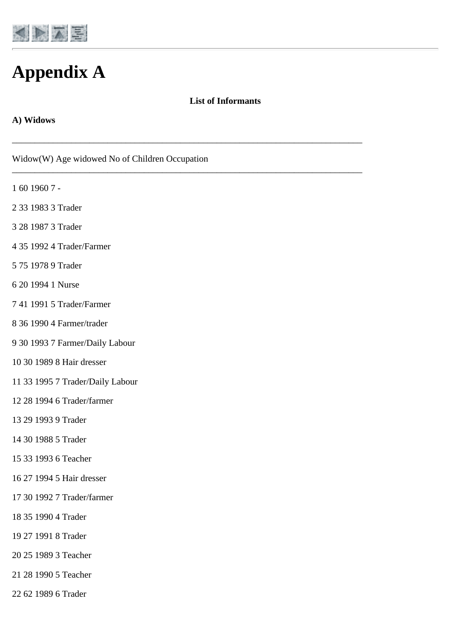<span id="page-47-0"></span>

# **Appendix A**

#### **List of Informants**

\_\_\_\_\_\_\_\_\_\_\_\_\_\_\_\_\_\_\_\_\_\_\_\_\_\_\_\_\_\_\_\_\_\_\_\_\_\_\_\_\_\_\_\_\_\_\_\_\_\_\_\_\_\_\_\_\_\_\_\_\_\_\_\_\_\_\_\_\_\_\_\_\_\_\_\_\_

\_\_\_\_\_\_\_\_\_\_\_\_\_\_\_\_\_\_\_\_\_\_\_\_\_\_\_\_\_\_\_\_\_\_\_\_\_\_\_\_\_\_\_\_\_\_\_\_\_\_\_\_\_\_\_\_\_\_\_\_\_\_\_\_\_\_\_\_\_\_\_\_\_\_\_\_\_

#### **A) Widows**

- 60 1960 7 -
- 33 1983 3 Trader
- 28 1987 3 Trader
- 35 1992 4 Trader/Farmer
- 75 1978 9 Trader
- 20 1994 1 Nurse
- 41 1991 5 Trader/Farmer
- 36 1990 4 Farmer/trader
- 30 1993 7 Farmer/Daily Labour
- 30 1989 8 Hair dresser
- 33 1995 7 Trader/Daily Labour
- 28 1994 6 Trader/farmer
- 29 1993 9 Trader
- 30 1988 5 Trader
- 33 1993 6 Teacher
- 27 1994 5 Hair dresser
- 30 1992 7 Trader/farmer
- 35 1990 4 Trader
- 27 1991 8 Trader
- 25 1989 3 Teacher
- 28 1990 5 Teacher
- 62 1989 6 Trader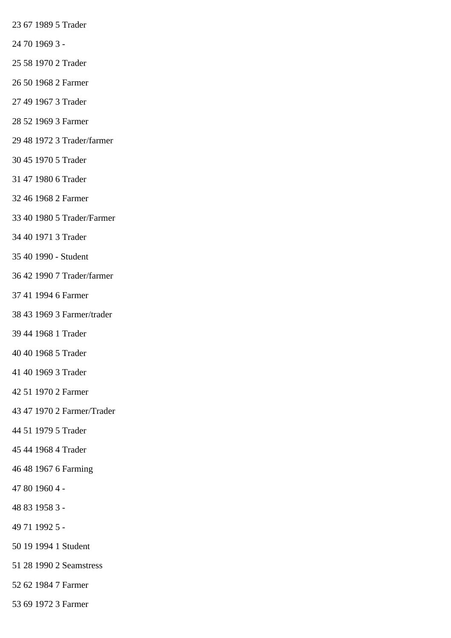67 1989 5 Trader

- 70 1969 3 -
- 58 1970 2 Trader
- 50 1968 2 Farmer
- 49 1967 3 Trader
- 52 1969 3 Farmer
- 48 1972 3 Trader/farmer
- 45 1970 5 Trader
- 47 1980 6 Trader
- 46 1968 2 Farmer
- 40 1980 5 Trader/Farmer
- 40 1971 3 Trader
- 40 1990 Student
- 42 1990 7 Trader/farmer
- 41 1994 6 Farmer
- 43 1969 3 Farmer/trader
- 44 1968 1 Trader
- 40 1968 5 Trader
- 40 1969 3 Trader
- 51 1970 2 Farmer
- 47 1970 2 Farmer/Trader
- 51 1979 5 Trader
- 44 1968 4 Trader
- 48 1967 6 Farming
- 80 1960 4 -
- 83 1958 3 -
- 71 1992 5 -
- 19 1994 1 Student
- 28 1990 2 Seamstress
- 62 1984 7 Farmer
- 69 1972 3 Farmer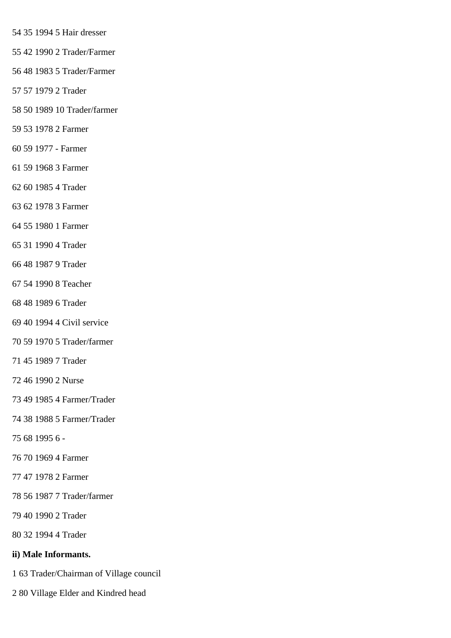- 35 1994 5 Hair dresser
- 42 1990 2 Trader/Farmer
- 48 1983 5 Trader/Farmer
- 57 1979 2 Trader
- 50 1989 10 Trader/farmer
- 53 1978 2 Farmer
- 59 1977 Farmer
- 59 1968 3 Farmer
- 60 1985 4 Trader
- 62 1978 3 Farmer
- 55 1980 1 Farmer
- 31 1990 4 Trader
- 48 1987 9 Trader
- 54 1990 8 Teacher
- 48 1989 6 Trader
- 40 1994 4 Civil service
- 59 1970 5 Trader/farmer
- 45 1989 7 Trader
- 46 1990 2 Nurse
- 49 1985 4 Farmer/Trader
- 38 1988 5 Farmer/Trader
- 68 1995 6 -
- 70 1969 4 Farmer
- 47 1978 2 Farmer
- 56 1987 7 Trader/farmer
- 40 1990 2 Trader
- 32 1994 4 Trader

### **ii) Male Informants.**

- 63 Trader/Chairman of Village council
- 80 Village Elder and Kindred head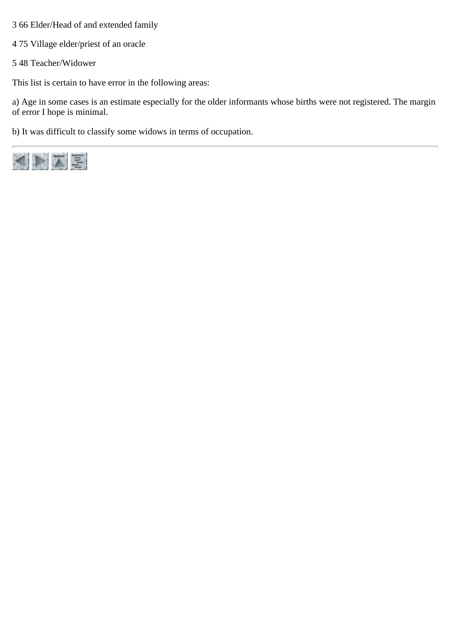- 3 66 Elder/Head of and extended family
- 4 75 Village elder/priest of an oracle
- 5 48 Teacher/Widower

This list is certain to have error in the following areas:

a) Age in some cases is an estimate especially for the older informants whose births were not registered. The margin of error I hope is minimal.

b) It was difficult to classify some widows in terms of occupation.

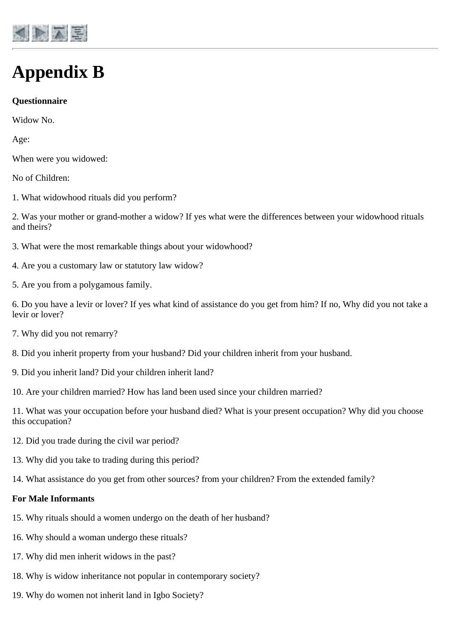<span id="page-51-0"></span>

# **Appendix B**

### **Questionnaire**

Widow No.

Age:

When were you widowed:

No of Children:

1. What widowhood rituals did you perform?

2. Was your mother or grand-mother a widow? If yes what were the differences between your widowhood rituals and theirs?

- 3. What were the most remarkable things about your widowhood?
- 4. Are you a customary law or statutory law widow?
- 5. Are you from a polygamous family.

6. Do you have a levir or lover? If yes what kind of assistance do you get from him? If no, Why did you not take a levir or lover?

- 7. Why did you not remarry?
- 8. Did you inherit property from your husband? Did your children inherit from your husband.
- 9. Did you inherit land? Did your children inherit land?

10. Are your children married? How has land been used since your children married?

11. What was your occupation before your husband died? What is your present occupation? Why did you choose this occupation?

- 12. Did you trade during the civil war period?
- 13. Why did you take to trading during this period?
- 14. What assistance do you get from other sources? from your children? From the extended family?

#### **For Male Informants**

- 15. Why rituals should a women undergo on the death of her husband?
- 16. Why should a woman undergo these rituals?
- 17. Why did men inherit widows in the past?
- 18. Why is widow inheritance not popular in contemporary society?
- 19. Why do women not inherit land in Igbo Society?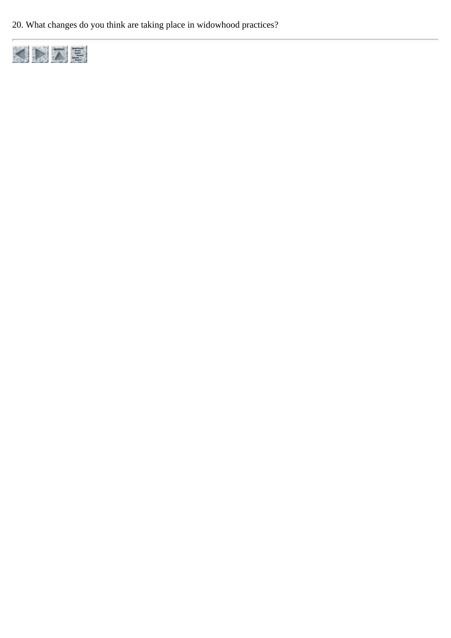20. What changes do you think are taking place in widowhood practices?

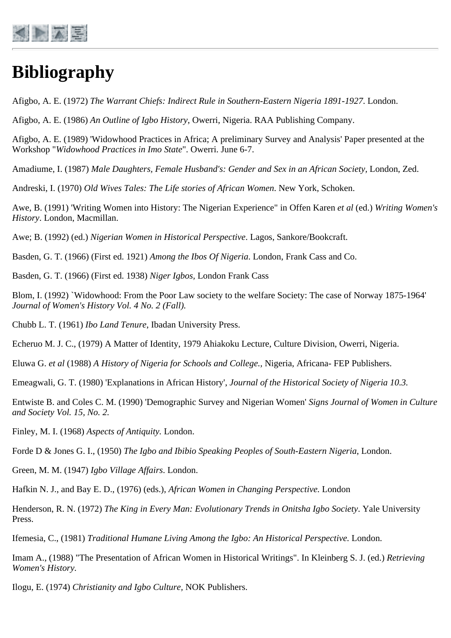<span id="page-53-0"></span>

# **Bibliography**

Afigbo, A. E. (1972) *The Warrant Chiefs: Indirect Rule in Southern-Eastern Nigeria 1891-1927*. London.

Afigbo, A. E. (1986) *An Outline of Igbo History*, Owerri, Nigeria. RAA Publishing Company.

Afigbo, A. E. (1989) 'Widowhood Practices in Africa; A preliminary Survey and Analysis' Paper presented at the Workshop "*Widowhood Practices in Imo State*". Owerri. June 6-7.

Amadiume, I. (1987) *Male Daughters, Female Husband's: Gender and Sex in an African Society,* London, Zed.

Andreski, I. (1970) *Old Wives Tales: The Life stories of African Women*. New York, Schoken.

Awe, B. (1991) 'Writing Women into History: The Nigerian Experience" in Offen Karen *et al* (ed.) *Writing Women's History*. London, Macmillan.

Awe; B. (1992) (ed.) *Nigerian Women in Historical Perspective*. Lagos, Sankore/Bookcraft.

Basden, G. T. (1966) (First ed. 1921) *Among the Ibos Of Nigeria*. London, Frank Cass and Co.

Basden, G. T. (1966) (First ed. 1938) *Niger Igbos,* London Frank Cass

Blom, I. (1992) `Widowhood: From the Poor Law society to the welfare Society: The case of Norway 1875-1964' *Journal of Women's History Vol. 4 No. 2 (Fall).*

Chubb L. T. (1961) *Ibo Land Tenure*, Ibadan University Press.

Echeruo M. J. C., (1979) A Matter of Identity, 1979 Ahiakoku Lecture, Culture Division, Owerri, Nigeria.

Eluwa G. *et al* (1988) *A History of Nigeria for Schools and College.,* Nigeria, Africana- FEP Publishers.

Emeagwali, G. T. (1980) 'Explanations in African History', *Journal of the Historical Society of Nigeria 10.3.*

Entwiste B. and Coles C. M. (1990) 'Demographic Survey and Nigerian Women' *Signs Journal of Women in Culture and Society Vol. 15, No. 2.*

Finley, M. I. (1968) *Aspects of Antiquity.* London.

Forde D & Jones G. I., (1950) *The Igbo and Ibibio Speaking Peoples of South-Eastern Nigeria*, London.

Green, M. M. (1947) *Igbo Village Affairs*. London.

Hafkin N. J., and Bay E. D., (1976) (eds.), *African Women in Changing Perspective.* London

Henderson, R. N. (1972) *The King in Every Man: Evolutionary Trends in Onitsha Igbo Society*. Yale University Press.

Ifemesia, C., (1981) *Traditional Humane Living Among the Igbo: An Historical Perspective.* London.

Imam A., (1988) "The Presentation of African Women in Historical Writings". In Kleinberg S. J. (ed.) *Retrieving Women's History.*

Ilogu, E. (1974) *Christianity and Igbo Culture,* NOK Publishers.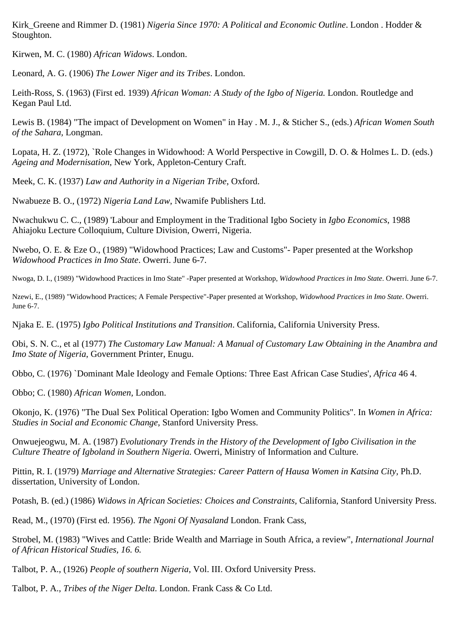Kirk\_Greene and Rimmer D. (1981) *Nigeria Since 1970: A Political and Economic Outline*. London . Hodder & Stoughton.

Kirwen, M. C. (1980) *African Widows*. London.

Leonard, A. G. (1906) *The Lower Niger and its Tribes*. London.

Leith-Ross, S. (1963) (First ed. 1939) *African Woman: A Study of the Igbo of Nigeria.* London. Routledge and Kegan Paul Ltd.

Lewis B. (1984) "The impact of Development on Women" in Hay . M. J., & Sticher S., (eds.) *African Women South of the Sahara,* Longman.

Lopata, H. Z. (1972), `Role Changes in Widowhood: A World Perspective in Cowgill, D. O. & Holmes L. D. (eds.) *Ageing and Modernisation,* New York, Appleton-Century Craft.

Meek, C. K. (1937) *Law and Authority in a Nigerian Tribe*, Oxford.

Nwabueze B. O., (1972) *Nigeria Land Law*, Nwamife Publishers Ltd.

Nwachukwu C. C., (1989) 'Labour and Employment in the Traditional Igbo Society in *Igbo Economics*, 1988 Ahiajoku Lecture Colloquium, Culture Division, Owerri, Nigeria.

Nwebo, O. E. & Eze O., (1989) "Widowhood Practices; Law and Customs"- Paper presented at the Workshop *Widowhood Practices in Imo State*. Owerri. June 6-7.

Nwoga, D. I., (1989) "Widowhood Practices in Imo State" -Paper presented at Workshop, *Widowhood Practices in Imo State*. Owerri. June 6-7.

Nzewi, E., (1989) "Widowhood Practices; A Female Perspective"-Paper presented at Workshop, *Widowhood Practices in Imo State*. Owerri. June 6-7.

Njaka E. E. (1975) *Igbo Political Institutions and Transition*. California, California University Press.

Obi, S. N. C., et al (1977) *The Customary Law Manual: A Manual of Customary Law Obtaining in the Anambra and Imo State of Nigeria*, Government Printer, Enugu.

Obbo, C. (1976) `Dominant Male Ideology and Female Options: Three East African Case Studies', *Africa* 46 4.

Obbo; C. (1980) *African Women,* London.

Okonjo, K. (1976) "The Dual Sex Political Operation: Igbo Women and Community Politics". In *Women in Africa: Studies in Social and Economic Change*, Stanford University Press.

Onwuejeogwu, M. A. (1987) *Evolutionary Trends in the History of the Development of Igbo Civilisation in the Culture Theatre of Igboland in Southern Nigeria.* Owerri, Ministry of Information and Culture.

Pittin, R. I. (1979) *Marriage and Alternative Strategies: Career Pattern of Hausa Women in Katsina City,* Ph.D. dissertation, University of London.

Potash, B. (ed.) (1986) *Widows in African Societies: Choices and Constraints,* California, Stanford University Press.

Read, M., (1970) (First ed. 1956). *The Ngoni Of Nyasaland* London. Frank Cass,

Strobel, M. (1983) "Wives and Cattle: Bride Wealth and Marriage in South Africa, a review", *International Journal of African Historical Studies, 16. 6.*

Talbot, P. A., (1926) *People of southern Nigeria*, Vol. III. Oxford University Press.

Talbot, P. A., *Tribes of the Niger Delta*. London. Frank Cass & Co Ltd.